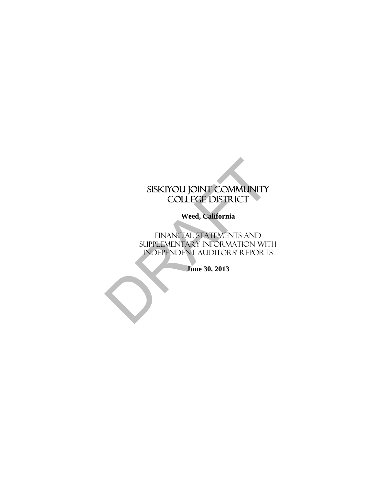# Siskiyou joint community COLLEGE DISTRICT

**Weed, California** 

FINANCIAL STATEMENTS AND SUPPLEMENTARY INFORMATION WITH INDEPENDENT AUDITORS' REPORTS SISKIYOU JOINT COMMUNITY<br>
COLLEGE DISTRICT<br>
Weed, California<br>
FINANCIAL STATEMENTS AND<br>
SUPPLEMENTARY INFORMATION WIT<br>
INDEPENDENT AUDITORS REPORTS<br>
June 30, 2013

**June 30, 2013**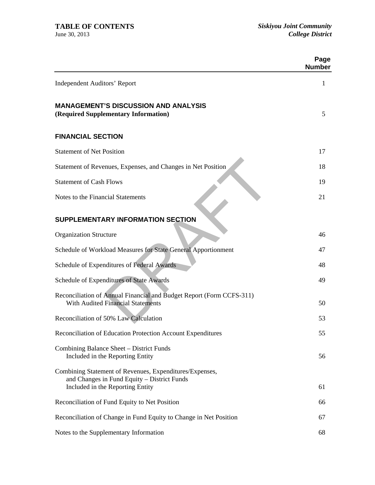|                                                                                                                                            | Page<br><b>Number</b> |
|--------------------------------------------------------------------------------------------------------------------------------------------|-----------------------|
| <b>Independent Auditors' Report</b>                                                                                                        | 1                     |
| <b>MANAGEMENT'S DISCUSSION AND ANALYSIS</b><br>(Required Supplementary Information)                                                        | 5                     |
| <b>FINANCIAL SECTION</b>                                                                                                                   |                       |
| <b>Statement of Net Position</b>                                                                                                           | 17                    |
| Statement of Revenues, Expenses, and Changes in Net Position                                                                               | 18                    |
| <b>Statement of Cash Flows</b>                                                                                                             | 19                    |
| Notes to the Financial Statements                                                                                                          | 21                    |
| SUPPLEMENTARY INFORMATION SECTION                                                                                                          |                       |
| <b>Organization Structure</b>                                                                                                              | 46                    |
| Schedule of Workload Measures for State General Apportionment                                                                              | 47                    |
| Schedule of Expenditures of Federal Awards                                                                                                 | 48                    |
| Schedule of Expenditures of State Awards                                                                                                   | 49                    |
| Reconciliation of Annual Financial and Budget Report (Form CCFS-311)<br><b>With Audited Financial Statements</b>                           | 50                    |
| Reconciliation of 50% Law Calculation                                                                                                      | 53                    |
| Reconciliation of Education Protection Account Expenditures                                                                                | 55                    |
| Combining Balance Sheet - District Funds<br>Included in the Reporting Entity                                                               | 56                    |
| Combining Statement of Revenues, Expenditures/Expenses,<br>and Changes in Fund Equity - District Funds<br>Included in the Reporting Entity | 61                    |
| Reconciliation of Fund Equity to Net Position                                                                                              | 66                    |
| Reconciliation of Change in Fund Equity to Change in Net Position                                                                          | 67                    |
| Notes to the Supplementary Information                                                                                                     | 68                    |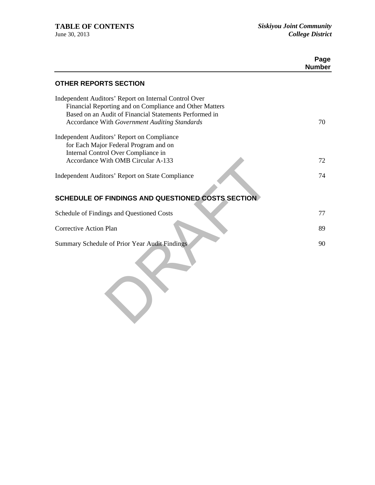|                                                                                                                                                                                                                                    | Page<br><b>Number</b> |
|------------------------------------------------------------------------------------------------------------------------------------------------------------------------------------------------------------------------------------|-----------------------|
| <b>OTHER REPORTS SECTION</b>                                                                                                                                                                                                       |                       |
| Independent Auditors' Report on Internal Control Over<br>Financial Reporting and on Compliance and Other Matters<br>Based on an Audit of Financial Statements Performed in<br><b>Accordance With Government Auditing Standards</b> | 70                    |
| Independent Auditors' Report on Compliance<br>for Each Major Federal Program and on<br>Internal Control Over Compliance in                                                                                                         |                       |
| Accordance With OMB Circular A-133                                                                                                                                                                                                 | 72                    |
| Independent Auditors' Report on State Compliance                                                                                                                                                                                   | 74                    |
| SCHEDULE OF FINDINGS AND QUESTIONED COSTS SECTION                                                                                                                                                                                  |                       |
| Schedule of Findings and Questioned Costs                                                                                                                                                                                          | 77                    |
| <b>Corrective Action Plan</b>                                                                                                                                                                                                      | 89                    |
| <b>Summary Schedule of Prior Year Audit Findings</b>                                                                                                                                                                               | 90                    |

DRAFT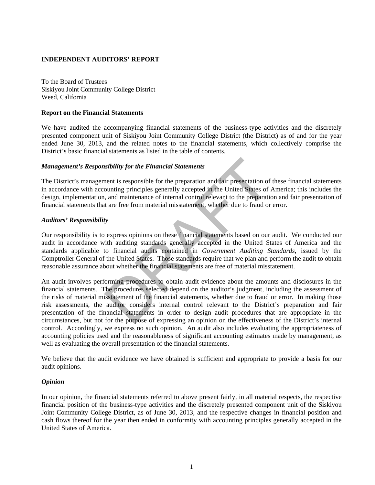## **INDEPENDENT AUDITORS' REPORT**

To the Board of Trustees Siskiyou Joint Community College District Weed, California

#### **Report on the Financial Statements**

We have audited the accompanying financial statements of the business-type activities and the discretely presented component unit of Siskiyou Joint Community College District (the District) as of and for the year ended June 30, 2013, and the related notes to the financial statements, which collectively comprise the District's basic financial statements as listed in the table of contents.

#### *Management's Responsibility for the Financial Statements*

The District's management is responsible for the preparation and fair presentation of these financial statements in accordance with accounting principles generally accepted in the United States of America; this includes the design, implementation, and maintenance of internal control relevant to the preparation and fair presentation of financial statements that are free from material misstatement, whether due to fraud or error.

#### *Auditors' Responsibility*

Our responsibility is to express opinions on these financial statements based on our audit. We conducted our audit in accordance with auditing standards generally accepted in the United States of America and the standards applicable to financial audits contained in *Government Auditing Standards*, issued by the Comptroller General of the United States. Those standards require that we plan and perform the audit to obtain reasonable assurance about whether the financial statements are free of material misstatement.

An audit involves performing procedures to obtain audit evidence about the amounts and disclosures in the financial statements. The procedures selected depend on the auditor's judgment, including the assessment of the risks of material misstatement of the financial statements, whether due to fraud or error. In making those risk assessments, the auditor considers internal control relevant to the District's preparation and fair presentation of the financial statements in order to design audit procedures that are appropriate in the circumstances, but not for the purpose of expressing an opinion on the effectiveness of the District's internal control. Accordingly, we express no such opinion. An audit also includes evaluating the appropriateness of accounting policies used and the reasonableness of significant accounting estimates made by management, as well as evaluating the overall presentation of the financial statements. **Example 15 and Statements**<br> **Statements**<br> **Statements**<br> **Statements**<br> **Statements**<br> **States**<br> **CONTATE CONTEXT ASSEM CONTERT AND THE CONTEX AND MENTIFY AND MENTIFY AND A maintenance of internal control relevant to the pre** 

We believe that the audit evidence we have obtained is sufficient and appropriate to provide a basis for our audit opinions.

### *Opinion*

In our opinion, the financial statements referred to above present fairly, in all material respects, the respective financial position of the business-type activities and the discretely presented component unit of the Siskiyou Joint Community College District, as of June 30, 2013, and the respective changes in financial position and cash flows thereof for the year then ended in conformity with accounting principles generally accepted in the United States of America.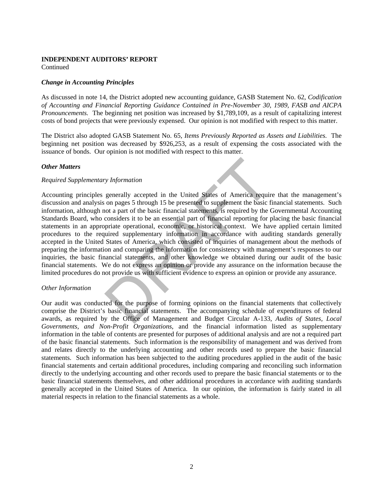## **INDEPENDENT AUDITORS' REPORT**

Continued

### *Change in Accounting Principles*

As discussed in note 14, the District adopted new accounting guidance, GASB Statement No. 62, *Codification of Accounting and Financial Reporting Guidance Contained in Pre-November 30, 1989, FASB and AICPA Pronouncements.* The beginning net position was increased by \$1,789,109, as a result of capitalizing interest costs of bond projects that were previously expensed. Our opinion is not modified with respect to this matter.

The District also adopted GASB Statement No. 65, *Items Previously Reported as Assets and Liabilities.* The beginning net position was decreased by \$926,253, as a result of expensing the costs associated with the issuance of bonds. Our opinion is not modified with respect to this matter.

## *Other Matters*

### *Required Supplementary Information*

Accounting principles generally accepted in the United States of America require that the management's discussion and analysis on pages 5 through 15 be presented to supplement the basic financial statements. Such information, although not a part of the basic financial statements, is required by the Governmental Accounting Standards Board, who considers it to be an essential part of financial reporting for placing the basic financial statements in an appropriate operational, economic, or historical context. We have applied certain limited procedures to the required supplementary information in accordance with auditing standards generally accepted in the United States of America, which consisted of inquiries of management about the methods of preparing the information and comparing the information for consistency with management's responses to our inquiries, the basic financial statements, and other knowledge we obtained during our audit of the basic financial statements. We do not express an opinion or provide any assurance on the information because the limited procedures do not provide us with sufficient evidence to express an opinion or provide any assurance. ry Information<br>generally accepted in the United States of America requir<br>on pages 5 through 15 be presented to supplement the basic foot a part of the basic financial statements, is required by the t<br>considers it to be an

### *Other Information*

Our audit was conducted for the purpose of forming opinions on the financial statements that collectively comprise the District's basic financial statements. The accompanying schedule of expenditures of federal awards, as required by the Office of Management and Budget Circular A-133, *Audits of States, Local Governments, and Non-Profit Organizations*, and the financial information listed as supplementary information in the table of contents are presented for purposes of additional analysis and are not a required part of the basic financial statements. Such information is the responsibility of management and was derived from and relates directly to the underlying accounting and other records used to prepare the basic financial statements. Such information has been subjected to the auditing procedures applied in the audit of the basic financial statements and certain additional procedures, including comparing and reconciling such information directly to the underlying accounting and other records used to prepare the basic financial statements or to the basic financial statements themselves, and other additional procedures in accordance with auditing standards generally accepted in the United States of America. In our opinion, the information is fairly stated in all material respects in relation to the financial statements as a whole.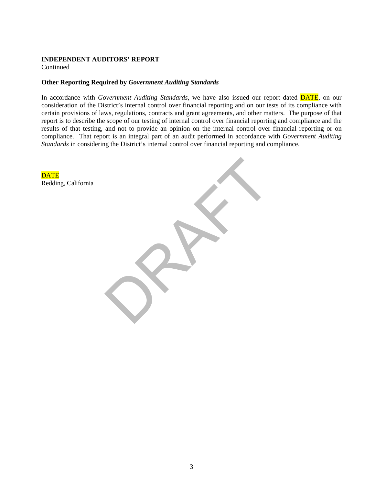# **INDEPENDENT AUDITORS' REPORT**

Continued

## **Other Reporting Required by** *Government Auditing Standards*

In accordance with *Government Auditing Standards*, we have also issued our report dated DATE, on our consideration of the District's internal control over financial reporting and on our tests of its compliance with certain provisions of laws, regulations, contracts and grant agreements, and other matters. The purpose of that report is to describe the scope of our testing of internal control over financial reporting and compliance and the results of that testing, and not to provide an opinion on the internal control over financial reporting or on compliance. That report is an integral part of an audit performed in accordance with *Government Auditing Standards* in considering the District's internal control over financial reporting and compliance.

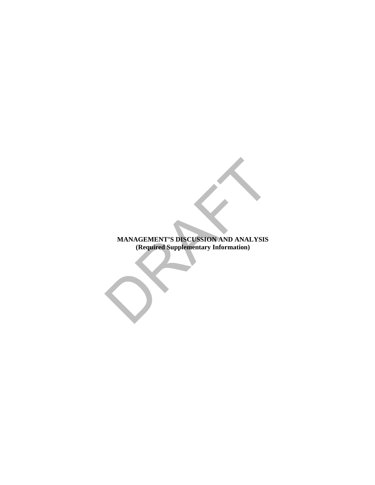**MANAGEMENT'S DISCUSSION AND ANALYSIS (Required Supplementary Information)**  MANAGEMENT'S DISCUSSION AND ANALYSIS<br>(Required Supplementary Information)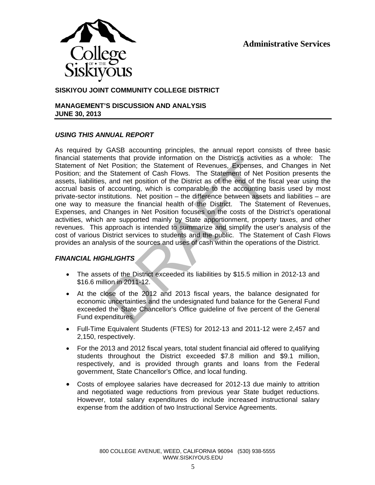**Administrative Services** 



## **SISKIYOU JOINT COMMUNITY COLLEGE DISTRICT**

**MANAGEMENT'S DISCUSSION AND ANALYSIS JUNE 30, 2013** 

## *USING THIS ANNUAL REPORT*

As required by GASB accounting principles, the annual report consists of three basic financial statements that provide information on the District's activities as a whole: The Statement of Net Position; the Statement of Revenues, Expenses, and Changes in Net Position; and the Statement of Cash Flows. The Statement of Net Position presents the assets, liabilities, and net position of the District as of the end of the fiscal year using the accrual basis of accounting, which is comparable to the accounting basis used by most private-sector institutions. Net position – the difference between assets and liabilities – are one way to measure the financial health of the District. The Statement of Revenues, Expenses, and Changes in Net Position focuses on the costs of the District's operational activities, which are supported mainly by State apportionment, property taxes, and other revenues. This approach is intended to summarize and simplify the user's analysis of the cost of various District services to students and the public. The Statement of Cash Flows provides an analysis of the sources and uses of cash within the operations of the District. ents that provide information on the District's activities<br>at Position; the Statement of Revenues, Expenses, and<br>ee Statement of Cash Flows. The Statement of Net P<br>is accounting, which is comparable to the eacounting b<br>sti

## *FINANCIAL HIGHLIGHTS*

- The assets of the District exceeded its liabilities by \$15.5 million in 2012-13 and \$16.6 million in 2011-12.
- At the close of the 2012 and 2013 fiscal years, the balance designated for economic uncertainties and the undesignated fund balance for the General Fund exceeded the State Chancellor's Office guideline of five percent of the General Fund expenditures.
- Full-Time Equivalent Students (FTES) for 2012-13 and 2011-12 were 2,457 and 2,150, respectively.
- For the 2013 and 2012 fiscal years, total student financial aid offered to qualifying students throughout the District exceeded \$7.8 million and \$9.1 million, respectively, and is provided through grants and loans from the Federal government, State Chancellor's Office, and local funding.
- Costs of employee salaries have decreased for 2012-13 due mainly to attrition and negotiated wage reductions from previous year State budget reductions. However, total salary expenditures do include increased instructional salary expense from the addition of two Instructional Service Agreements.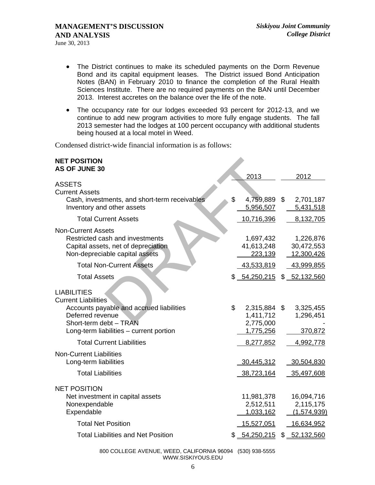- The District continues to make its scheduled payments on the Dorm Revenue Bond and its capital equipment leases. The District issued Bond Anticipation Notes (BAN) in February 2010 to finance the completion of the Rural Health Sciences Institute. There are no required payments on the BAN until December 2013. Interest accretes on the balance over the life of the note.
- The occupancy rate for our lodges exceeded 93 percent for 2012-13, and we continue to add new program activities to more fully engage students. The fall 2013 semester had the lodges at 100 percent occupancy with additional students being housed at a local motel in Weed.

Condensed district-wide financial information is as follows:

| <b>NET POSITION</b><br><b>AS OF JUNE 30</b>                                                                                           |                                     |                                       |
|---------------------------------------------------------------------------------------------------------------------------------------|-------------------------------------|---------------------------------------|
|                                                                                                                                       | 2013                                | 2012                                  |
| <b>ASSETS</b><br><b>Current Assets</b><br>Cash, investments, and short-term receivables                                               | \$<br>4,759,889 \$                  | 2,701,187                             |
| Inventory and other assets                                                                                                            | 5,956,507                           | 5,431,518                             |
| <b>Total Current Assets</b>                                                                                                           | 10,716,396                          | 8,132,705                             |
| <b>Non-Current Assets</b><br>Restricted cash and investments<br>Capital assets, net of depreciation<br>Non-depreciable capital assets | 1,697,432<br>41,613,248<br>223,139  | 1,226,876<br>30,472,553<br>12,300,426 |
| <b>Total Non-Current Assets</b>                                                                                                       | 43,533,819                          | 43,999,855                            |
| <b>Total Assets</b>                                                                                                                   | 54,250,215                          | \$ 52,132,560                         |
| <b>LIABILITIES</b><br><b>Current Liabilities</b><br>Accounts payable and accrued liabilities                                          | \$<br>2,315,884 \$                  | 3,325,455                             |
| Deferred revenue<br>Short-term debt - TRAN<br>Long-term liabilities - current portion                                                 | 1,411,712<br>2,775,000<br>1,775,256 | 1,296,451<br>370,872                  |
| <b>Total Current Liabilities</b>                                                                                                      | 8,277,852                           | 4,992,778                             |
| <b>Non-Current Liabilities</b><br>Long-term liabilities                                                                               | 30,445,312                          | 30,504,830                            |
| <b>Total Liabilities</b>                                                                                                              | 38,723,164                          | 35,497,608                            |
| <b>NET POSITION</b>                                                                                                                   |                                     |                                       |
| Net investment in capital assets<br>Nonexpendable                                                                                     | 11,981,378<br>2,512,511             | 16,094,716<br>2,115,175               |
| Expendable                                                                                                                            | 1,033,162                           | (1,574,939)                           |
| <b>Total Net Position</b>                                                                                                             | <u>15,527,051</u>                   | 16,634,952                            |
| <b>Total Liabilities and Net Position</b>                                                                                             | 54,250,215                          | \$<br>52,132,560                      |

800 COLLEGE AVENUE, WEED, CALIFORNIA 96094 (530) 938-5555 WWW.SISKIYOUS.EDU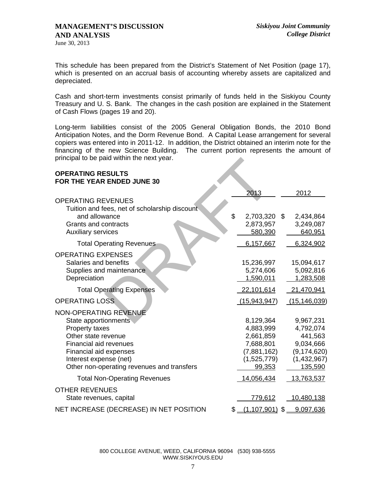This schedule has been prepared from the District's Statement of Net Position (page 17), which is presented on an accrual basis of accounting whereby assets are capitalized and depreciated.

Cash and short-term investments consist primarily of funds held in the Siskiyou County Treasury and U. S. Bank. The changes in the cash position are explained in the Statement of Cash Flows (pages 19 and 20).

Long-term liabilities consist of the 2005 General Obligation Bonds, the 2010 Bond Anticipation Notes, and the Dorm Revenue Bond. A Capital Lease arrangement for several copiers was entered into in 2011-12. In addition, the District obtained an interim note for the financing of the new Science Building. The current portion represents the amount of principal to be paid within the next year.

#### **OPERATING RESULTS FOR THE YEAR ENDED JUNE 30**

| principal to be paid within the next year.                                                                                                                                                                                                                       |                                                                                                        |                                                                                                         |
|------------------------------------------------------------------------------------------------------------------------------------------------------------------------------------------------------------------------------------------------------------------|--------------------------------------------------------------------------------------------------------|---------------------------------------------------------------------------------------------------------|
| <b>OPERATING RESULTS</b><br><b>FOR THE YEAR ENDED JUNE 30</b>                                                                                                                                                                                                    |                                                                                                        |                                                                                                         |
|                                                                                                                                                                                                                                                                  | 2013                                                                                                   | 2012                                                                                                    |
| <b>OPERATING REVENUES</b><br>Tuition and fees, net of scholarship discount<br>and allowance<br>Grants and contracts<br><b>Auxiliary services</b>                                                                                                                 | \$<br>2,703,320 \$<br>2,873,957<br>580,390                                                             | 2,434,864<br>3,249,087<br>640,951                                                                       |
| <b>Total Operating Revenues</b>                                                                                                                                                                                                                                  | 6,157,667                                                                                              | 6,324,902                                                                                               |
| <b>OPERATING EXPENSES</b><br>Salaries and benefits<br>Supplies and maintenance<br>Depreciation                                                                                                                                                                   | 15,236,997<br>5,274,606<br>1,590,011                                                                   | 15,094,617<br>5,092,816<br>1,283,508                                                                    |
| <b>Total Operating Expenses</b>                                                                                                                                                                                                                                  | 22,101,614                                                                                             | 21,470,941                                                                                              |
| <b>OPERATING LOSS</b>                                                                                                                                                                                                                                            | (15,943,947)                                                                                           | (15, 146, 039)                                                                                          |
| NON-OPERATING REVENUE<br>State apportionments<br>Property taxes<br>Other state revenue<br><b>Financial aid revenues</b><br>Financial aid expenses<br>Interest expense (net)<br>Other non-operating revenues and transfers<br><b>Total Non-Operating Revenues</b> | 8,129,364<br>4,883,999<br>2,661,859<br>7,688,801<br>(7,881,162)<br>(1,525,779)<br>99,353<br>14,056,434 | 9,967,231<br>4,792,074<br>441,563<br>9,034,666<br>(9, 174, 620)<br>(1,432,967)<br>135,590<br>13,763,537 |
| <b>OTHER REVENUES</b>                                                                                                                                                                                                                                            |                                                                                                        |                                                                                                         |
| State revenues, capital                                                                                                                                                                                                                                          | 779,612                                                                                                | 10,480,138                                                                                              |
| NET INCREASE (DECREASE) IN NET POSITION                                                                                                                                                                                                                          | \$<br>$(1,107,901)$ \$                                                                                 | 9,097,636                                                                                               |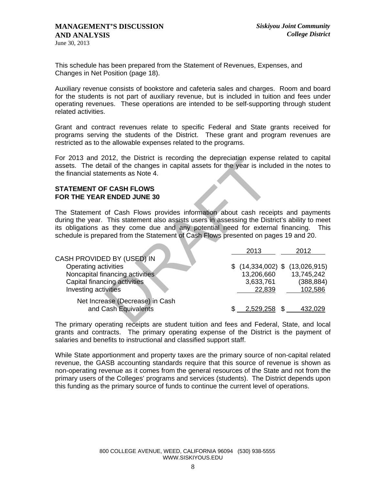This schedule has been prepared from the Statement of Revenues, Expenses, and Changes in Net Position (page 18).

Auxiliary revenue consists of bookstore and cafeteria sales and charges. Room and board for the students is not part of auxiliary revenue, but is included in tuition and fees under operating revenues. These operations are intended to be self-supporting through student related activities.

Grant and contract revenues relate to specific Federal and State grants received for programs serving the students of the District. These grant and program revenues are restricted as to the allowable expenses related to the programs.

For 2013 and 2012, the District is recording the depreciation expense related to capital assets. The detail of the changes in capital assets for the year is included in the notes to the financial statements as Note 4.

## **STATEMENT OF CASH FLOWS FOR THE YEAR ENDED JUNE 30**

| For 2013 and 2012, the District is recording the depreciation expense related to capita<br>assets. The detail of the changes in capital assets for the year is included in the notes to<br>the financial statements as Note 4.                                                                                                                                    |                             |                                                                                      |
|-------------------------------------------------------------------------------------------------------------------------------------------------------------------------------------------------------------------------------------------------------------------------------------------------------------------------------------------------------------------|-----------------------------|--------------------------------------------------------------------------------------|
| <b>STATEMENT OF CASH FLOWS</b><br>FOR THE YEAR ENDED JUNE 30                                                                                                                                                                                                                                                                                                      |                             |                                                                                      |
| The Statement of Cash Flows provides information about cash receipts and payments<br>during the year. This statement also assists users in assessing the District's ability to mee<br>its obligations as they come due and any potential need for external financing. This<br>schedule is prepared from the Statement of Cash Flows presented on pages 19 and 20. |                             |                                                                                      |
|                                                                                                                                                                                                                                                                                                                                                                   | 2013                        | 2012                                                                                 |
| CASH PROVIDED BY (USED) IN<br>Operating activities<br>Noncapital financing activities<br>Capital financing activities<br>Investing activities                                                                                                                                                                                                                     | 3,633,761<br>22,839         | $$$ (14,334,002) $$$ (13,026,915)<br>13,206,660  13,745,242<br>(388, 884)<br>102,586 |
| Net Increase (Decrease) in Cash<br>and Cash Equivalents                                                                                                                                                                                                                                                                                                           | \$ <u>__2,529,258</u> \$___ | 432,029                                                                              |
| The numerulation undit are of districted this and fees and Federal Cipic and loss                                                                                                                                                                                                                                                                                 |                             |                                                                                      |

The primary operating receipts are student tuition and fees and Federal, State, and local grants and contracts. The primary operating expense of the District is the payment of salaries and benefits to instructional and classified support staff.

While State apportionment and property taxes are the primary source of non-capital related revenue, the GASB accounting standards require that this source of revenue is shown as non-operating revenue as it comes from the general resources of the State and not from the primary users of the Colleges' programs and services (students). The District depends upon this funding as the primary source of funds to continue the current level of operations.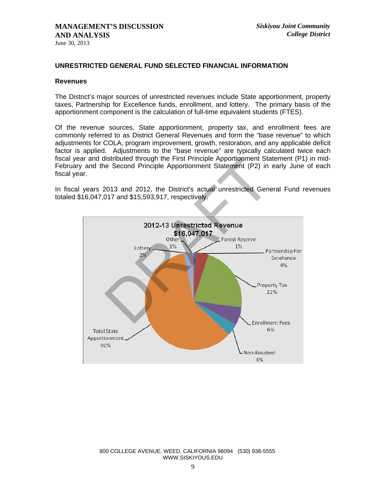#### **UNRESTRICTED GENERAL FUND SELECTED FINANCIAL INFORMATION**

#### **Revenues**

The District's major sources of unrestricted revenues include State apportionment, property taxes, Partnership for Excellence funds, enrollment, and lottery. The primary basis of the apportionment component is the calculation of full-time equivalent students (FTES).

Of the revenue sources, State apportionment, property tax, and enrollment fees are commonly referred to as District General Revenues and form the "base revenue" to which adjustments for COLA, program improvement, growth, restoration, and any applicable deficit factor is applied. Adjustments to the "base revenue" are typically calculated twice each fiscal year and distributed through the First Principle Apportionment Statement (P1) in mid-February and the Second Principle Apportionment Statement (P2) in early June of each fiscal year.

In fiscal years 2013 and 2012, the District's actual unrestricted General Fund revenues totaled \$16,047,017 and \$15,593,917, respectively.

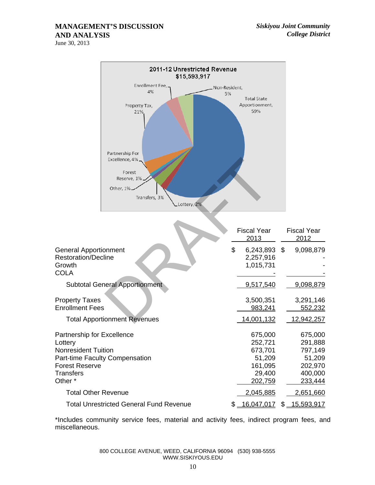# **MANAGEMENT'S DISCUSSION AND ANALYSIS**

June 30, 2013



| Excellence, 4%<br>Forest<br>Reserve, 1%<br>Other, 1%.<br>Transfers, 3%<br>Lottery, 2%                                                                                    |                                                                         |              |                                                                          |
|--------------------------------------------------------------------------------------------------------------------------------------------------------------------------|-------------------------------------------------------------------------|--------------|--------------------------------------------------------------------------|
|                                                                                                                                                                          | <b>Fiscal Year</b><br>2013                                              |              | <b>Fiscal Year</b><br>2012                                               |
| <b>General Apportionment</b><br><b>Restoration/Decline</b><br>Growth<br><b>COLA</b>                                                                                      | \$<br>6,243,893<br>2,257,916<br>1,015,731                               | $\mathbb{S}$ | 9,098,879                                                                |
| <b>Subtotal General Apportionment</b>                                                                                                                                    | 9,517,540                                                               |              | 9,098,879                                                                |
| <b>Property Taxes</b><br><b>Enrollment Fees</b>                                                                                                                          | 3,500,351<br>983,241                                                    |              | 3,291,146<br>552,232                                                     |
| <b>Total Apportionment Revenues</b>                                                                                                                                      | 14,001,132                                                              |              | <u>12,942,257</u>                                                        |
| Partnership for Excellence<br>Lottery<br><b>Nonresident Tuition</b><br>Part-time Faculty Compensation<br><b>Forest Reserve</b><br><b>Transfers</b><br>Other <sup>*</sup> | 675,000<br>252,721<br>673,701<br>51,209<br>161,095<br>29,400<br>202,759 |              | 675,000<br>291,888<br>797,149<br>51,209<br>202,970<br>400,000<br>233,444 |
| <b>Total Other Revenue</b>                                                                                                                                               | 2,045,885                                                               |              | 2,651,660                                                                |
| <b>Total Unrestricted General Fund Revenue</b>                                                                                                                           | 16,047,017                                                              | \$           | <u>15,593,917</u>                                                        |

\*Includes community service fees, material and activity fees, indirect program fees, and miscellaneous.

> 800 COLLEGE AVENUE, WEED, CALIFORNIA 96094 (530) 938-5555 WWW.SISKIYOUS.EDU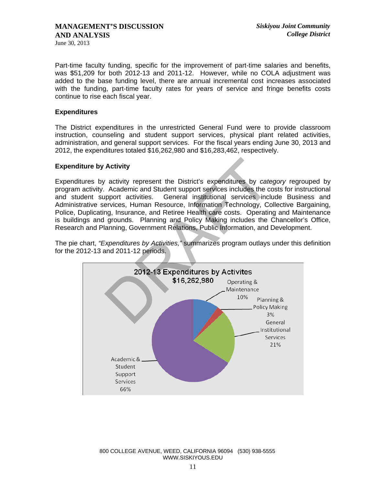#### **MANAGEMENT'S DISCUSSION AND ANALYSIS**  June 30, 2013

Part-time faculty funding, specific for the improvement of part-time salaries and benefits, was \$51,209 for both 2012-13 and 2011-12. However, while no COLA adjustment was added to the base funding level, there are annual incremental cost increases associated with the funding, part-time faculty rates for years of service and fringe benefits costs continue to rise each fiscal year.

### **Expenditures**

The District expenditures in the unrestricted General Fund were to provide classroom instruction, counseling and student support services, physical plant related activities, administration, and general support services. For the fiscal years ending June 30, 2013 and 2012, the expenditures totaled \$16,262,980 and \$16,283,462, respectively.

### **Expenditure by Activity**

Expenditures by activity represent the District's expenditures by *category* regrouped by program activity. Academic and Student support services includes the costs for instructional and student support activities. General institutional services include Business and Administrative services, Human Resource, Information Technology, Collective Bargaining, Police, Duplicating, Insurance, and Retiree Health care costs. Operating and Maintenance is buildings and grounds. Planning and Policy Making includes the Chancellor's Office, Research and Planning, Government Relations, Public Information, and Development.

The pie chart, *"Expenditures by Activities,"* summarizes program outlays under this definition for the 2012-13 and 2011-12 periods.

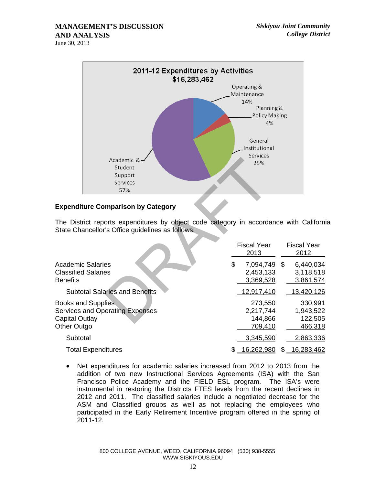# **MANAGEMENT'S DISCUSSION AND ANALYSIS**

June 30, 2013



## **Expenditure Comparison by Category**

|                               | Academic $&\angle$<br>Student<br>Support<br>Services<br>57%                                                                                | 25%                                          |                                            |
|-------------------------------|--------------------------------------------------------------------------------------------------------------------------------------------|----------------------------------------------|--------------------------------------------|
|                               | <b>Expenditure Comparison by Category</b>                                                                                                  |                                              |                                            |
|                               | The District reports expenditures by object code category in accordance with Californi<br>State Chancellor's Office guidelines as follows: |                                              |                                            |
|                               |                                                                                                                                            | <b>Fiscal Year</b><br>2013                   | <b>Fiscal Year</b><br>2012                 |
| <b>Benefits</b>               | <b>Academic Salaries</b><br><b>Classified Salaries</b>                                                                                     | 7,094,749 \$<br>\$<br>2,453,133<br>3,369,528 | 6,440,034<br>3,118,518<br>3,861,574        |
|                               | <b>Subtotal Salaries and Benefits</b>                                                                                                      | 12,917,410                                   | 13,420,126                                 |
| Capital Outlay<br>Other Outgo | <b>Books and Supplies</b><br><b>Services and Operating Expenses</b>                                                                        | 273,550<br>2,217,744<br>144,866<br>709,410   | 330,991<br>1,943,522<br>122,505<br>466,318 |
| Subtotal                      |                                                                                                                                            | 3,345,590                                    | <u>2,863,336</u>                           |
|                               | <b>Total Expenditures</b>                                                                                                                  | <u>16,262,980</u><br>\$                      | $\mathcal{L}$<br>16,283,462                |

 Net expenditures for academic salaries increased from 2012 to 2013 from the addition of two new Instructional Services Agreements (ISA) with the San Francisco Police Academy and the FIELD ESL program. The ISA's were instrumental in restoring the Districts FTES levels from the recent declines in 2012 and 2011. The classified salaries include a negotiated decrease for the ASM and Classified groups as well as not replacing the employees who participated in the Early Retirement Incentive program offered in the spring of 2011-12.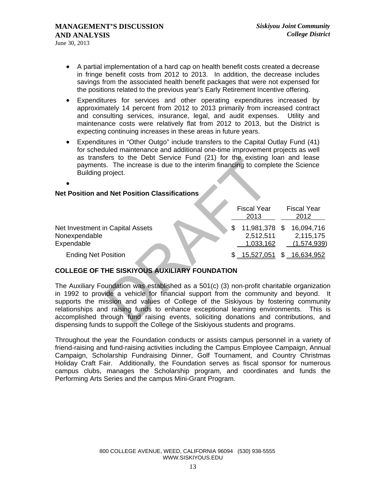- A partial implementation of a hard cap on health benefit costs created a decrease in fringe benefit costs from 2012 to 2013. In addition, the decrease includes savings from the associated health benefit packages that were not expensed for the positions related to the previous year's Early Retirement Incentive offering.
- Expenditures for services and other operating expenditures increased by approximately 14 percent from 2012 to 2013 primarily from increased contract and consulting services, insurance, legal, and audit expenses. Utility and maintenance costs were relatively flat from 2012 to 2013, but the District is expecting continuing increases in these areas in future years.
- Expenditures in "Other Outgo" include transfers to the Capital Outlay Fund (41) for scheduled maintenance and additional one-time improvement projects as well as transfers to the Debt Service Fund (21) for the existing loan and lease payments. The increase is due to the interim financing to complete the Science Building project.

## **Net Position and Net Position Classifications**

| as transiers to the Debt Service Fund (21) for the existing loan and lease<br>payments. The increase is due to the interim financing to complete the Science<br>Building project.                                                                                                                                                                                                                                                                                                                                                                            |                              |                                                      |
|--------------------------------------------------------------------------------------------------------------------------------------------------------------------------------------------------------------------------------------------------------------------------------------------------------------------------------------------------------------------------------------------------------------------------------------------------------------------------------------------------------------------------------------------------------------|------------------------------|------------------------------------------------------|
| <b>Net Position and Net Position Classifications</b>                                                                                                                                                                                                                                                                                                                                                                                                                                                                                                         |                              |                                                      |
|                                                                                                                                                                                                                                                                                                                                                                                                                                                                                                                                                              | <b>Fiscal Year</b><br>2013   | <b>Fiscal Year</b><br>2012                           |
| Net Investment in Capital Assets<br>Nonexpendable<br>Expendable                                                                                                                                                                                                                                                                                                                                                                                                                                                                                              | £.<br>2,512,511<br>1,033,162 | 11,981,378 \$ 16,094,716<br>2,115,175<br>(1,574,939) |
| <b>Ending Net Position</b>                                                                                                                                                                                                                                                                                                                                                                                                                                                                                                                                   |                              | \$ 15.527,051 \$ 16.634,952                          |
| <b>COLLEGE OF THE SISKIYOUS AUXILIARY FOUNDATION</b>                                                                                                                                                                                                                                                                                                                                                                                                                                                                                                         |                              |                                                      |
| The Auxiliary Foundation was established as a 501(c) (3) non-profit charitable organization<br>in 1992 to provide a vehicle for financial support from the community and beyond. It<br>supports the mission and values of College of the Siskiyous by fostering community<br>relationships and raising funds to enhance exceptional learning environments. This is<br>accomplished through fund raising events, soliciting donations and contributions, and<br>بمعوارمهم والمتواصليات ويتمرض أوالمألف ومطالوها والملاقين وسترور والمساوي بالمستورة والمتواطن |                              |                                                      |

## **COLLEGE OF THE SISKIYOUS AUXILIARY FOUNDATION**

The Auxiliary Foundation was established as a 501(c) (3) non-profit charitable organization in 1992 to provide a vehicle for financial support from the community and beyond. It supports the mission and values of College of the Siskiyous by fostering community relationships and raising funds to enhance exceptional learning environments. This is accomplished through fund raising events, soliciting donations and contributions, and dispensing funds to support the College of the Siskiyous students and programs.

Throughout the year the Foundation conducts or assists campus personnel in a variety of friend-raising and fund-raising activities including the Campus Employee Campaign, Annual Campaign, Scholarship Fundraising Dinner, Golf Tournament, and Country Christmas Holiday Craft Fair. Additionally, the Foundation serves as fiscal sponsor for numerous campus clubs, manages the Scholarship program, and coordinates and funds the Performing Arts Series and the campus Mini-Grant Program.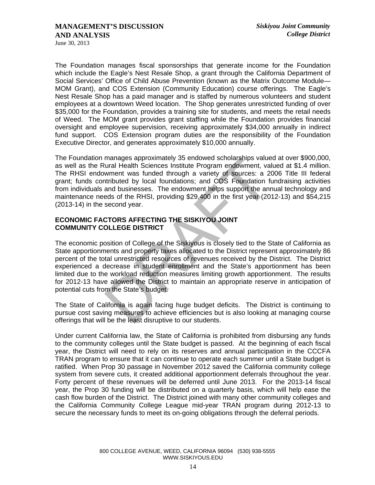The Foundation manages fiscal sponsorships that generate income for the Foundation which include the Eagle's Nest Resale Shop, a grant through the California Department of Social Services' Office of Child Abuse Prevention (known as the Matrix Outcome Module— MOM Grant), and COS Extension (Community Education) course offerings. The Eagle's Nest Resale Shop has a paid manager and is staffed by numerous volunteers and student employees at a downtown Weed location. The Shop generates unrestricted funding of over \$35,000 for the Foundation, provides a training site for students, and meets the retail needs of Weed. The MOM grant provides grant staffing while the Foundation provides financial oversight and employee supervision, receiving approximately \$34,000 annually in indirect fund support. COS Extension program duties are the responsibility of the Foundation Executive Director, and generates approximately \$10,000 annually.

The Foundation manages approximately 35 endowed scholarships valued at over \$900,000, as well as the Rural Health Sciences Institute Program endowment, valued at \$1.4 million. The RHSI endowment was funded through a variety of sources: a 2006 Title III federal grant; funds contributed by local foundations; and COS Foundation fundraising activities from individuals and businesses. The endowment helps support the annual technology and maintenance needs of the RHSI, providing \$29,400 in the first year (2012-13) and \$54,215 (2013-14) in the second year.

## **ECONOMIC FACTORS AFFECTING THE SISKIYOU JOINT COMMUNITY COLLEGE DISTRICT**

The economic position of College of the Siskiyous is closely tied to the State of California as State apportionments and property taxes allocated to the District represent approximately 86 percent of the total unrestricted resources of revenues received by the District. The District experienced a decrease in student enrollment and the State's apportionment has been limited due to the workload reduction measures limiting growth apportionment. The results for 2012-13 have allowed the District to maintain an appropriate reserve in anticipation of potential cuts from the State's budget. manages approximately 35 endowed scholarships value<br>ural Health Sciences Institute Program endowment, value<br>wment was funded through a variety of sources: a 2<br>thributed by local foundations; and COS Foundation from<br>and bus

The State of California is again facing huge budget deficits. The District is continuing to pursue cost saving measures to achieve efficiencies but is also looking at managing course offerings that will be the least disruptive to our students.

Under current California law, the State of California is prohibited from disbursing any funds to the community colleges until the State budget is passed. At the beginning of each fiscal year, the District will need to rely on its reserves and annual participation in the CCCFA TRAN program to ensure that it can continue to operate each summer until a State budget is ratified. When Prop 30 passage in November 2012 saved the California community college system from severe cuts, it created additional apportionment deferrals throughout the year. Forty percent of these revenues will be deferred until June 2013. For the 2013-14 fiscal year, the Prop 30 funding will be distributed on a quarterly basis, which will help ease the cash flow burden of the District. The District joined with many other community colleges and the California Community College League mid-year TRAN program during 2012-13 to secure the necessary funds to meet its on-going obligations through the deferral periods.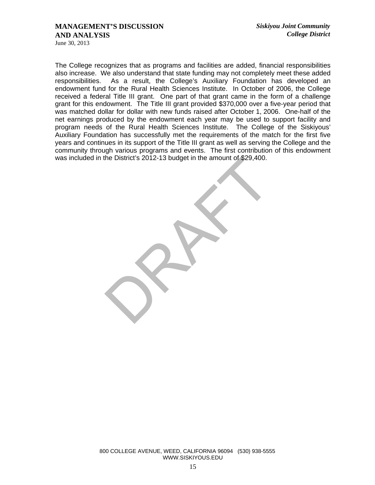# **MANAGEMENT'S DISCUSSION AND ANALYSIS**

June 30, 2013

The College recognizes that as programs and facilities are added, financial responsibilities also increase. We also understand that state funding may not completely meet these added responsibilities. As a result, the College's Auxiliary Foundation has developed an endowment fund for the Rural Health Sciences Institute. In October of 2006, the College received a federal Title III grant. One part of that grant came in the form of a challenge grant for this endowment. The Title III grant provided \$370,000 over a five-year period that was matched dollar for dollar with new funds raised after October 1, 2006. One-half of the net earnings produced by the endowment each year may be used to support facility and program needs of the Rural Health Sciences Institute. The College of the Siskiyous' Auxiliary Foundation has successfully met the requirements of the match for the first five years and continues in its support of the Title III grant as well as serving the College and the community through various programs and events. The first contribution of this endowment was included in the District's 2012-13 budget in the amount of \$29,400. The Districts 2012-13 budget in the amount of \$29,400.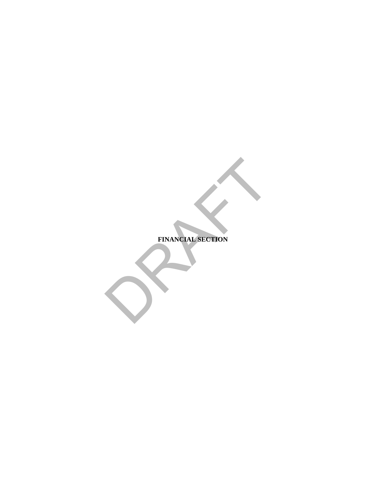**FINANCIAL SECTION** FINANCIAL SECTION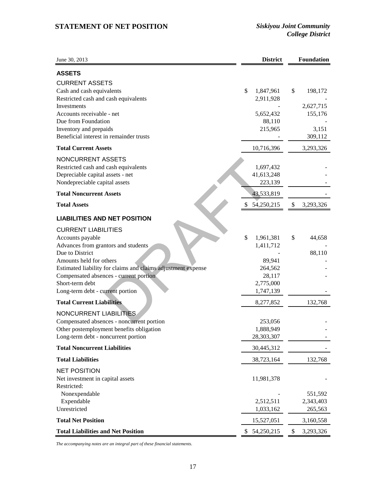## **STATEMENT OF NET POSITION** *Siskiyou Joint Community*

| June 30, 2013                                                                                                                                                                                               | <b>District</b>                                       |               | <b>Foundation</b>               |
|-------------------------------------------------------------------------------------------------------------------------------------------------------------------------------------------------------------|-------------------------------------------------------|---------------|---------------------------------|
| <b>ASSETS</b>                                                                                                                                                                                               |                                                       |               |                                 |
| <b>CURRENT ASSETS</b><br>Cash and cash equivalents<br>Restricted cash and cash equivalents                                                                                                                  | \$<br>1,847,961<br>2,911,928                          | \$            | 198,172                         |
| Investments<br>Accounts receivable - net                                                                                                                                                                    | 5,652,432                                             |               | 2,627,715<br>155,176            |
| Due from Foundation<br>Inventory and prepaids<br>Beneficial interest in remainder trusts                                                                                                                    | 88,110<br>215,965                                     |               | 3,151<br>309,112                |
| <b>Total Current Assets</b>                                                                                                                                                                                 | 10,716,396                                            |               | 3,293,326                       |
| NONCURRENT ASSETS<br>Restricted cash and cash equivalents<br>Depreciable capital assets - net<br>Nondepreciable capital assets                                                                              | 1,697,432<br>41,613,248<br>223,139                    |               |                                 |
| <b>Total Noncurrent Assets</b>                                                                                                                                                                              | 43,533,819                                            |               |                                 |
| <b>Total Assets</b>                                                                                                                                                                                         | 54,250,215                                            | $\mathsf{\$}$ | 3,293,326                       |
| <b>LIABILITIES AND NET POSITION</b>                                                                                                                                                                         |                                                       |               |                                 |
| <b>CURRENT LIABILITIES</b><br>Accounts payable<br>Advances from grantors and students                                                                                                                       | \$<br>1,961,381<br>1,411,712                          | \$            | 44,658                          |
| Due to District<br>Amounts held for others<br>Estimated liability for claims and claims adjustment expense<br>Compensated absences - current portion<br>Short-term debt<br>Long-term debt - current portion | 89,941<br>264,562<br>28,117<br>2,775,000<br>1,747,139 |               | 88,110                          |
| <b>Total Current Liabilities</b>                                                                                                                                                                            | 8,277,852                                             |               | 132,768                         |
| NONCURRENT LIABILITIES<br>Compensated absences - noncurrent portion<br>Other postemployment benefits obligation<br>Long-term debt - noncurrent portion                                                      | 253,056<br>1,888,949<br>28,303,307                    |               |                                 |
| <b>Total Noncurrent Liabilities</b>                                                                                                                                                                         | 30,445,312                                            |               |                                 |
| <b>Total Liabilities</b>                                                                                                                                                                                    | 38,723,164                                            |               | 132,768                         |
| <b>NET POSITION</b><br>Net investment in capital assets<br>Restricted:                                                                                                                                      | 11,981,378                                            |               |                                 |
| Nonexpendable<br>Expendable<br>Unrestricted                                                                                                                                                                 | 2,512,511<br>1,033,162                                |               | 551,592<br>2,343,403<br>265,563 |
| <b>Total Net Position</b>                                                                                                                                                                                   | 15,527,051                                            |               | 3,160,558                       |
| <b>Total Liabilities and Net Position</b>                                                                                                                                                                   | \$<br>54,250,215                                      | \$            | 3,293,326                       |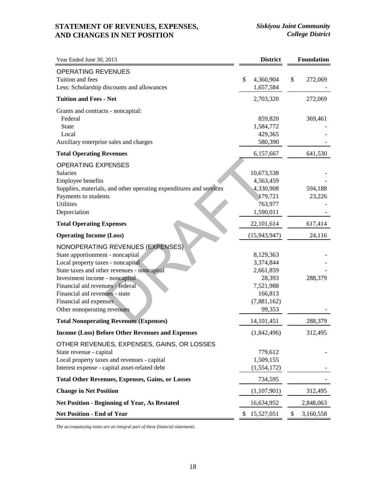## **STATEMENT OF REVENUES, EXPENSES, AND CHANGES IN NET POSITION**

| Year Ended June 30, 2013                                                                                                                                                                                                                                                                                                  | <b>District</b>                                                                                | <b>Foundation</b> |
|---------------------------------------------------------------------------------------------------------------------------------------------------------------------------------------------------------------------------------------------------------------------------------------------------------------------------|------------------------------------------------------------------------------------------------|-------------------|
| <b>OPERATING REVENUES</b><br>Tuition and fees<br>Less: Scholarship discounts and allowances                                                                                                                                                                                                                               | \$<br>4,360,904<br>1,657,584                                                                   | \$<br>272,069     |
| <b>Tuition and Fees - Net</b>                                                                                                                                                                                                                                                                                             | 2,703,320                                                                                      | 272,069           |
| Grants and contracts - noncapital:<br>Federal<br><b>State</b><br>Local<br>Auxiliary enterprise sales and charges                                                                                                                                                                                                          | 859,820<br>1,584,772<br>429,365<br>580,390                                                     | 369,461           |
| <b>Total Operating Revenues</b>                                                                                                                                                                                                                                                                                           | 6,157,667                                                                                      | 641,530           |
| <b>OPERATING EXPENSES</b><br>Salaries<br>Employee benefits<br>Supplies, materials, and other operating expenditures and services<br>Payments to students<br><b>Utilities</b><br>Depreciation                                                                                                                              | 10,673,538<br>4,563,459<br>4,330,908<br>179,721<br>763,977<br>1,590,011                        | 594,188<br>23,226 |
| <b>Total Operating Expenses</b>                                                                                                                                                                                                                                                                                           | 22,101,614                                                                                     | 617,414           |
| <b>Operating Income (Loss)</b>                                                                                                                                                                                                                                                                                            | (15, 943, 947)                                                                                 | 24,116            |
| NONOPERATING REVENUES (EXPENSES)<br>State apportionment - noncapital<br>Local property taxes - noncapital<br>State taxes and other revenues - noncapital<br>Investment income - noncapital<br>Financial aid revenues - federal<br>Financial aid revenues - state<br>Financial aid expenses<br>Other nonoperating revenues | 8,129,363<br>3,374,844<br>2,661,859<br>28,393<br>7,521,988<br>166,813<br>(7,881,162)<br>99,353 | 288,379           |
| <b>Total Nonoperating Revenues (Expenses)</b>                                                                                                                                                                                                                                                                             | 14,101,451                                                                                     | 288,379           |
| <b>Income (Loss) Before Other Revenues and Expenses</b>                                                                                                                                                                                                                                                                   | (1,842,496)                                                                                    | 312,495           |
| OTHER REVENUES, EXPENSES, GAINS, OR LOSSES<br>State revenue - capital<br>Local property taxes and revenues - capital<br>Interest expense - capital asset-related debt                                                                                                                                                     | 779,612<br>1,509,155<br>(1, 554, 172)                                                          |                   |
| <b>Total Other Revenues, Expenses, Gains, or Losses</b>                                                                                                                                                                                                                                                                   | 734,595                                                                                        |                   |
| <b>Change in Net Position</b>                                                                                                                                                                                                                                                                                             | (1,107,901)                                                                                    | 312,495           |
| <b>Net Position - Beginning of Year, As Restated</b>                                                                                                                                                                                                                                                                      | 16,634,952                                                                                     | 2,848,063         |
| Net Position - End of Year                                                                                                                                                                                                                                                                                                | 15,527,051<br>S.                                                                               | \$<br>3,160,558   |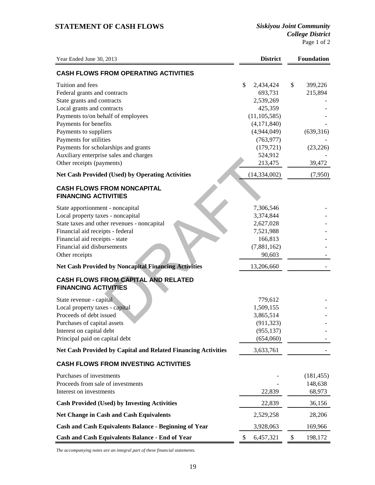**STATEMENT OF CASH FLOWS** *Siskiyou Joint Community*

*College District* Page 1 of 2

| Year Ended June 30, 2013                                                                                                                                                                                                                                               | <b>District</b>                                                                                                                  | Foundation                                         |
|------------------------------------------------------------------------------------------------------------------------------------------------------------------------------------------------------------------------------------------------------------------------|----------------------------------------------------------------------------------------------------------------------------------|----------------------------------------------------|
| <b>CASH FLOWS FROM OPERATING ACTIVITIES</b>                                                                                                                                                                                                                            |                                                                                                                                  |                                                    |
| Tuition and fees<br>Federal grants and contracts<br>State grants and contracts<br>Local grants and contracts<br>Payments to/on behalf of employees<br>Payments for benefits<br>Payments to suppliers<br>Payments for utilities<br>Payments for scholarships and grants | \$<br>2,434,424<br>693,731<br>2,539,269<br>425,359<br>(11, 105, 585)<br>(4, 171, 840)<br>(4,944,049)<br>(763, 977)<br>(179, 721) | \$<br>399,226<br>215,894<br>(639,316)<br>(23, 226) |
| Auxiliary enterprise sales and charges<br>Other receipts (payments)                                                                                                                                                                                                    | 524,912<br>213,475                                                                                                               | 39,472                                             |
| <b>Net Cash Provided (Used) by Operating Activities</b>                                                                                                                                                                                                                | (14, 334, 002)                                                                                                                   | (7,950)                                            |
| <b>CASH FLOWS FROM NONCAPITAL</b><br><b>FINANCING ACTIVITIES</b>                                                                                                                                                                                                       |                                                                                                                                  |                                                    |
| State apportionment - noncapital<br>Local property taxes - noncapital<br>State taxes and other revenues - noncapital<br>Financial aid receipts - federal<br>Financial aid receipts - state<br>Financial aid disbursements<br>Other receipts                            | 7,306,546<br>3,374,844<br>2,627,028<br>7,521,988<br>166,813<br>(7,881,162)<br>90,603                                             |                                                    |
| <b>Net Cash Provided by Noncapital Financing Activities</b>                                                                                                                                                                                                            | 13,206,660                                                                                                                       |                                                    |
| <b>CASH FLOWS FROM CAPITAL AND RELATED</b><br><b>FINANCING ACTIVITIES</b>                                                                                                                                                                                              |                                                                                                                                  |                                                    |
| State revenue - capital<br>Local property taxes - capital<br>Proceeds of debt issued<br>Purchases of capital assets<br>Interest on capital debt<br>Principal paid on capital debt                                                                                      | 779,612<br>1,509,155<br>3,865,514<br>(911, 323)<br>(955, 137)<br>(654,060)                                                       |                                                    |
| <b>Net Cash Provided by Capital and Related Financing Activities</b>                                                                                                                                                                                                   | 3,633,761                                                                                                                        |                                                    |
| <b>CASH FLOWS FROM INVESTING ACTIVITIES</b>                                                                                                                                                                                                                            |                                                                                                                                  |                                                    |
| Purchases of investments<br>Proceeds from sale of investments<br>Interest on investments                                                                                                                                                                               | 22,839                                                                                                                           | (181, 455)<br>148,638<br>68,973                    |
| <b>Cash Provided (Used) by Investing Activities</b>                                                                                                                                                                                                                    | 22,839                                                                                                                           | 36,156                                             |
| <b>Net Change in Cash and Cash Equivalents</b>                                                                                                                                                                                                                         | 2,529,258                                                                                                                        | 28,206                                             |
| <b>Cash and Cash Equivalents Balance - Beginning of Year</b>                                                                                                                                                                                                           | 3,928,063                                                                                                                        | 169,966                                            |
| <b>Cash and Cash Equivalents Balance - End of Year</b>                                                                                                                                                                                                                 | \$<br>6,457,321                                                                                                                  | \$<br>198,172                                      |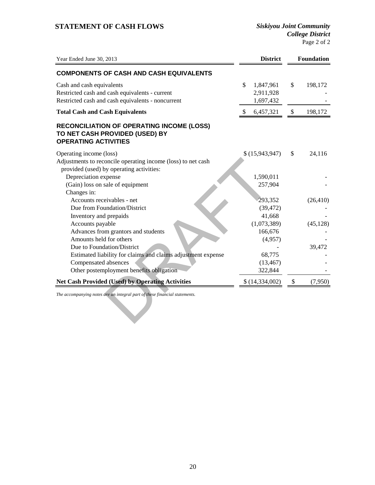## **STATEMENT OF CASH FLOWS** *Siskiyou Joint Community*

*College District*

Page 2 of 2

| Year Ended June 30, 2013                                                                                                                                       | <b>District</b>                           | <b>Foundation</b> |
|----------------------------------------------------------------------------------------------------------------------------------------------------------------|-------------------------------------------|-------------------|
| <b>COMPONENTS OF CASH AND CASH EQUIVALENTS</b>                                                                                                                 |                                           |                   |
| Cash and cash equivalents<br>Restricted cash and cash equivalents - current<br>Restricted cash and cash equivalents - noncurrent                               | \$<br>1,847,961<br>2,911,928<br>1,697,432 | \$<br>198,172     |
| <b>Total Cash and Cash Equivalents</b>                                                                                                                         | 6,457,321<br>\$                           | \$<br>198,172     |
| <b>RECONCILIATION OF OPERATING INCOME (LOSS)</b><br>TO NET CASH PROVIDED (USED) BY<br><b>OPERATING ACTIVITIES</b>                                              |                                           |                   |
| Operating income (loss)<br>Adjustments to reconcile operating income (loss) to net cash<br>provided (used) by operating activities:                            | \$(15,943,947)                            | \$<br>24,116      |
| Depreciation expense<br>(Gain) loss on sale of equipment<br>Changes in:                                                                                        | 1,590,011<br>257,904                      |                   |
| Accounts receivables - net<br>Due from Foundation/District<br>Inventory and prepaids                                                                           | 293,352<br>(39, 472)<br>41,668            | (26, 410)         |
| Accounts payable<br>Advances from grantors and students<br>Amounts held for others                                                                             | (1,073,389)<br>166,676<br>(4,957)         | (45, 128)         |
| Due to Foundation/District<br>Estimated liability for claims and claims adjustment expense<br>Compensated absences<br>Other postemployment benefits obligation | 68,775<br>(13, 467)<br>322,844            | 39,472            |
| <b>Net Cash Provided (Used) by Operating Activities</b>                                                                                                        | \$(14,334,002)                            | \$<br>(7,950)     |
| The accompanying notes are an integral part of these financial statements.                                                                                     |                                           |                   |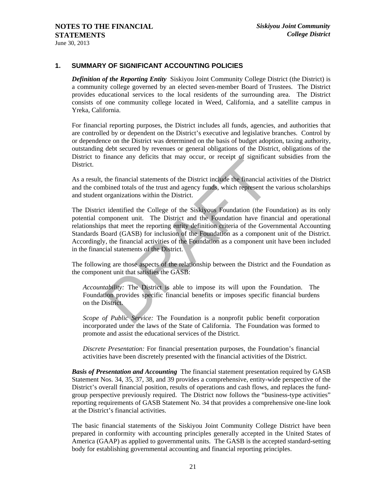### **1. SUMMARY OF SIGNIFICANT ACCOUNTING POLICIES**

*Definition of the Reporting Entity* Siskiyou Joint Community College District (the District) is a community college governed by an elected seven-member Board of Trustees. The District provides educational services to the local residents of the surrounding area. The District consists of one community college located in Weed, California, and a satellite campus in Yreka, California.

For financial reporting purposes, the District includes all funds, agencies, and authorities that are controlled by or dependent on the District's executive and legislative branches. Control by or dependence on the District was determined on the basis of budget adoption, taxing authority, outstanding debt secured by revenues or general obligations of the District, obligations of the District to finance any deficits that may occur, or receipt of significant subsidies from the District.

As a result, the financial statements of the District include the financial activities of the District and the combined totals of the trust and agency funds, which represent the various scholarships and student organizations within the District.

The District identified the College of the Siskiyous Foundation (the Foundation) as its only potential component unit. The District and the Foundation have financial and operational relationships that meet the reporting entity definition criteria of the Governmental Accounting Standards Board (GASB) for inclusion of the Foundation as a component unit of the District. Accordingly, the financial activities of the Foundation as a component unit have been included in the financial statements of the District. mance any denets that may occur, or receipt or signinear<br>the financial statements of the District include the financial ad<br>bined totals of the trust and agency funds, which represent the<br>organizations within the District.<br>

The following are those aspects of the relationship between the District and the Foundation as the component unit that satisfies the GASB:

*Accountability:* The District is able to impose its will upon the Foundation. The Foundation provides specific financial benefits or imposes specific financial burdens on the District.

*Scope of Public Service:* The Foundation is a nonprofit public benefit corporation incorporated under the laws of the State of California. The Foundation was formed to promote and assist the educational services of the District.

*Discrete Presentation:* For financial presentation purposes, the Foundation's financial activities have been discretely presented with the financial activities of the District.

*Basis of Presentation and Accounting* The financial statement presentation required by GASB Statement Nos. 34, 35, 37, 38, and 39 provides a comprehensive, entity-wide perspective of the District's overall financial position, results of operations and cash flows, and replaces the fundgroup perspective previously required. The District now follows the "business-type activities" reporting requirements of GASB Statement No. 34 that provides a comprehensive one-line look at the District's financial activities.

The basic financial statements of the Siskiyou Joint Community College District have been prepared in conformity with accounting principles generally accepted in the United States of America (GAAP) as applied to governmental units. The GASB is the accepted standard-setting body for establishing governmental accounting and financial reporting principles.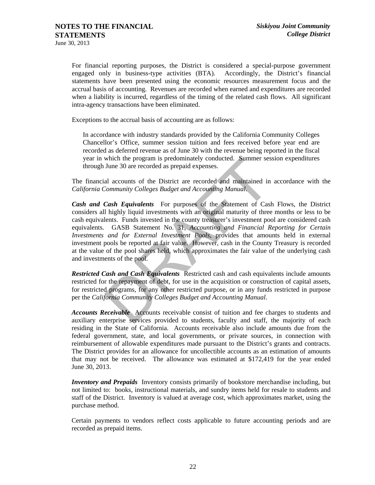For financial reporting purposes, the District is considered a special-purpose government engaged only in business-type activities (BTA). Accordingly, the District's financial statements have been presented using the economic resources measurement focus and the accrual basis of accounting. Revenues are recorded when earned and expenditures are recorded when a liability is incurred, regardless of the timing of the related cash flows. All significant intra-agency transactions have been eliminated.

Exceptions to the accrual basis of accounting are as follows:

In accordance with industry standards provided by the California Community Colleges Chancellor's Office, summer session tuition and fees received before year end are recorded as deferred revenue as of June 30 with the revenue being reported in the fiscal year in which the program is predominately conducted. Summer session expenditures through June 30 are recorded as prepaid expenses.

The financial accounts of the District are recorded and maintained in accordance with the *California Community Colleges Budget and Accounting Manual*.

*Cash and Cash Equivalents* For purposes of the Statement of Cash Flows, the District considers all highly liquid investments with an original maturity of three months or less to be cash equivalents. Funds invested in the county treasurer's investment pool are considered cash equivalents. GASB Statement No. 31, *Accounting and Financial Reporting for Certain Investments and for External Investment Pools*, provides that amounts held in external investment pools be reported at fair value. However, cash in the County Treasury is recorded at the value of the pool shares held, which approximates the fair value of the underlying cash and investments of the pool. which the program is predominately conducted. Summer ses<br>June 30 are recorded as prepaid expenses.<br>al accounts of the District are recorded and maintained in<br>Community Colleges Budget and Accounting Manual.<br>Cash Equivalent

*Restricted Cash and Cash Equivalents* Restricted cash and cash equivalents include amounts restricted for the repayment of debt, for use in the acquisition or construction of capital assets, for restricted programs, for any other restricted purpose, or in any funds restricted in purpose per the *California Community Colleges Budget and Accounting Manual*.

*Accounts Receivable* Accounts receivable consist of tuition and fee charges to students and auxiliary enterprise services provided to students, faculty and staff, the majority of each residing in the State of California. Accounts receivable also include amounts due from the federal government, state, and local governments, or private sources, in connection with reimbursement of allowable expenditures made pursuant to the District's grants and contracts. The District provides for an allowance for uncollectible accounts as an estimation of amounts that may not be received. The allowance was estimated at \$172,419 for the year ended June 30, 2013.

*Inventory and Prepaids* Inventory consists primarily of bookstore merchandise including, but not limited to: books, instructional materials, and sundry items held for resale to students and staff of the District. Inventory is valued at average cost, which approximates market, using the purchase method.

Certain payments to vendors reflect costs applicable to future accounting periods and are recorded as prepaid items.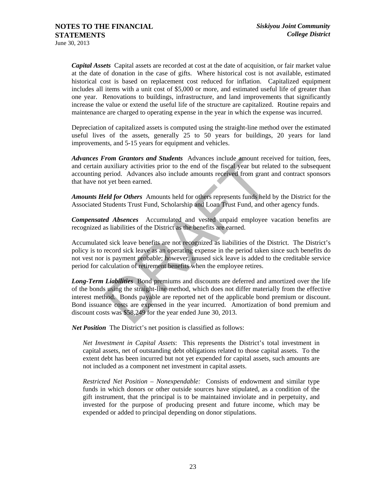*Capital Assets* Capital assets are recorded at cost at the date of acquisition, or fair market value at the date of donation in the case of gifts. Where historical cost is not available, estimated historical cost is based on replacement cost reduced for inflation. Capitalized equipment includes all items with a unit cost of \$5,000 or more, and estimated useful life of greater than one year. Renovations to buildings, infrastructure, and land improvements that significantly increase the value or extend the useful life of the structure are capitalized. Routine repairs and maintenance are charged to operating expense in the year in which the expense was incurred.

Depreciation of capitalized assets is computed using the straight-line method over the estimated useful lives of the assets, generally 25 to 50 years for buildings, 20 years for land improvements, and 5-15 years for equipment and vehicles.

*Advances From Grantors and Students* Advances include amount received for tuition, fees, and certain auxiliary activities prior to the end of the fiscal year but related to the subsequent accounting period. Advances also include amounts received from grant and contract sponsors that have not yet been earned.

*Amounts Held for Others* Amounts held for others represents funds held by the District for the Associated Students Trust Fund, Scholarship and Loan Trust Fund, and other agency funds.

*Compensated Absences* Accumulated and vested unpaid employee vacation benefits are recognized as liabilities of the District as the benefits are earned.

Accumulated sick leave benefits are not recognized as liabilities of the District. The District's policy is to record sick leave as an operating expense in the period taken since such benefits do not vest nor is payment probable; however, unused sick leave is added to the creditable service period for calculation of retirement benefits when the employee retires.

*Long-Term Liabilities* Bond premiums and discounts are deferred and amortized over the life of the bonds using the straight-line method, which does not differ materially from the effective interest method. Bonds payable are reported net of the applicable bond premium or discount. Bond issuance costs are expensed in the year incurred. Amortization of bond premium and discount costs was \$58,249 for the year ended June 30, 2013. **From Grantors and Students** Advances include amount receauxiliary activities prior to the end of the fiscal year but relations. Advances also include amounts received from grant tyet been earned.<br> *eld for Others* Amounts

*Net Position* The District's net position is classified as follows:

*Net Investment in Capital Assets*: This represents the District's total investment in capital assets, net of outstanding debt obligations related to those capital assets. To the extent debt has been incurred but not yet expended for capital assets, such amounts are not included as a component net investment in capital assets.

*Restricted Net Position – Nonexpendable:* Consists of endowment and similar type funds in which donors or other outside sources have stipulated, as a condition of the gift instrument, that the principal is to be maintained inviolate and in perpetuity, and invested for the purpose of producing present and future income, which may be expended or added to principal depending on donor stipulations.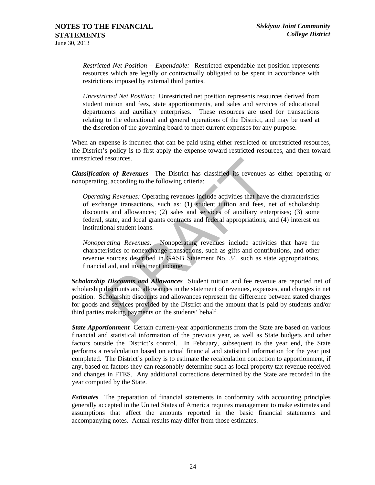*Restricted Net Position – Expendable:* Restricted expendable net position represents resources which are legally or contractually obligated to be spent in accordance with restrictions imposed by external third parties.

*Unrestricted Net Position:* Unrestricted net position represents resources derived from student tuition and fees, state apportionments, and sales and services of educational departments and auxiliary enterprises. These resources are used for transactions relating to the educational and general operations of the District, and may be used at the discretion of the governing board to meet current expenses for any purpose.

When an expense is incurred that can be paid using either restricted or unrestricted resources, the District's policy is to first apply the expense toward restricted resources, and then toward unrestricted resources.

*Classification of Revenues* The District has classified its revenues as either operating or nonoperating, according to the following criteria:

*Operating Revenues:* Operating revenues include activities that have the characteristics of exchange transactions, such as: (1) student tuition and fees, net of scholarship discounts and allowances; (2) sales and services of auxiliary enterprises; (3) some federal, state, and local grants contracts and federal appropriations; and (4) interest on institutional student loans. DRAFT

*Nonoperating Revenues:* Nonoperating revenues include activities that have the characteristics of nonexchange transactions, such as gifts and contributions, and other revenue sources described in GASB Statement No. 34, such as state appropriations, financial aid, and investment income.

*Scholarship Discounts and Allowances* Student tuition and fee revenue are reported net of scholarship discounts and allowances in the statement of revenues, expenses, and changes in net position. Scholarship discounts and allowances represent the difference between stated charges for goods and services provided by the District and the amount that is paid by students and/or third parties making payments on the students' behalf.

*State Apportionment* Certain current-year apportionments from the State are based on various financial and statistical information of the previous year, as well as State budgets and other factors outside the District's control. In February, subsequent to the year end, the State performs a recalculation based on actual financial and statistical information for the year just completed. The District's policy is to estimate the recalculation correction to apportionment, if any, based on factors they can reasonably determine such as local property tax revenue received and changes in FTES. Any additional corrections determined by the State are recorded in the year computed by the State.

*Estimates* The preparation of financial statements in conformity with accounting principles generally accepted in the United States of America requires management to make estimates and assumptions that affect the amounts reported in the basic financial statements and accompanying notes. Actual results may differ from those estimates.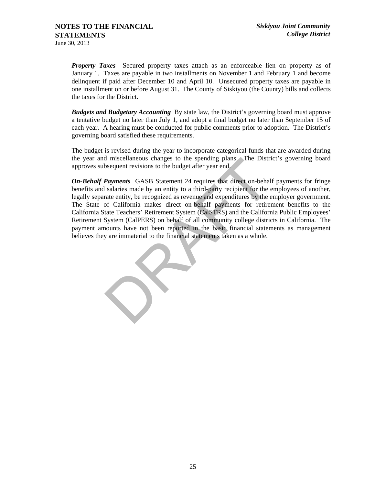*Property Taxes* Secured property taxes attach as an enforceable lien on property as of January 1. Taxes are payable in two installments on November 1 and February 1 and become delinquent if paid after December 10 and April 10. Unsecured property taxes are payable in one installment on or before August 31. The County of Siskiyou (the County) bills and collects the taxes for the District.

*Budgets and Budgetary Accounting* By state law, the District's governing board must approve a tentative budget no later than July 1, and adopt a final budget no later than September 15 of each year. A hearing must be conducted for public comments prior to adoption. The District's governing board satisfied these requirements.

The budget is revised during the year to incorporate categorical funds that are awarded during the year and miscellaneous changes to the spending plans. The District's governing board approves subsequent revisions to the budget after year end.

*On-Behalf Payments* GASB Statement 24 requires that direct on-behalf payments for fringe benefits and salaries made by an entity to a third-party recipient for the employees of another, legally separate entity, be recognized as revenue and expenditures by the employer government. The State of California makes direct on-behalf payments for retirement benefits to the California State Teachers' Retirement System (CalSTRS) and the California Public Employees' Retirement System (CalPERS) on behalf of all community college districts in California. The payment amounts have not been reported in the basic financial statements as management believes they are immaterial to the financial statements taken as a whole. d miscellaneous changes to the spending plans. The Distributed miscellaneous changes to the spending plans. The Distributed by sequent revisions to the budget after year end.<br> **Payments** GASB Statement 24 requires that dir

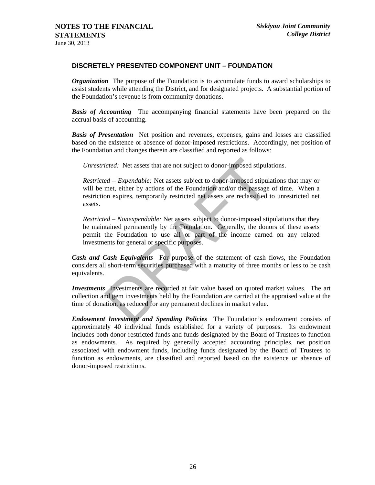### **DISCRETELY PRESENTED COMPONENT UNIT – FOUNDATION**

*Organization* The purpose of the Foundation is to accumulate funds to award scholarships to assist students while attending the District, and for designated projects. A substantial portion of the Foundation's revenue is from community donations.

*Basis of Accounting* The accompanying financial statements have been prepared on the accrual basis of accounting.

*Basis of Presentation* Net position and revenues, expenses, gains and losses are classified based on the existence or absence of donor-imposed restrictions. Accordingly, net position of the Foundation and changes therein are classified and reported as follows:

*Unrestricted:* Net assets that are not subject to donor-imposed stipulations.

*Restricted – Expendable:* Net assets subject to donor-imposed stipulations that may or will be met, either by actions of the Foundation and/or the passage of time. When a restriction expires, temporarily restricted net assets are reclassified to unrestricted net assets.

*Restricted – Nonexpendable:* Net assets subject to donor-imposed stipulations that they be maintained permanently by the Foundation. Generally, the donors of these assets permit the Foundation to use all or part of the income earned on any related investments for general or specific purposes. icted: Net assets that are not subject to donor-imposed stipula<br>ed – Expendable: Net assets subject to donor-imposed stipula<br>met, either by actions of the Foundation and/or the passage<br>on expires, temporarily restricted ne

*Cash and Cash Equivalents* For purpose of the statement of cash flows, the Foundation considers all short-term securities purchased with a maturity of three months or less to be cash equivalents.

*Investments* Investments are recorded at fair value based on quoted market values. The art collection and gem investments held by the Foundation are carried at the appraised value at the time of donation, as reduced for any permanent declines in market value.

*Endowment Investment and Spending Policies* The Foundation's endowment consists of approximately 40 individual funds established for a variety of purposes. Its endowment includes both donor-restricted funds and funds designated by the Board of Trustees to function as endowments. As required by generally accepted accounting principles, net position associated with endowment funds, including funds designated by the Board of Trustees to function as endowments, are classified and reported based on the existence or absence of donor-imposed restrictions.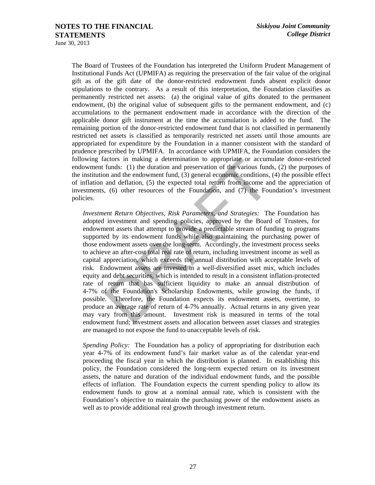The Board of Trustees of the Foundation has interpreted the Uniform Prudent Management of Institutional Funds Act (UPMIFA) as requiring the preservation of the fair value of the original gift as of the gift date of the donor-restricted endowment funds absent explicit donor stipulations to the contrary. As a result of this interpretation, the Foundation classifies as permanently restricted net assets: (a) the original value of gifts donated to the permanent endowment, (b) the original value of subsequent gifts to the permanent endowment, and (c) accumulations to the permanent endowment made in accordance with the direction of the applicable donor gift instrument at the time the accumulation is added to the fund. The remaining portion of the donor-restricted endowment fund that is not classified in permanently restricted net assets is classified as temporarily restricted net assets until those amounts are appropriated for expenditure by the Foundation in a manner consistent with the standard of prudence prescribed by UPMIFA. In accordance with UPMIFA, the Foundation considers the following factors in making a determination to appropriate or accumulate donor-restricted endowment funds: (1) the duration and preservation of the various funds, (2) the purposes of the institution and the endowment fund, (3) general economic conditions, (4) the possible effect of inflation and deflation, (5) the expected total return from income and the appreciation of investments, (6) other resources of the Foundation, and (7) the Foundation's investment policies.

*Investment Return Objectives, Risk Parameters, and Strategies:* The Foundation has adopted investment and spending policies, approved by the Board of Trustees, for endowment assets that attempt to provide a predictable stream of funding to programs supported by its endowment funds while also maintaining the purchasing power of those endowment assets over the long-term. Accordingly, the investment process seeks to achieve an after-cost total real rate of return, including investment income as well as capital appreciation, which exceeds the annual distribution with acceptable levels of risk. Endowment assets are invested in a well-diversified asset mix, which includes equity and debt securities, which is intended to result in a consistent inflation-protected rate of return that has sufficient liquidity to make an annual distribution of 4-7% of the Foundation's Scholarship Endowments, while growing the funds, if possible. Therefore, the Foundation expects its endowment assets, overtime, to produce an average rate of return of 4-7% annually. Actual returns in any given year may vary from this amount. Investment risk is measured in terms of the total endowment fund; investment assets and allocation between asset classes and strategies are managed to not expose the fund to unacceptable levels of risk. actors in making a determination to appropriate or accum<br>funds: (1) the duration and preservation of the various fund<br>an and the endownent fund, (3) general economic conditions,<br>and deflation, (5) the expected total return

*Spending Policy:* The Foundation has a policy of appropriating for distribution each year 4-7% of its endowment fund's fair market value as of the calendar year-end proceeding the fiscal year in which the distribution is planned. In establishing this policy, the Foundation considered the long-term expected return on its investment assets, the nature and duration of the individual endowment funds, and the possible effects of inflation. The Foundation expects the current spending policy to allow its endowment funds to grow at a nominal annual rate, which is consistent with the Foundation's objective to maintain the purchasing power of the endowment assets as well as to provide additional real growth through investment return.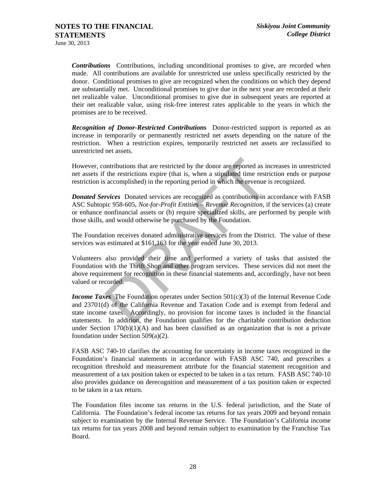*Contributions* Contributions, including unconditional promises to give, are recorded when made. All contributions are available for unrestricted use unless specifically restricted by the donor. Conditional promises to give are recognized when the conditions on which they depend are substantially met. Unconditional promises to give due in the next year are recorded at their net realizable value. Unconditional promises to give due in subsequent years are reported at their net realizable value, using risk-free interest rates applicable to the years in which the promises are to be received.

*Recognition of Donor-Restricted Contributions* Donor-restricted support is reported as an increase in temporarily or permanently restricted net assets depending on the nature of the restriction. When a restriction expires, temporarily restricted net assets are reclassified to unrestricted net assets.

However, contributions that are restricted by the donor are reported as increases in unrestricted net assets if the restrictions expire (that is, when a stipulated time restriction ends or purpose restriction is accomplished) in the reporting period in which the revenue is recognized.

**Donated Services** Donated services are recognized as contributions in accordance with FASB ASC Subtopic 958-605, *Not-for-Profit Entities – Revenue Recognition*, if the services (a) create or enhance nonfinancial assets or (b) require specialized skills, are performed by people with those skills, and would otherwise be purchased by the Foundation.

The Foundation receives donated administrative services from the District. The value of these services was estimated at \$161,163 for the year ended June 30, 2013.

Volunteers also provided their time and performed a variety of tasks that assisted the Foundation with the Thrift Shop and other program services. These services did not meet the above requirement for recognition in these financial statements and, accordingly, have not been valued or recorded.

*Income Taxes* The Foundation operates under Section 501(c)(3) of the Internal Revenue Code and 23701(d) of the California Revenue and Taxation Code and is exempt from federal and state income taxes. Accordingly, no provision for income taxes is included in the financial statements. In addition, the Foundation qualifies for the charitable contribution deduction under Section  $170(b)(1)(A)$  and has been classified as an organization that is not a private foundation under Section 509(a)(2). pontributions that are restricted by the donor are reported as in<br>the restrictions expire (that is, when a stipulated time restri<br>accomplished) in the reporting period in which the revenue is<br>accomplished) in the reportin

FASB ASC 740-10 clarifies the accounting for uncertainty in income taxes recognized in the Foundation's financial statements in accordance with FASB ASC 740, and prescribes a recognition threshold and measurement attribute for the financial statement recognition and measurement of a tax position taken or expected to be taken in a tax return. FASB ASC 740-10 also provides guidance on derecognition and measurement of a tax position taken or expected to be taken in a tax return.

The Foundation files income tax returns in the U.S. federal jurisdiction, and the State of California. The Foundation's federal income tax returns for tax years 2009 and beyond remain subject to examination by the Internal Revenue Service. The Foundation's California income tax returns for tax years 2008 and beyond remain subject to examination by the Franchise Tax Board.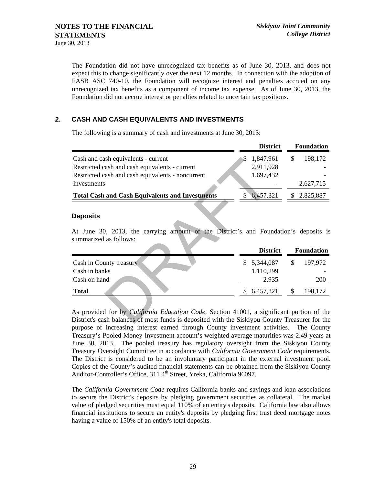The Foundation did not have unrecognized tax benefits as of June 30, 2013, and does not expect this to change significantly over the next 12 months. In connection with the adoption of FASB ASC 740-10, the Foundation will recognize interest and penalties accrued on any unrecognized tax benefits as a component of income tax expense. As of June 30, 2013, the Foundation did not accrue interest or penalties related to uncertain tax positions.

## **2. CASH AND CASH EQUIVALENTS AND INVESTMENTS**

The following is a summary of cash and investments at June 30, 2013:

| <b>District</b>                                                     | <b>Foundation</b>   |
|---------------------------------------------------------------------|---------------------|
| Cash and cash equivalents - current<br>1,847,961<br>ZУ.             | 198,172<br><b>S</b> |
| 2,911,928<br>Restricted cash and cash equivalents - current         |                     |
| Restricted cash and cash equivalents - noncurrent<br>1,697,432      |                     |
| Investments                                                         | 2,627,715           |
| <b>Total Cash and Cash Equivalents and Investments</b><br>6,457,321 | \$2,825,887         |

### **Deposits**

| Cash and cash equivalents - current                                                               | 1,847,961        | S.<br>198,172           |
|---------------------------------------------------------------------------------------------------|------------------|-------------------------|
| Restricted cash and cash equivalents - current                                                    | 2,911,928        |                         |
| Restricted cash and cash equivalents - noncurrent                                                 | 1,697,432        |                         |
| Investments                                                                                       |                  | 2,627,715               |
| <b>Total Cash and Cash Equivalents and Investments</b>                                            | 6,457,321<br>\$  | \$2,825,887             |
| <b>Deposits</b>                                                                                   |                  |                         |
| At June 30, 2013, the carrying amount of the District's and Foundation's deposits is              |                  |                         |
| summarized as follows:                                                                            | <b>District</b>  | <b>Foundation</b>       |
| Cash in County treasury                                                                           | \$5,344,087      | $\mathbb{S}$<br>197,972 |
| Cash in banks                                                                                     | 1,110,299        |                         |
| Cash on hand                                                                                      | 2,935            | 200                     |
| <b>Total</b>                                                                                      | 6,457,321<br>\$. | \$<br>198,172           |
|                                                                                                   |                  |                         |
| As provided for by <i>California Education Code</i> , Section 41001, a significant portion of the |                  |                         |

As provided for by *California Education Code*, Section 41001, a significant portion of the District's cash balances of most funds is deposited with the Siskiyou County Treasurer for the purpose of increasing interest earned through County investment activities. The County Treasury's Pooled Money Investment account's weighted average maturities was 2.49 years at June 30, 2013. The pooled treasury has regulatory oversight from the Siskiyou County Treasury Oversight Committee in accordance with *California Government Code* requirements. The District is considered to be an involuntary participant in the external investment pool. Copies of the County's audited financial statements can be obtained from the Siskiyou County Auditor-Controller's Office, 311 4<sup>th</sup> Street, Yreka, California 96097.

The *California Government Code* requires California banks and savings and loan associations to secure the District's deposits by pledging government securities as collateral. The market value of pledged securities must equal 110% of an entity's deposits. California law also allows financial institutions to secure an entity's deposits by pledging first trust deed mortgage notes having a value of 150% of an entity's total deposits.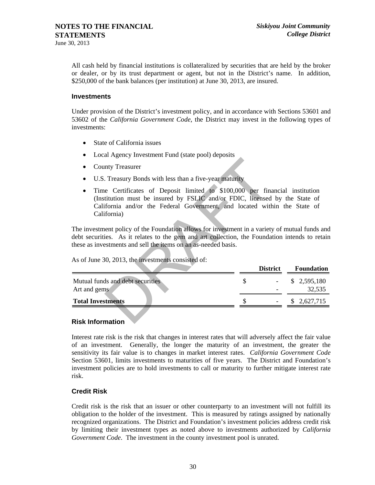All cash held by financial institutions is collateralized by securities that are held by the broker or dealer, or by its trust department or agent, but not in the District's name. In addition, \$250,000 of the bank balances (per institution) at June 30, 2013, are insured.

#### **Investments**

Under provision of the District's investment policy, and in accordance with Sections 53601 and 53602 of the *California Government Code*, the District may invest in the following types of investments:

- State of California issues
- Local Agency Investment Fund (state pool) deposits
- County Treasurer
- U.S. Treasury Bonds with less than a five-year maturity
- Time Certificates of Deposit limited to \$100,000 per financial institution (Institution must be insured by FSLIC and/or FDIC, licensed by the State of California and/or the Federal Government, and located within the State of California)

| <b>County Treasurer</b>                                                                                                                                                                                                                                            |                 |                       |
|--------------------------------------------------------------------------------------------------------------------------------------------------------------------------------------------------------------------------------------------------------------------|-----------------|-----------------------|
| U.S. Treasury Bonds with less than a five-year maturity                                                                                                                                                                                                            |                 |                       |
| Time Certificates of Deposit limited to \$100,000 per financial institution<br>(Institution must be insured by FSLIC and/or FDIC, licensed by the State of<br>California and/or the Federal Government, and located within the State of<br>California)             |                 |                       |
| The investment policy of the Foundation allows for investment in a variety of mutual funds and<br>debt securities. As it relates to the gem and art collection, the Foundation intends to retain<br>these as investments and sell the items on an as-needed basis. |                 |                       |
| As of June 30, 2013, the investments consisted of:                                                                                                                                                                                                                 | <b>District</b> | <b>Foundation</b>     |
| Mutual funds and debt securities<br>Art and gems                                                                                                                                                                                                                   | \$              | \$2,595,180<br>32,535 |
| <b>Total Investments</b>                                                                                                                                                                                                                                           |                 | \$2,627,715           |
| <b>Risk Information</b>                                                                                                                                                                                                                                            |                 |                       |

### **Risk Information**

Interest rate risk is the risk that changes in interest rates that will adversely affect the fair value of an investment. Generally, the longer the maturity of an investment, the greater the sensitivity its fair value is to changes in market interest rates. *California Government Code* Section 53601, limits investments to maturities of five years. The District and Foundation's investment policies are to hold investments to call or maturity to further mitigate interest rate risk.

### **Credit Risk**

Credit risk is the risk that an issuer or other counterparty to an investment will not fulfill its obligation to the holder of the investment. This is measured by ratings assigned by nationally recognized organizations. The District and Foundation's investment policies address credit risk by limiting their investment types as noted above to investments authorized by *California Government Code*. The investment in the county investment pool is unrated.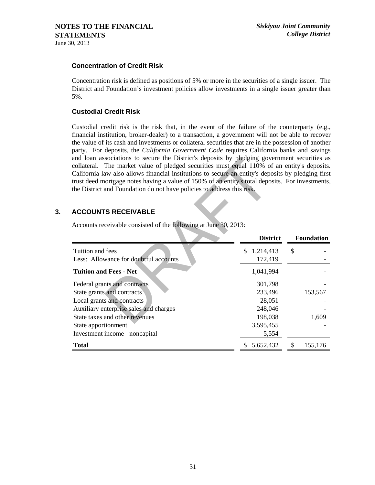## **Concentration of Credit Risk**

Concentration risk is defined as positions of 5% or more in the securities of a single issuer. The District and Foundation's investment policies allow investments in a single issuer greater than 5%.

## **Custodial Credit Risk**

Custodial credit risk is the risk that, in the event of the failure of the counterparty (e.g., financial institution, broker-dealer) to a transaction, a government will not be able to recover the value of its cash and investments or collateral securities that are in the possession of another party. For deposits, the *California Government Code* requires California banks and savings and loan associations to secure the District's deposits by pledging government securities as collateral. The market value of pledged securities must equal 110% of an entity's deposits. California law also allows financial institutions to secure an entity's deposits by pledging first trust deed mortgage notes having a value of 150% of an entity's total deposits. For investments, the District and Foundation do not have policies to address this risk.

## **3. ACCOUNTS RECEIVABLE**

| and loan associations to secure the District's deposits by pledging government securities as<br>collateral. The market value of pledged securities must equal 110% of an entity's deposits.<br>California law also allows financial institutions to secure an entity's deposits by pledging first<br>trust deed mortgage notes having a value of 150% of an entity's total deposits. For investments,<br>the District and Foundation do not have policies to address this risk. |                 |                   |
|---------------------------------------------------------------------------------------------------------------------------------------------------------------------------------------------------------------------------------------------------------------------------------------------------------------------------------------------------------------------------------------------------------------------------------------------------------------------------------|-----------------|-------------------|
| <b>ACCOUNTS RECEIVABLE</b>                                                                                                                                                                                                                                                                                                                                                                                                                                                      |                 |                   |
| Accounts receivable consisted of the following at June 30, 2013:                                                                                                                                                                                                                                                                                                                                                                                                                |                 |                   |
|                                                                                                                                                                                                                                                                                                                                                                                                                                                                                 | <b>District</b> | <b>Foundation</b> |
| Tuition and fees                                                                                                                                                                                                                                                                                                                                                                                                                                                                | \$<br>1,214,413 | \$                |
| Less: Allowance for doubtful accounts                                                                                                                                                                                                                                                                                                                                                                                                                                           | 172,419         |                   |
| <b>Tuition and Fees - Net</b>                                                                                                                                                                                                                                                                                                                                                                                                                                                   | 1,041,994       |                   |
| Federal grants and contracts                                                                                                                                                                                                                                                                                                                                                                                                                                                    | 301,798         |                   |
| State grants and contracts                                                                                                                                                                                                                                                                                                                                                                                                                                                      | 233,496         | 153,567           |
| Local grants and contracts                                                                                                                                                                                                                                                                                                                                                                                                                                                      | 28,051          |                   |
| Auxiliary enterprise sales and charges                                                                                                                                                                                                                                                                                                                                                                                                                                          | 248,046         |                   |
| State taxes and other revenues                                                                                                                                                                                                                                                                                                                                                                                                                                                  | 198,038         | 1,609             |
| State apportionment                                                                                                                                                                                                                                                                                                                                                                                                                                                             | 3,595,455       |                   |
| Investment income - noncapital                                                                                                                                                                                                                                                                                                                                                                                                                                                  | 5,554           |                   |
| <b>Total</b>                                                                                                                                                                                                                                                                                                                                                                                                                                                                    | 5,652,432       | \$<br>155,176     |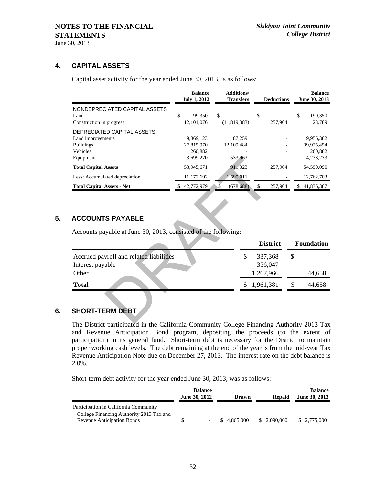## **4. CAPITAL ASSETS**

Capital asset activity for the year ended June 30, 2013, is as follows:

|                                   | <b>Balance</b><br><b>July 1, 2012</b> | <b>Additions/</b><br><b>Transfers</b> |    | <b>Deductions</b> | <b>Balance</b><br>June 30, 2013 |            |
|-----------------------------------|---------------------------------------|---------------------------------------|----|-------------------|---------------------------------|------------|
| NONDEPRECIATED CAPITAL ASSETS     |                                       |                                       |    |                   |                                 |            |
| Land                              | \$<br>199.350                         | \$                                    | \$ |                   | \$                              | 199,350    |
| Construction in progress          | 12.101.076                            | (11, 819, 383)                        |    | 257,904           |                                 | 23,789     |
| DEPRECIATED CAPITAL ASSETS        |                                       |                                       |    |                   |                                 |            |
| Land improvements                 | 9,869,123                             | 87.259                                |    |                   |                                 | 9,956,382  |
| <b>Buildings</b>                  | 27,815,970                            | 12,109,484                            |    |                   |                                 | 39,925,454 |
| Vehicles                          | 260,882                               |                                       |    |                   |                                 | 260,882    |
| Equipment                         | 3,699,270                             | 533,963                               |    |                   |                                 | 4,233,233  |
| <b>Total Capital Assets</b>       | 53,945,671                            | 911,323                               |    | 257,904           |                                 | 54,599,090 |
| Less: Accumulated depreciation    | 11,172,692                            | 1,590,011                             |    |                   |                                 | 12,762,703 |
| <b>Total Capital Assets - Net</b> | 42,772,979                            | (678, 688)                            | \$ | 257,904           | S                               | 41,836,387 |

## **5. ACCOUNTS PAYABLE**

| Equipment                                                                                                       | 3,099,210  | <b>333.903</b>    |                         | 4,233,233        |
|-----------------------------------------------------------------------------------------------------------------|------------|-------------------|-------------------------|------------------|
| <b>Total Capital Assets</b>                                                                                     | 53,945,671 | 911,323           | 257,904                 | 54,599,090       |
| Less: Accumulated depreciation                                                                                  | 11,172,692 | 1,590,011         |                         | 12,762,703       |
| <b>Total Capital Assets - Net</b>                                                                               | 42,772,979 | (678, 688)<br>. S | $\mathbb{S}$<br>257,904 | \$<br>41,836,387 |
| <b>ACCOUNTS PAYABLE</b>                                                                                         |            |                   |                         |                  |
|                                                                                                                 |            |                   |                         |                  |
| Accounts payable at June 30, 2013, consisted of the following:                                                  |            |                   |                         |                  |
|                                                                                                                 |            |                   | <b>District</b>         | Foundation       |
| Accrued payroll and related liabilities                                                                         |            | \$                | 337,368                 | \$               |
| Interest payable                                                                                                |            |                   | 356,047                 |                  |
| Other                                                                                                           |            |                   | 1,267,966               | 44,658           |
| <b>Total</b>                                                                                                    |            |                   | 1,961,381               | 44,658           |
| SHORT-TERM <b>DEB</b> T                                                                                         |            |                   |                         |                  |
| $\Gamma$ ka District nomininglyd in the Colifornic Community College Financina Authority 2012 $\Gamma_{\rm ex}$ |            |                   |                         |                  |

## **6. SHORT-TERM DEBT**

The District participated in the California Community College Financing Authority 2013 Tax and Revenue Anticipation Bond program, depositing the proceeds (to the extent of participation) in its general fund. Short-term debt is necessary for the District to maintain proper working cash levels. The debt remaining at the end of the year is from the mid-year Tax Revenue Anticipation Note due on December 27, 2013. The interest rate on the debt balance is 2.0%.

Short-term debt activity for the year ended June 30, 2013, was as follows:

|                                          | June 30, 2012 | <b>Balance</b>           | Drawn       | <b>Repaid</b> | <b>Balance</b><br>June 30, 2013 |
|------------------------------------------|---------------|--------------------------|-------------|---------------|---------------------------------|
| Participation in California Community    |               |                          |             |               |                                 |
| College Financing Authority 2013 Tax and |               |                          |             |               |                                 |
| <b>Revenue Anticipation Bonds</b>        |               | $\overline{\phantom{0}}$ | \$4.865,000 | \$ 2,090,000  | \$2.775.000                     |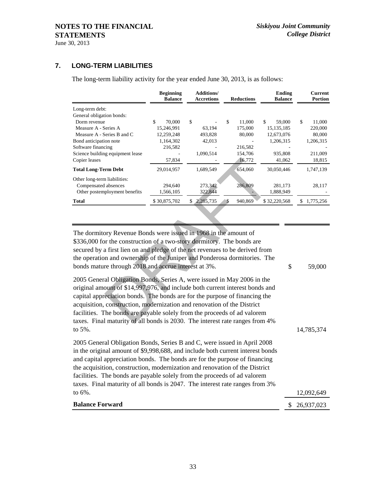## **7. LONG-TERM LIABILITIES**

The long-term liability activity for the year ended June 30, 2013, is as follows:

|                                  | <b>Beginning</b><br><b>Balance</b> |              | <b>Additions/</b><br><b>Accretions</b> |     | <b>Reductions</b> |    | <b>Ending</b><br><b>Balance</b> | <b>Current</b><br><b>Portion</b> |
|----------------------------------|------------------------------------|--------------|----------------------------------------|-----|-------------------|----|---------------------------------|----------------------------------|
| Long-term debt:                  |                                    |              |                                        |     |                   |    |                                 |                                  |
| General obligation bonds:        |                                    |              |                                        |     |                   |    |                                 |                                  |
| Dorm revenue                     | \$                                 | 70,000       | \$                                     | \$. | 11,000            | \$ | 59,000                          | \$<br>11,000                     |
| Measure A - Series A             |                                    | 15,246,991   | 63,194                                 |     | 175,000           |    | 15, 135, 185                    | 220,000                          |
| Measure A - Series B and C       |                                    | 12,259,248   | 493,828                                |     | 80,000            |    | 12,673,076                      | 80,000                           |
| Bond anticipation note           |                                    | 1,164,302    | 42,013                                 |     |                   |    | 1,206,315                       | 1,206,315                        |
| Software financing               |                                    | 216,582      |                                        |     | 216,582           |    |                                 |                                  |
| Science building equipment lease |                                    |              | 1,090,514                              |     | 154,706           |    | 935,808                         | 211,009                          |
| Copier leases                    |                                    | 57,834       |                                        |     | 16,772            |    | 41,062                          | 18,815                           |
| <b>Total Long-Term Debt</b>      |                                    | 29,014,957   | 1,689,549                              |     | 654,060           |    | 30,050,446                      | 1,747,139                        |
| Other long-term liabilities:     |                                    |              |                                        |     |                   |    |                                 |                                  |
| Compensated absences             |                                    | 294,640      | 273,342                                |     | 286,809           |    | 281,173                         | 28,117                           |
| Other postemployment benefits    |                                    | 1,566,105    | 322,844                                |     |                   |    | 1,888,949                       |                                  |
| <b>Total</b>                     |                                    | \$30,875,702 | \$<br>2,285,735                        | \$  | 940,869           |    | \$32,220,568                    | \$<br>1,775,256                  |
|                                  |                                    |              |                                        |     |                   |    |                                 |                                  |

| Copier leases                                                                                                                                                                                                                                                                                                                                                                                                                                                                                 | 57,834               |                    | 16,772        | 41,062               | 18,815      |
|-----------------------------------------------------------------------------------------------------------------------------------------------------------------------------------------------------------------------------------------------------------------------------------------------------------------------------------------------------------------------------------------------------------------------------------------------------------------------------------------------|----------------------|--------------------|---------------|----------------------|-------------|
| <b>Total Long-Term Debt</b>                                                                                                                                                                                                                                                                                                                                                                                                                                                                   | 29,014,957           | 1,689,549          | 654,060       | 30,050,446           | 1,747,139   |
| Other long-term liabilities:<br>Compensated absences<br>Other postemployment benefits                                                                                                                                                                                                                                                                                                                                                                                                         | 294,640<br>1,566,105 | 273,342<br>322,844 | 286,809       | 281,173<br>1,888,949 | 28,117      |
| <b>Total</b>                                                                                                                                                                                                                                                                                                                                                                                                                                                                                  | \$30,875,702         | \$2,285,735        | \$<br>940,869 | \$32,220,568         | \$1,775,256 |
|                                                                                                                                                                                                                                                                                                                                                                                                                                                                                               |                      |                    |               |                      |             |
| The dormitory Revenue Bonds were issued in 1968 in the amount of<br>\$336,000 for the construction of a two-story dormitory. The bonds are<br>secured by a first lien on and pledge of the net revenues to be derived from<br>the operation and ownership of the Juniper and Ponderosa dormitories. The<br>bonds mature through 2018 and accrue interest at 3%.                                                                                                                               |                      |                    |               | \$                   | 59,000      |
| 2005 General Obligation Bonds, Series A, were issued in May 2006 in the<br>original amount of \$14,997,976, and include both current interest bonds and<br>capital appreciation bonds. The bonds are for the purpose of financing the<br>acquisition, construction, modernization and renovation of the District<br>facilities. The bonds are payable solely from the proceeds of ad valorem<br>taxes. Final maturity of all bonds is 2030. The interest rate ranges from 4%                  |                      |                    |               |                      |             |
| to 5%.                                                                                                                                                                                                                                                                                                                                                                                                                                                                                        |                      |                    |               |                      | 14,785,374  |
| 2005 General Obligation Bonds, Series B and C, were issued in April 2008<br>in the original amount of \$9,998,688, and include both current interest bonds<br>and capital appreciation bonds. The bonds are for the purpose of financing<br>the acquisition, construction, modernization and renovation of the District<br>facilities. The bonds are payable solely from the proceeds of ad valorem<br>taxes. Final maturity of all bonds is 2047. The interest rate ranges from 3%<br>to 6%. |                      |                    |               |                      | 12,092,649  |
|                                                                                                                                                                                                                                                                                                                                                                                                                                                                                               |                      |                    |               |                      |             |
| <b>Balance Forward</b>                                                                                                                                                                                                                                                                                                                                                                                                                                                                        |                      |                    |               | \$                   | 26,937,023  |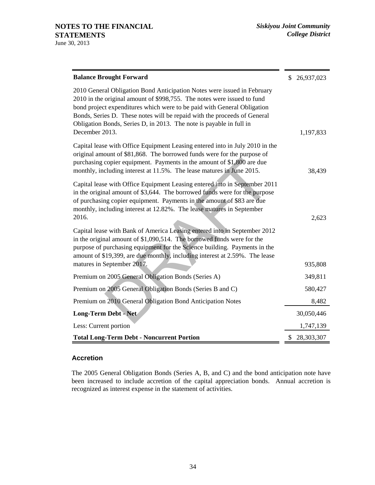| <b>Balance Brought Forward</b>                                                                                                                                                                                                                                                                                                                                                                     | \$26,937,023 |
|----------------------------------------------------------------------------------------------------------------------------------------------------------------------------------------------------------------------------------------------------------------------------------------------------------------------------------------------------------------------------------------------------|--------------|
| 2010 General Obligation Bond Anticipation Notes were issued in February<br>2010 in the original amount of \$998,755. The notes were issued to fund<br>bond project expenditures which were to be paid with General Obligation<br>Bonds, Series D. These notes will be repaid with the proceeds of General<br>Obligation Bonds, Series D, in 2013. The note is payable in full in<br>December 2013. | 1,197,833    |
| Capital lease with Office Equipment Leasing entered into in July 2010 in the<br>original amount of \$81,868. The borrowed funds were for the purpose of<br>purchasing copier equipment. Payments in the amount of \$1,800 are due<br>monthly, including interest at 11.5%. The lease matures in June 2015.                                                                                         | 38,439       |
| Capital lease with Office Equipment Leasing entered into in September 2011<br>in the original amount of \$3,644. The borrowed funds were for the purpose<br>of purchasing copier equipment. Payments in the amount of \$83 are due<br>monthly, including interest at 12.82%. The lease matures in September                                                                                        |              |
| 2016.                                                                                                                                                                                                                                                                                                                                                                                              | 2,623        |
| Capital lease with Bank of America Leasing entered into in September 2012<br>in the original amount of $$1,090,514$ . The borrowed funds were for the<br>purpose of purchasing equipment for the Science building. Payments in the<br>amount of \$19,399, are due monthly, including interest at 2.59%. The lease                                                                                  |              |
| matures in September 2017.                                                                                                                                                                                                                                                                                                                                                                         | 935,808      |
| Premium on 2005 General Obligation Bonds (Series A)                                                                                                                                                                                                                                                                                                                                                | 349,811      |
| Premium on 2005 General Obligation Bonds (Series B and C)                                                                                                                                                                                                                                                                                                                                          | 580,427      |
| Premium on 2010 General Obligation Bond Anticipation Notes                                                                                                                                                                                                                                                                                                                                         | 8,482        |
| <b>Long-Term Debt - Net</b>                                                                                                                                                                                                                                                                                                                                                                        | 30,050,446   |
| Less: Current portion                                                                                                                                                                                                                                                                                                                                                                              | 1,747,139    |
| <b>Total Long-Term Debt - Noncurrent Portion</b>                                                                                                                                                                                                                                                                                                                                                   | \$28,303,307 |

#### **Accretion**

The 2005 General Obligation Bonds (Series A, B, and C) and the bond anticipation note have been increased to include accretion of the capital appreciation bonds. Annual accretion is recognized as interest expense in the statement of activities.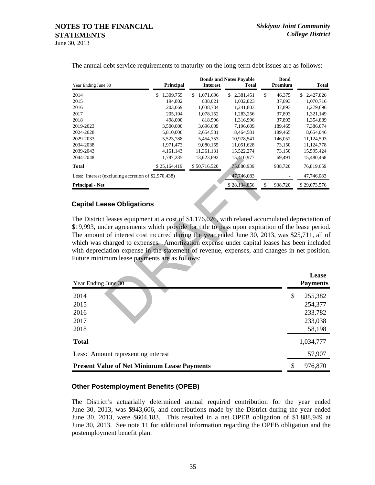# **NOTES TO THE FINANCIAL STATEMENTS**

June 30, 2013

|                  |                                                     |              | <b>Bond</b>                    |                  |
|------------------|-----------------------------------------------------|--------------|--------------------------------|------------------|
| <b>Principal</b> | <b>Interest</b>                                     | Total        | Premium                        | <b>Total</b>     |
| 1.309.755<br>S.  | 1.071.696<br>S.                                     | \$ 2.381.451 | \$<br>46.375                   | 2.427.826<br>\$. |
| 194,802          | 838,021                                             | 1,032,823    | 37,893                         | 1,070,716        |
| 203,069          | 1,038,734                                           | 1,241,803    | 37,893                         | 1,279,696        |
| 205,104          | 1.078.152                                           | 1,283,256    | 37,893                         | 1,321,149        |
| 498,000          | 818.996                                             | 1.316.996    | 37.893                         | 1,354,889        |
| 3.500,000        | 3,696,609                                           | 7.196.609    | 189,465                        | 7,386,074        |
| 5,810,000        | 2,654,581                                           | 8,464,581    | 189,465                        | 8,654,046        |
| 5,523,788        | 5,454,753                                           | 10,978,541   | 146,052                        | 11,124,593       |
| 1.971.473        | 9.080.155                                           | 11,051,628   | 73,150                         | 11,124,778       |
| 4, 161, 143      | 11,361,131                                          | 15,522,274   | 73,150                         | 15,595,424       |
| 1,787,285        | 13,623,692                                          | 15,410,977   | 69,491                         | 15,480,468       |
| \$25,164,419     | \$50,716,520                                        | 75,880,939   | 938,720                        | 76,819,659       |
|                  |                                                     | 47,746,083   |                                | 47,746,083       |
|                  |                                                     | \$28,134,856 | \$<br>938,720                  | \$29,073,576     |
|                  | Less: Interest (excluding accretion of \$2,970,438) |              | <b>Bonds and Notes Pavable</b> |                  |

The annual debt service requirements to maturity on the long-term debt issues are as follows:

#### **Capital Lease Obligations**

| 2044-2048                                                                                                                                                                                                                                                                                                                                                                                                                                                                                                                                                                    | 1, 101, 200  | 13,023,092   | 13,410,977   | 09,491         | 15,480,408               |
|------------------------------------------------------------------------------------------------------------------------------------------------------------------------------------------------------------------------------------------------------------------------------------------------------------------------------------------------------------------------------------------------------------------------------------------------------------------------------------------------------------------------------------------------------------------------------|--------------|--------------|--------------|----------------|--------------------------|
| <b>Total</b>                                                                                                                                                                                                                                                                                                                                                                                                                                                                                                                                                                 | \$25,164,419 | \$50,716,520 | 75,880,939   | 938,720        | 76,819,659               |
| Less: Interest (excluding accretion of \$2,970,438)                                                                                                                                                                                                                                                                                                                                                                                                                                                                                                                          |              |              | 47,746,083   |                | 47,746,083               |
| <b>Principal - Net</b>                                                                                                                                                                                                                                                                                                                                                                                                                                                                                                                                                       |              |              | \$28,134,856 | 938,720<br>\$. | \$29,073,576             |
| <b>Capital Lease Obligations</b>                                                                                                                                                                                                                                                                                                                                                                                                                                                                                                                                             |              |              |              |                |                          |
| The District leases equipment at a cost of \$1,176,026, with related accumulated depreciation of<br>\$19,993, under agreements which provide for title to pass upon expiration of the lease period.<br>The amount of interest cost incurred during the year ended June 30, 2013, was \$25,711, all of<br>which was charged to expenses. Amortization expense under capital leases has been included<br>with depreciation expense in the statement of revenue, expenses, and changes in net position.<br>Future minimum lease payments are as follows:<br>Year Ending June 30 |              |              |              |                | Lease<br><b>Payments</b> |
| 2014                                                                                                                                                                                                                                                                                                                                                                                                                                                                                                                                                                         |              |              |              | \$             | 255,382                  |
| 2015                                                                                                                                                                                                                                                                                                                                                                                                                                                                                                                                                                         |              |              |              |                | 254,377                  |
| 2016                                                                                                                                                                                                                                                                                                                                                                                                                                                                                                                                                                         |              |              |              |                | 233,782                  |
| 2017                                                                                                                                                                                                                                                                                                                                                                                                                                                                                                                                                                         |              |              |              |                | 233,038                  |
| 2018                                                                                                                                                                                                                                                                                                                                                                                                                                                                                                                                                                         |              |              |              |                | 58,198                   |
| <b>Total</b>                                                                                                                                                                                                                                                                                                                                                                                                                                                                                                                                                                 |              |              |              |                | 1,034,777                |
| Less: Amount representing interest                                                                                                                                                                                                                                                                                                                                                                                                                                                                                                                                           |              |              |              |                | 57,907                   |
| <b>Present Value of Net Minimum Lease Payments</b>                                                                                                                                                                                                                                                                                                                                                                                                                                                                                                                           |              |              |              |                |                          |

## **Other Postemployment Benefits (OPEB)**

The District's actuarially determined annual required contribution for the year ended June 30, 2013, was \$943,606, and contributions made by the District during the year ended June 30, 2013, were \$604,183. This resulted in a net OPEB obligation of \$1,888,949 at June 30, 2013. See note 11 for additional information regarding the OPEB obligation and the postemployment benefit plan.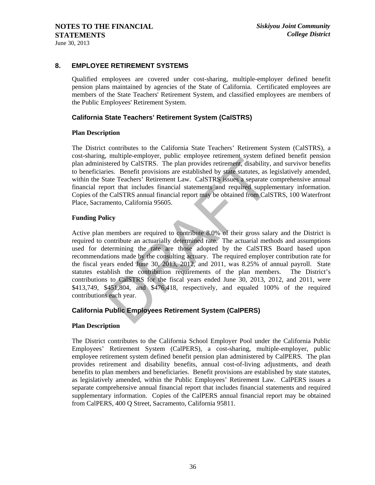#### **8. EMPLOYEE RETIREMENT SYSTEMS**

Qualified employees are covered under cost-sharing, multiple-employer defined benefit pension plans maintained by agencies of the State of California. Certificated employees are members of the State Teachers' Retirement System, and classified employees are members of the Public Employees' Retirement System.

#### **California State Teachers' Retirement System (CalSTRS)**

#### **Plan Description**

The District contributes to the California State Teachers' Retirement System (CalSTRS), a cost-sharing, multiple-employer, public employee retirement system defined benefit pension plan administered by CalSTRS. The plan provides retirement, disability, and survivor benefits to beneficiaries. Benefit provisions are established by state statutes, as legislatively amended, within the State Teachers' Retirement Law. CalSTRS issues a separate comprehensive annual financial report that includes financial statements and required supplementary information. Copies of the CalSTRS annual financial report may be obtained from CalSTRS, 100 Waterfront Place, Sacramento, California 95605.

#### **Funding Policy**

Active plan members are required to contribute 8.0% of their gross salary and the District is required to contribute an actuarially determined rate. The actuarial methods and assumptions used for determining the rate are those adopted by the CalSTRS Board based upon recommendations made by the consulting actuary. The required employer contribution rate for the fiscal years ended June 30, 2013, 2012, and 2011, was 8.25% of annual payroll. State statutes establish the contribution requirements of the plan members. The District's contributions to CalSTRS for the fiscal years ended June 30, 2013, 2012, and 2011, were \$413,749, \$451,804, and \$476,418, respectively, and equaled 100% of the required contributions each year. many employer, pance any other and statement a seated by CalSTRS. The plan provides retirement, disability,<br>rises. Benefit provisions are established by state statutes, as latter Teachers' Retirement Law. CalSTRS issues a

## **California Public Employees Retirement System (CalPERS)**

#### **Plan Description**

The District contributes to the California School Employer Pool under the California Public Employees' Retirement System (CalPERS), a cost-sharing, multiple-employer, public employee retirement system defined benefit pension plan administered by CalPERS. The plan provides retirement and disability benefits, annual cost-of-living adjustments, and death benefits to plan members and beneficiaries. Benefit provisions are established by state statutes, as legislatively amended, within the Public Employees' Retirement Law. CalPERS issues a separate comprehensive annual financial report that includes financial statements and required supplementary information. Copies of the CalPERS annual financial report may be obtained from CalPERS, 400 Q Street, Sacramento, California 95811.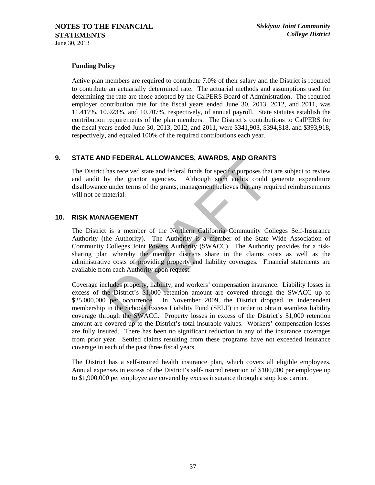#### **Funding Policy**

Active plan members are required to contribute 7.0% of their salary and the District is required to contribute an actuarially determined rate. The actuarial methods and assumptions used for determining the rate are those adopted by the CalPERS Board of Administration. The required employer contribution rate for the fiscal years ended June 30, 2013, 2012, and 2011, was 11.417%, 10.923%, and 10.707%, respectively, of annual payroll. State statutes establish the contribution requirements of the plan members. The District's contributions to CalPERS for the fiscal years ended June 30, 2013, 2012, and 2011, were \$341,903, \$394,818, and \$393,918, respectively, and equaled 100% of the required contributions each year.

## **9. STATE AND FEDERAL ALLOWANCES, AWARDS, AND GRANTS**

The District has received state and federal funds for specific purposes that are subject to review and audit by the grantor agencies. Although such audits could generate expenditure disallowance under terms of the grants, management believes that any required reimbursements will not be material.

#### **10. RISK MANAGEMENT**

The District is a member of the Northern California Community Colleges Self-Insurance Authority (the Authority). The Authority is a member of the State Wide Association of Community Colleges Joint Powers Authority (SWACC). The Authority provides for a risksharing plan whereby the member districts share in the claims costs as well as the administrative costs of providing property and liability coverages. Financial statements are available from each Authority upon request. ID FEDERAL ALLOWANCES, AWARDS, AND GRANT<br>has received state and federal funds for specific purposes that<br>by the grantor agencies. Although such audits could<br>e under terms of the grants, management believes that any req<br>mat

Coverage includes property, liability, and workers' compensation insurance. Liability losses in excess of the District's \$1,000 retention amount are covered through the SWACC up to \$25,000,000 per occurrence. In November 2009, the District dropped its independent membership in the Schools Excess Liability Fund (SELF) in order to obtain seamless liability coverage through the SWACC. Property losses in excess of the District's \$1,000 retention amount are covered up to the District's total insurable values. Workers' compensation losses are fully insured. There has been no significant reduction in any of the insurance coverages from prior year. Settled claims resulting from these programs have not exceeded insurance coverage in each of the past three fiscal years.

The District has a self-insured health insurance plan, which covers all eligible employees. Annual expenses in excess of the District's self-insured retention of \$100,000 per employee up to \$1,900,000 per employee are covered by excess insurance through a stop loss carrier.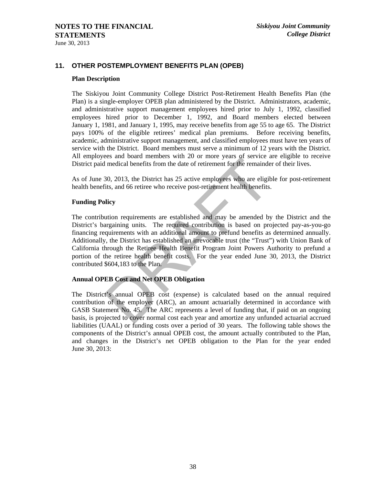#### **11. OTHER POSTEMPLOYMENT BENEFITS PLAN (OPEB)**

#### **Plan Description**

The Siskiyou Joint Community College District Post-Retirement Health Benefits Plan (the Plan) is a single-employer OPEB plan administered by the District. Administrators, academic, and administrative support management employees hired prior to July 1, 1992, classified employees hired prior to December 1, 1992, and Board members elected between January 1, 1981, and January 1, 1995, may receive benefits from age 55 to age 65. The District pays 100% of the eligible retirees' medical plan premiums. Before receiving benefits, academic, administrative support management, and classified employees must have ten years of service with the District. Board members must serve a minimum of 12 years with the District. All employees and board members with 20 or more years of service are eligible to receive District paid medical benefits from the date of retirement for the remainder of their lives.

As of June 30, 2013, the District has 25 active employees who are eligible for post-retirement health benefits, and 66 retiree who receive post-retirement health benefits.

#### **Funding Policy**

The contribution requirements are established and may be amended by the District and the District's bargaining units. The required contribution is based on projected pay-as-you-go financing requirements with an additional amount to prefund benefits as determined annually. Additionally, the District has established an irrevocable trust (the "Trust") with Union Bank of California through the Retiree Health Benefit Program Joint Powers Authority to prefund a portion of the retiree health benefit costs. For the year ended June 30, 2013, the District contributed \$604,183 to the Plan. Example 10 and The Method and may be annual open.<br>
Inedical benefits from the date of retirement for the remainde<br>
30, 2013, the District has 25 active employees who are eligit<br>
its, and 66 retiree who receive post-retirem

#### **Annual OPEB Cost and Net OPEB Obligation**

The District's annual OPEB cost (expense) is calculated based on the annual required contribution of the employer (ARC), an amount actuarially determined in accordance with GASB Statement No. 45. The ARC represents a level of funding that, if paid on an ongoing basis, is projected to cover normal cost each year and amortize any unfunded actuarial accrued liabilities (UAAL) or funding costs over a period of 30 years. The following table shows the components of the District's annual OPEB cost, the amount actually contributed to the Plan, and changes in the District's net OPEB obligation to the Plan for the year ended June 30, 2013: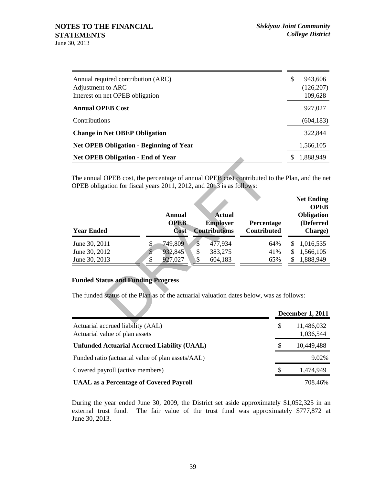| Annual required contribution (ARC)<br>Adjustment to ARC<br>Interest on net OPEB obligation | S | 943,606<br>(126, 207)<br>109,628 |
|--------------------------------------------------------------------------------------------|---|----------------------------------|
| <b>Annual OPEB Cost</b>                                                                    |   | 927,027                          |
| Contributions                                                                              |   | (604, 183)                       |
| <b>Change in Net OBEP Obligation</b>                                                       |   | 322,844                          |
| <b>Net OPEB Obligation - Beginning of Year</b>                                             |   | 1,566,105                        |
| <b>Net OPEB Obligation - End of Year</b>                                                   |   | 1,888,949                        |

| <b>Net Of ED ODIIgation - End of Year</b>                                                                                                                             |                                          |                                                                       |                           | Φ<br>1,000,949                                        |
|-----------------------------------------------------------------------------------------------------------------------------------------------------------------------|------------------------------------------|-----------------------------------------------------------------------|---------------------------|-------------------------------------------------------|
| The annual OPEB cost, the percentage of annual OPEB cost contributed to the Plan, and the net<br>OPEB obligation for fiscal years 2011, 2012, and 2013 is as follows: |                                          |                                                                       |                           |                                                       |
|                                                                                                                                                                       | <b>Annual</b>                            | <b>Actual</b>                                                         |                           | <b>Net Ending</b><br><b>OPEB</b><br><b>Obligation</b> |
| <b>Year Ended</b>                                                                                                                                                     | <b>OPEB</b><br>Cost                      | <b>Employer</b><br><b>Contributions</b>                               | Percentage<br>Contributed | (Deferred<br>Charge)                                  |
| June 30, 2011<br>June 30, 2012<br>June 30, 2013                                                                                                                       | 749,809<br>\$<br>932,845<br>927,027<br>S | S<br>477,934<br>\$<br>383,275<br>$\boldsymbol{\mathsf{S}}$<br>604,183 | 64%<br>41%<br>65%         | 1,016,535<br>S<br>1,566,105<br>S<br>1,888,949<br>S    |
| <b>Funded Status and Funding Progress</b><br>The funded status of the Plan as of the actuarial valuation dates below, was as follows:                                 |                                          |                                                                       |                           | <b>December 1, 2011</b>                               |
|                                                                                                                                                                       |                                          |                                                                       |                           |                                                       |

#### **Funded Status and Funding Progress**

|                                                                     |   | <b>December 1, 2011</b> |                         |  |  |
|---------------------------------------------------------------------|---|-------------------------|-------------------------|--|--|
| Actuarial accrued liability (AAL)<br>Actuarial value of plan assets | S |                         | 11,486,032<br>1,036,544 |  |  |
| Unfunded Actuarial Accrued Liability (UAAL)                         |   | <b>S</b>                | 10,449,488              |  |  |
| Funded ratio (actuarial value of plan assets/AAL)                   |   |                         | 9.02%                   |  |  |
| Covered payroll (active members)                                    |   |                         | 1,474,949               |  |  |
| <b>UAAL</b> as a Percentage of Covered Payroll                      |   |                         | 708.46%                 |  |  |

During the year ended June 30, 2009, the District set aside approximately \$1,052,325 in an external trust fund. The fair value of the trust fund was approximately \$777,872 at June 30, 2013.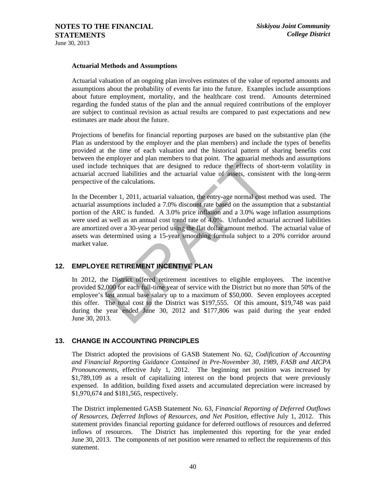#### **Actuarial Methods and Assumptions**

Actuarial valuation of an ongoing plan involves estimates of the value of reported amounts and assumptions about the probability of events far into the future. Examples include assumptions about future employment, mortality, and the healthcare cost trend. Amounts determined regarding the funded status of the plan and the annual required contributions of the employer are subject to continual revision as actual results are compared to past expectations and new estimates are made about the future.

Projections of benefits for financial reporting purposes are based on the substantive plan (the Plan as understood by the employer and the plan members) and include the types of benefits provided at the time of each valuation and the historical pattern of sharing benefits cost between the employer and plan members to that point. The actuarial methods and assumptions used include techniques that are designed to reduce the effects of short-term volatility in actuarial accrued liabilities and the actuarial value of assets, consistent with the long-term perspective of the calculations.

In the December 1, 2011, actuarial valuation, the entry-age normal cost method was used. The actuarial assumptions included a 7.0% discount rate based on the assumption that a substantial portion of the ARC is funded. A 3.0% price inflation and a 3.0% wage inflation assumptions were used as well as an annual cost trend rate of 4.0%. Unfunded actuarial accrued liabilities are amortized over a 30-year period using the flat dollar amount method. The actuarial value of assets was determined using a 15-year smoothing formula subject to a 20% corridor around market value. employer and plan members to that point. The actuarial met<br>
e techniques that are designed to reduce the effects of sh<br>
crued liabilities and the actuarial value of assets, consister<br>
of the calculations.<br>
mber 1, 2011, ac

## **12. EMPLOYEE RETIREMENT INCENTIVE PLAN**

In 2012, the District offered retirement incentives to eligible employees. The incentive provided \$2,000 for each full-time year of service with the District but no more than 50% of the employee's last annual base salary up to a maximum of \$50,000. Seven employees accepted this offer. The total cost to the District was \$197,555. Of this amount, \$19,748 was paid during the year ended June 30, 2012 and \$177,806 was paid during the year ended June 30, 2013.

## **13. CHANGE IN ACCOUNTING PRINCIPLES**

The District adopted the provisions of GASB Statement No. 62, *Codification of Accounting and Financial Reporting Guidance Contained in Pre-November 30, 1989, FASB and AICPA Pronouncements*, effective July 1, 2012. The beginning net position was increased by \$1,789,109 as a result of capitalizing interest on the bond projects that were previously expensed. In addition, building fixed assets and accumulated depreciation were increased by \$1,970,674 and \$181,565, respectively.

The District implemented GASB Statement No. 63, *Financial Reporting of Deferred Outflows of Resources, Deferred Inflows of Resources, and Net Position,* effective July 1, 2012. This statement provides financial reporting guidance for deferred outflows of resources and deferred inflows of resources. The District has implemented this reporting for the year ended June 30, 2013. The components of net position were renamed to reflect the requirements of this statement.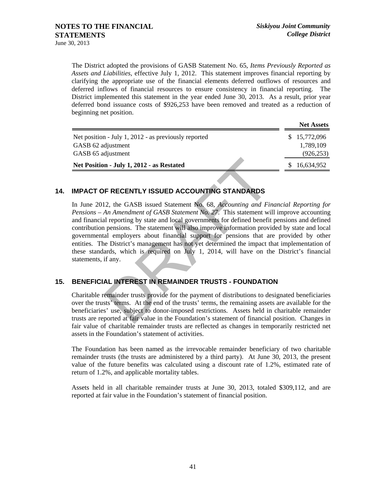The District adopted the provisions of GASB Statement No. 65, *Items Previously Reported as Assets and Liabilities,* effective July 1, 2012. This statement improves financial reporting by clarifying the appropriate use of the financial elements deferred outflows of resources and deferred inflows of financial resources to ensure consistency in financial reporting. The District implemented this statement in the year ended June 30, 2013. As a result, prior year deferred bond issuance costs of \$926,253 have been removed and treated as a reduction of beginning net position.

| <b>Net Assets</b> |
|-------------------|
| \$15,772,096      |
| 1.789.109         |
| (926, 253)        |
| 16,634,952        |
|                   |

# **14. IMPACT OF RECENTLY ISSUED ACCOUNTING STANDARDS**

In June 2012, the GASB issued Statement No. 68, *Accounting and Financial Reporting for Pensions – An Amendment of GASB Statement No. 27*. This statement will improve accounting and financial reporting by state and local governments for defined benefit pensions and defined contribution pensions. The statement will also improve information provided by state and local governmental employers about financial support for pensions that are provided by other entities. The District's management has not yet determined the impact that implementation of these standards, which is required on July 1, 2014, will have on the District's financial statements, if any. **RECENTLY ISSUED ACCOUNTING STANDARDS**<br> **RECENTLY ISSUED ACCOUNTING STANDARDS**<br>
2, the GASB issued Statement No. 68, Accounting and Find<br>
An Amendment of GASB Statement No. 27. This statement will reporting by state and lo

## **15. BENEFICIAL INTEREST IN REMAINDER TRUSTS - FOUNDATION**

Charitable remainder trusts provide for the payment of distributions to designated beneficiaries over the trusts' terms. At the end of the trusts' terms, the remaining assets are available for the beneficiaries' use, subject to donor-imposed restrictions. Assets held in charitable remainder trusts are reported at fair value in the Foundation's statement of financial position. Changes in fair value of charitable remainder trusts are reflected as changes in temporarily restricted net assets in the Foundation's statement of activities.

The Foundation has been named as the irrevocable remainder beneficiary of two charitable remainder trusts (the trusts are administered by a third party). At June 30, 2013, the present value of the future benefits was calculated using a discount rate of 1.2%, estimated rate of return of 1.2%, and applicable mortality tables.

Assets held in all charitable remainder trusts at June 30, 2013, totaled \$309,112, and are reported at fair value in the Foundation's statement of financial position.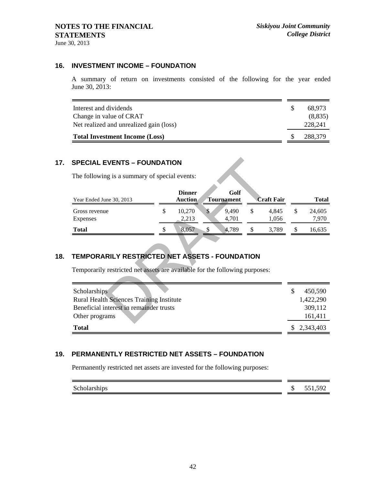#### **16. INVESTMENT INCOME – FOUNDATION**

A summary of return on investments consisted of the following for the year ended June 30, 2013:

| Interest and dividends                  | <sup>8</sup> | 68.973  |
|-----------------------------------------|--------------|---------|
| Change in value of CRAT                 |              | (8,835) |
| Net realized and unrealized gain (loss) |              | 228,241 |
| <b>Total Investment Income (Loss)</b>   |              | 288,379 |

# **17. SPECIAL EVENTS – FOUNDATION**

| <b>SPECIAL EVENTS - FOUNDATION</b>                                                                                            |                                 |               |                           |                      |                       |
|-------------------------------------------------------------------------------------------------------------------------------|---------------------------------|---------------|---------------------------|----------------------|-----------------------|
| The following is a summary of special events:                                                                                 |                                 |               |                           |                      |                       |
| Year Ended June 30, 2013                                                                                                      | <b>Dinner</b><br><b>Auction</b> |               | Golf<br><b>Tournament</b> | <b>Craft Fair</b>    | <b>Total</b>          |
| Gross revenue<br>Expenses                                                                                                     | \$<br>10,270<br>2,213           | S             | 9,490<br>4,701            | \$<br>4,845<br>1,056 | \$<br>24,605<br>7,970 |
| <b>Total</b>                                                                                                                  | \$<br>8,057                     | $\mathcal{S}$ | 4,789                     | \$<br>3,789          | \$<br>16,635          |
| TEMPORARILY RESTRICTED NET ASSETS - FOUNDATION<br>Temporarily restricted net assets are available for the following purposes: |                                 |               |                           |                      |                       |
| Scholarships                                                                                                                  |                                 |               |                           |                      | \$<br>450,590         |
| Rural Health Sciences Training Institute                                                                                      |                                 |               |                           |                      | 1,422,290             |
| Beneficial interest in remainder trusts                                                                                       |                                 |               |                           |                      | 309,112               |
| Other programs                                                                                                                |                                 |               |                           |                      | 161,411               |
|                                                                                                                               |                                 |               |                           |                      |                       |

## **18. TEMPORARILY RESTRICTED NET ASSETS - FOUNDATION**

| Scholarships                                    | 450,590     |
|-------------------------------------------------|-------------|
| <b>Rural Health Sciences Training Institute</b> | 1,422,290   |
| Beneficial interest in remainder trusts         | 309,112     |
| Other programs                                  | 161,411     |
| <b>Total</b>                                    | \$2,343,403 |

# **19. PERMANENTLY RESTRICTED NET ASSETS – FOUNDATION**

Permanently restricted net assets are invested for the following purposes:

| Scholarships | ◡ | 551,592 |
|--------------|---|---------|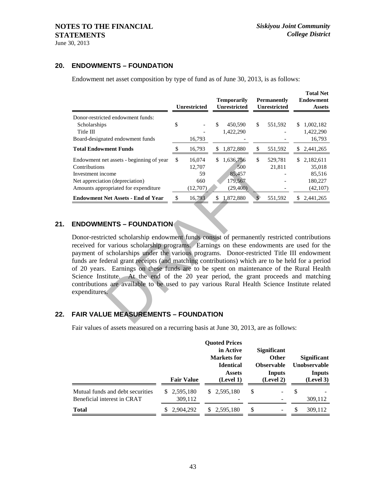**Total Net** 

## **20. ENDOWMENTS – FOUNDATION**

Endowment net asset composition by type of fund as of June 30, 2013, is as follows:

|                                                                                                                                                           | <b>Unrestricted</b> |                                           | <b>Temporarily</b><br><b>Unrestricted</b> |                                                    |    | <b>Permanently</b><br><b>Unrestricted</b> |     | Total Net<br><b>Endowment</b><br><b>Assets</b>        |  |
|-----------------------------------------------------------------------------------------------------------------------------------------------------------|---------------------|-------------------------------------------|-------------------------------------------|----------------------------------------------------|----|-------------------------------------------|-----|-------------------------------------------------------|--|
| Donor-restricted endowment funds:<br>Scholarships<br>Title III<br>Board-designated endowment funds                                                        | \$                  | 16,793                                    | \$                                        | 450,590<br>1,422,290                               | \$ | 551,592                                   | \$. | 1,002,182<br>1,422,290<br>16,793                      |  |
| <b>Total Endowment Funds</b>                                                                                                                              | S                   | 16,793                                    | S                                         | 1,872,880                                          | S  | 551,592                                   | S.  | 2,441,265                                             |  |
| Endowment net assets - beginning of year<br>Contributions<br>Investment income<br>Net appreciation (depreciation)<br>Amounts appropriated for expenditure | \$                  | 16,074<br>12,707<br>59<br>660<br>(12,707) | S.                                        | 1,636,756<br>500<br>85,457<br>179,567<br>(29, 400) | \$ | 529,781<br>21,811                         | \$. | 2,182,611<br>35,018<br>85,516<br>180,227<br>(42, 107) |  |
| <b>Endowment Net Assets - End of Year</b>                                                                                                                 | \$                  | 16.793                                    | S                                         | 1,872,880                                          |    | 551,592                                   | S   | 2.441.265                                             |  |

#### **21. ENDOWMENTS – FOUNDATION**

Donor-restricted scholarship endowment funds consist of permanently restricted contributions received for various scholarship programs. Earnings on these endowments are used for the payment of scholarships under the various programs. Donor-restricted Title III endowment funds are federal grant receipts (and matching contributions) which are to be held for a period of 20 years. Earnings on these funds are to be spent on maintenance of the Rural Health Science Institute. At the end of the 20 year period, the grant proceeds and matching contributions are available to be used to pay various Rural Health Science Institute related expenditures. et assets - beginning of year \$16,074 \$1,636,756 \$5.<br>
come<br>
come 59 85,457<br>
com (depreciation) 59 85,457<br>
opriated for expenditure (12,707) 60 87,457<br>
(29,400)<br>
Net Assets - End of Year 5 16,793 \$1,872,880 \$5.<br>
ENTS – FOUN

## **22. FAIR VALUE MEASUREMENTS – FOUNDATION**

Fair values of assets measured on a recurring basis at June 30, 2013, are as follows:

|                                                                 | <b>Quoted Prices</b><br>in Active<br>Markets for<br><b>Identical</b><br><b>Assets</b><br><b>Fair Value</b><br>(Level 1) |                  | <b>Significant</b><br><b>Other</b><br><b>Observable</b><br>Inputs<br>(Level 2) | <b>Significant</b><br>Unobservable<br>Inputs<br>(Level 3) |  |
|-----------------------------------------------------------------|-------------------------------------------------------------------------------------------------------------------------|------------------|--------------------------------------------------------------------------------|-----------------------------------------------------------|--|
| Mutual funds and debt securities<br>Beneficial interest in CRAT | 2,595,180<br>\$.<br>309,112                                                                                             | \$2,595,180<br>- | \$<br>-                                                                        | S<br>309,112                                              |  |
| <b>Total</b>                                                    | 2,904,292<br>\$.                                                                                                        | 2,595,180        | \$                                                                             | 309.112                                                   |  |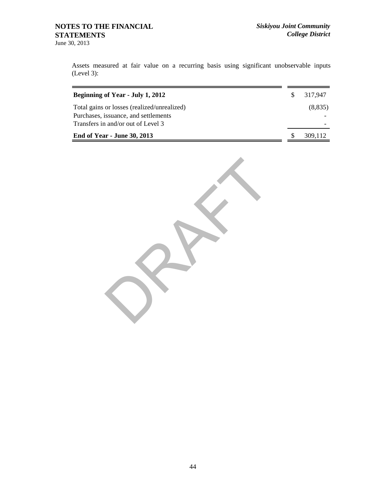## **NOTES TO THE FINANCIAL STATEMENTS**  June 30, 2013

Assets measured at fair value on a recurring basis using significant unobservable inputs (Level 3):

| Beginning of Year - July 1, 2012                                                                                          | 317.947 |
|---------------------------------------------------------------------------------------------------------------------------|---------|
| Total gains or losses (realized/unrealized)<br>Purchases, issuance, and settlements<br>Transfers in and/or out of Level 3 | (8,835) |
| End of Year - June 30, 2013                                                                                               | 309,112 |

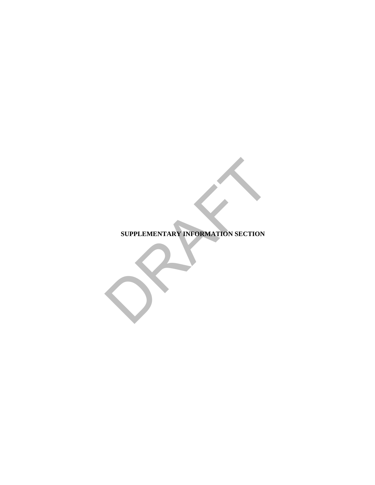**SUPPLEMENTARY INFORMATION SECTION**  SUPPLEMENTARY INFORMATION SECTION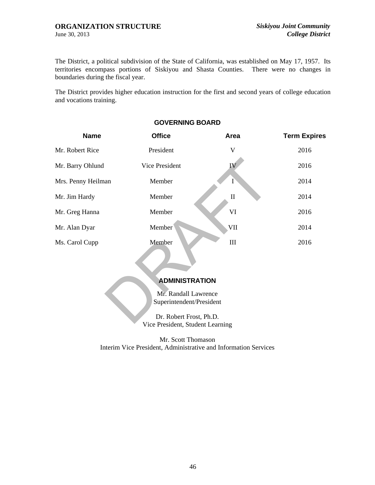The District, a political subdivision of the State of California, was established on May 17, 1957. Its territories encompass portions of Siskiyou and Shasta Counties. There were no changes in boundaries during the fiscal year.

The District provides higher education instruction for the first and second years of college education and vocations training.

| <b>Office</b>  | Area        | <b>Term Expires</b>                                                                                                                                                                                                        |
|----------------|-------------|----------------------------------------------------------------------------------------------------------------------------------------------------------------------------------------------------------------------------|
| President      | $\mathbf V$ | 2016                                                                                                                                                                                                                       |
| Vice President | IV          | 2016                                                                                                                                                                                                                       |
| Member         | I           | 2014                                                                                                                                                                                                                       |
| Member         | $\mathbf H$ | 2014                                                                                                                                                                                                                       |
| Member         | VI          | 2016                                                                                                                                                                                                                       |
| Member         | VII         | 2014                                                                                                                                                                                                                       |
| Member         | $\rm III$   | 2016                                                                                                                                                                                                                       |
|                |             |                                                                                                                                                                                                                            |
|                |             |                                                                                                                                                                                                                            |
|                |             |                                                                                                                                                                                                                            |
|                |             | <b>ADMINISTRATION</b><br>Mr. Randall Lawrence<br>Superintendent/President<br>Dr. Robert Frost, Ph.D.<br>$\mathbf{M}^*$ . $\mathbf{D}$ and $\mathbf{A}$ and $\mathbf{C}$ and $\mathbf{L}$ and $\mathbf{L}$ and $\mathbf{L}$ |

## **GOVERNING BOARD**

## **ADMINISTRATION**

Dr. Robert Frost, Ph.D. Vice President, Student Learning

Mr. Scott Thomason Interim Vice President, Administrative and Information Services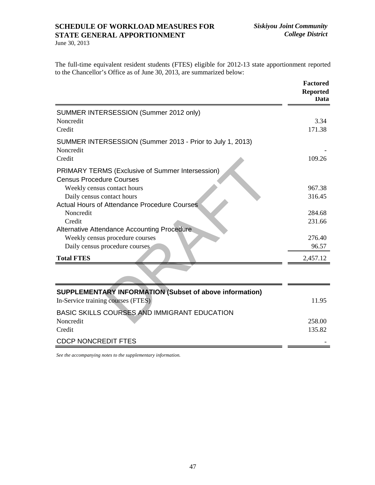June 30, 2013

The full-time equivalent resident students (FTES) eligible for 2012-13 state apportionment reported to the Chancellor's Office as of June 30, 2013, are summarized below:

|                                                                                            | Factored<br><b>Reported</b><br><b>Data</b> |
|--------------------------------------------------------------------------------------------|--------------------------------------------|
| SUMMER INTERSESSION (Summer 2012 only)                                                     |                                            |
| Noncredit                                                                                  | 3.34                                       |
| Credit                                                                                     | 171.38                                     |
| SUMMER INTERSESSION (Summer 2013 - Prior to July 1, 2013)<br>Noncredit                     |                                            |
| Credit                                                                                     | 109.26                                     |
| <b>PRIMARY TERMS (Exclusive of Summer Intersession)</b><br><b>Census Procedure Courses</b> |                                            |
| Weekly census contact hours                                                                | 967.38                                     |
| Daily census contact hours                                                                 | 316.45                                     |
| <b>Actual Hours of Attendance Procedure Courses</b>                                        |                                            |
| Noncredit                                                                                  | 284.68                                     |
| Credit                                                                                     | 231.66                                     |
| Alternative Attendance Accounting Procedure                                                |                                            |
| Weekly census procedure courses                                                            | 276.40                                     |
| Daily census procedure courses                                                             | 96.57                                      |
| <b>Total FTES</b>                                                                          | 2,457.12                                   |
|                                                                                            |                                            |
| SUPPLEMENTARY INFORMATION (Subset of above information)                                    |                                            |
| In-Service training courses (FTES)                                                         | 11.95                                      |
| <b>BASIC SKILLS COURSES AND IMMIGRANT EDUCATION</b>                                        |                                            |
| Noncredit                                                                                  | 258.00                                     |

| In-Service training courses (FTES)           | 1195   |
|----------------------------------------------|--------|
| BASIC SKILLS COURSES AND IMMIGRANT EDUCATION |        |
| Noncredit                                    | 258.00 |
| Credit                                       | 135.82 |
| <b>CDCP NONCREDIT FTES</b>                   |        |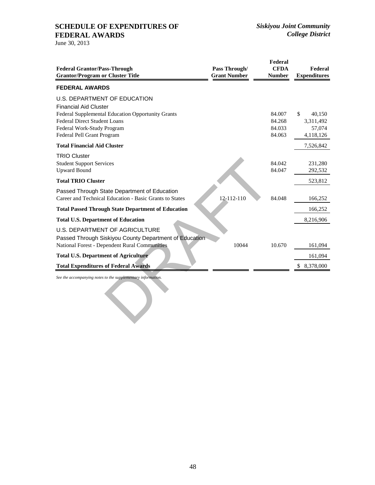# **SCHEDULE OF EXPENDITURES OF FEDERAL AWARDS**

June 30, 2013

| <b>Federal Grantor/Pass-Through</b><br><b>Grantor/Program or Cluster Title</b>                                                                                  | Pass Through/<br><b>Grant Number</b> | Federal<br><b>CFDA</b><br><b>Number</b> | Federal<br><b>Expenditures</b> |
|-----------------------------------------------------------------------------------------------------------------------------------------------------------------|--------------------------------------|-----------------------------------------|--------------------------------|
| <b>FEDERAL AWARDS</b>                                                                                                                                           |                                      |                                         |                                |
| U.S. DEPARTMENT OF EDUCATION<br><b>Financial Aid Cluster</b><br><b>Federal Supplemental Education Opportunity Grants</b><br><b>Federal Direct Student Loans</b> |                                      | 84.007<br>84.268                        | \$<br>40,150<br>3,311,492      |
| Federal Work-Study Program<br>Federal Pell Grant Program                                                                                                        |                                      | 84.033<br>84.063                        | 57,074<br>4,118,126            |
| <b>Total Financial Aid Cluster</b>                                                                                                                              |                                      |                                         | 7,526,842                      |
| <b>TRIO Cluster</b><br><b>Student Support Services</b><br><b>Upward Bound</b>                                                                                   |                                      | 84.042<br>84.047                        | 231,280<br>292,532             |
| <b>Total TRIO Cluster</b>                                                                                                                                       |                                      |                                         | 523,812                        |
| Passed Through State Department of Education<br>Career and Technical Education - Basic Grants to States                                                         | 12-112-110                           | 84.048                                  | 166,252                        |
| <b>Total Passed Through State Department of Education</b>                                                                                                       |                                      |                                         | 166,252                        |
| <b>Total U.S. Department of Education</b>                                                                                                                       |                                      |                                         | 8,216,906                      |
| <b>U.S. DEPARTMENT OF AGRICULTURE</b><br>Passed Through Siskiyou County Department of Education<br>National Forest - Dependent Rural Communities                | 10044                                | 10.670                                  | 161,094                        |
| <b>Total U.S. Department of Agriculture</b>                                                                                                                     |                                      |                                         | 161,094                        |
| <b>Total Expenditures of Federal Awards</b>                                                                                                                     |                                      |                                         | \$8,378,000                    |
| See the accompanying notes to the supplementary information.                                                                                                    |                                      |                                         |                                |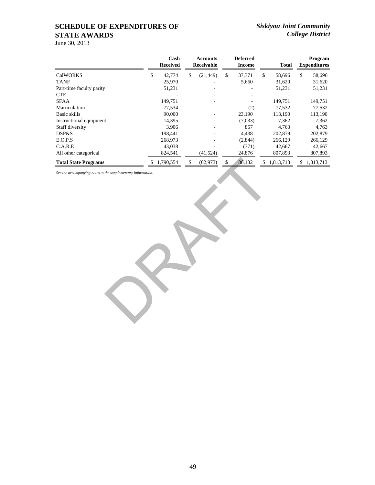# **SCHEDULE OF EXPENDITURES OF STATE AWARDS**

June 30, 2013

|                             | Cash<br>Received |              | <b>Accounts</b><br>Receivable |              | <b>Deferred</b><br><b>Income</b> | <b>Total</b> | Program<br><b>Expenditures</b> |
|-----------------------------|------------------|--------------|-------------------------------|--------------|----------------------------------|--------------|--------------------------------|
| CalWORKS                    | \$<br>42,774     | $\mathbb{S}$ | (21, 449)                     | $\mathbb{S}$ | 37,371                           | \$<br>58,696 | $\mathbb{S}$<br>58,696         |
| <b>TANF</b>                 | 25,970           |              |                               |              | 5,650                            | 31,620       | 31,620                         |
| Part-time faculty parity    | 51,231           |              |                               |              |                                  | 51,231       | 51,231                         |
| <b>CTE</b>                  |                  |              |                               |              |                                  |              |                                |
| <b>SFAA</b>                 | 149,751          |              |                               |              |                                  | 149,751      | 149,751                        |
| Matriculation               | 77,534           |              |                               |              | (2)                              | 77,532       | 77,532                         |
| <b>Basic skills</b>         | 90,000           |              |                               |              | 23,190                           | 113,190      | 113,190                        |
| Instructional equipment     | 14,395           |              |                               |              | (7,033)                          | 7,362        | 7,362                          |
| Staff diversity             | 3,906            |              |                               |              | 857                              | 4,763        | 4,763                          |
| DSP&S                       | 198,441          |              |                               |              | 4,438                            | 202,879      | 202,879                        |
| E.O.P.S                     | 268,973          |              |                               |              | (2,844)                          | 266,129      | 266,129                        |
| C.A.R.E                     | 43,038           |              |                               |              | (371)                            | 42,667       | 42,667                         |
| All other categorical       | 824,541          |              | (41, 524)                     |              | 24,876                           | 807,893      | 807,893                        |
| <b>Total State Programs</b> | \$<br>1,790,554  | $\$$         | (62, 973)                     | \$           | 86,132                           | \$1,813,713  | \$1,813,713                    |
|                             |                  |              |                               |              |                                  |              |                                |

49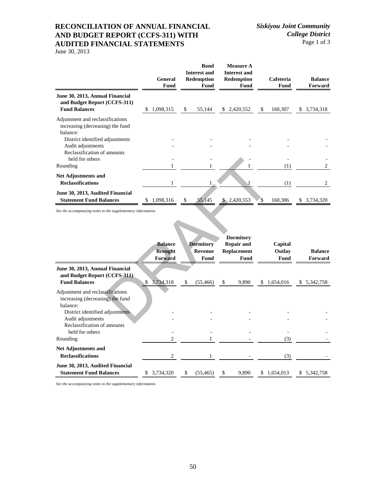# **RECONCILIATION OF ANNUAL FINANCIAL AND BUDGET REPORT (CCFS-311) WITH AUDITED FINANCIAL STATEMENTS**

*Siskiyou Joint Community College District* Page 1 of 3

June 30, 2013

|                                                                                         | <b>General</b><br><b>Fund</b> |    | <b>Bond</b><br><b>Interest and</b><br><b>Redemption</b><br><b>Fund</b> | <b>Measure A</b><br><b>Interest and</b><br><b>Redemption</b><br>Fund |    | Cafeteria<br>Fund | <b>Balance</b><br>Forward |
|-----------------------------------------------------------------------------------------|-------------------------------|----|------------------------------------------------------------------------|----------------------------------------------------------------------|----|-------------------|---------------------------|
| June 30, 2013, Annual Financial<br>and Budget Report (CCFS-311)<br><b>Fund Balances</b> | 1,098,315<br>S.               | \$ | 55,144                                                                 | 2,420,552<br><sup>\$</sup>                                           | \$ | 160,307           | 3,734,318<br>\$           |
| Adjustment and reclassifications<br>increasing (decreasing) the fund<br>balance:        |                               |    |                                                                        |                                                                      |    |                   |                           |
| District identified adjustments                                                         |                               |    |                                                                        |                                                                      |    |                   |                           |
| Audit adjustments<br>Reclassification of amounts                                        |                               |    |                                                                        |                                                                      |    |                   |                           |
| held for others                                                                         |                               |    |                                                                        |                                                                      |    |                   |                           |
| Rounding                                                                                |                               |    |                                                                        |                                                                      |    | (1)               | 2                         |
| <b>Net Adjustments and</b>                                                              |                               |    |                                                                        |                                                                      |    |                   |                           |
| <b>Reclassifications</b>                                                                |                               |    |                                                                        |                                                                      |    | (1)               | 2                         |
| June 30, 2013, Audited Financial<br><b>Statement Fund Balances</b>                      | 1,098,316<br>S.               | S  | 55,145                                                                 | 2,420,553<br>S                                                       | S  | 160,306           | 3,734,320<br>S            |

| held for others<br>Rounding                                                             |                                             |                                     | 1                                                                   | (1)                       | 2                         |
|-----------------------------------------------------------------------------------------|---------------------------------------------|-------------------------------------|---------------------------------------------------------------------|---------------------------|---------------------------|
| <b>Net Adjustments and</b><br><b>Reclassifications</b>                                  | 1                                           |                                     |                                                                     | (1)                       | 2                         |
| June 30, 2013, Audited Financial<br><b>Statement Fund Balances</b>                      | 1,098,316<br>\$                             | 55,145<br>\$                        | \$2,420,553                                                         | 160,306<br>`\$            | \$3,734,320               |
| See the accompanying notes to the supplementary information.                            |                                             |                                     |                                                                     |                           |                           |
|                                                                                         | <b>Balance</b><br><b>Brought</b><br>Forward | <b>Dormitory</b><br>Revenue<br>Fund | <b>Dormitory</b><br><b>Repair and</b><br><b>Replacement</b><br>Fund | Capital<br>Outlay<br>Fund | <b>Balance</b><br>Forward |
| June 30, 2013, Annual Financial<br>and Budget Report (CCFS-311)<br><b>Fund Balances</b> | 3,734,318<br>\$                             | (55, 466)<br>\$                     | 9,890<br>\$                                                         | 1,654,016<br>\$           | \$5,342,758               |
| Adjustment and reclassifications<br>increasing (decreasing) the fund<br>balance:        |                                             |                                     |                                                                     |                           |                           |
| District identified adjustments<br>Audit adjustments<br>Reclassification of amounts     |                                             |                                     |                                                                     |                           |                           |
| held for others<br>Rounding                                                             | 2.                                          |                                     |                                                                     | (3)                       |                           |
| <b>Net Adjustments and</b><br><b>Reclassifications</b>                                  | 2                                           |                                     |                                                                     | (3)                       |                           |
| June 30, 2013, Audited Financial<br><b>Statement Fund Balances</b>                      | \$3,734,320                                 | \$<br>(55, 465)                     | \$<br>9,890                                                         | 1,654,013<br>\$           | \$5,342,758               |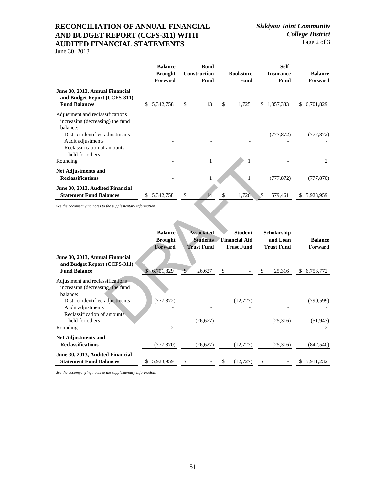# **RECONCILIATION OF ANNUAL FINANCIAL AND BUDGET REPORT (CCFS-311) WITH AUDITED FINANCIAL STATEMENTS**

*Siskiyou Joint Community College District* Page 2 of 3

June 30, 2013

|                                                                                         | <b>Balance</b>            | <b>Bond</b><br>Construction |             |     | Self-                    |                                 |                           |
|-----------------------------------------------------------------------------------------|---------------------------|-----------------------------|-------------|-----|--------------------------|---------------------------------|---------------------------|
|                                                                                         | <b>Brought</b><br>Forward |                             | <b>Fund</b> |     | <b>Bookstore</b><br>Fund | <b>Insurance</b><br><b>Fund</b> | <b>Balance</b><br>Forward |
| June 30, 2013, Annual Financial<br>and Budget Report (CCFS-311)<br><b>Fund Balances</b> | 5,342,758<br>S            | \$                          | 13          | \$  | 1,725                    | 1,357,333<br>\$                 | 6,701,829<br>\$           |
| Adjustment and reclassifications<br>increasing (decreasing) the fund<br>balance:        |                           |                             |             |     |                          |                                 |                           |
| District identified adjustments                                                         |                           |                             |             |     |                          | (777, 872)                      | (777, 872)                |
| Audit adjustments<br>Reclassification of amounts<br>held for others                     |                           |                             |             |     |                          |                                 |                           |
| Rounding                                                                                |                           |                             |             |     |                          |                                 |                           |
| <b>Net Adjustments and</b><br><b>Reclassifications</b>                                  |                           |                             |             |     |                          | (777, 872)                      | (777, 870)                |
| June 30, 2013, Audited Financial<br><b>Statement Fund Balances</b>                      | 5,342,758<br>\$           | \$                          | 14          | \$. | 1,726                    | \$<br>579,461                   | 5,923,959<br>S.           |

| Rounding                                                                               |                                  | 1                                    |                                        |                         | 2                           |
|----------------------------------------------------------------------------------------|----------------------------------|--------------------------------------|----------------------------------------|-------------------------|-----------------------------|
| <b>Net Adjustments and</b><br><b>Reclassifications</b>                                 |                                  |                                      |                                        | (777, 872)              | (777, 870)                  |
| June 30, 2013, Audited Financial<br><b>Statement Fund Balances</b>                     | 5,342,758                        | 14<br>\$                             | 1,726<br>\$                            | $\mathbb{S}$<br>579,461 | \$ 5,923,959                |
| See the accompanying notes to the supplementary information.                           |                                  |                                      |                                        |                         |                             |
|                                                                                        |                                  |                                      |                                        |                         |                             |
|                                                                                        | <b>Balance</b><br><b>Brought</b> | <b>Associated</b><br><b>Students</b> | <b>Student</b><br><b>Financial Aid</b> | Scholarship<br>and Loan | <b>Balance</b>              |
|                                                                                        | Forward                          | <b>Trust Fund</b>                    | <b>Trust Fund</b>                      | <b>Trust Fund</b>       | Forward                     |
| June 30, 2013, Annual Financial<br>and Budget Report (CCFS-311)<br><b>Fund Balance</b> | 6,701,829                        | 26,627                               | \$                                     | 25,316<br>\$            | \$6,753,772                 |
| Adjustment and reclassifications<br>increasing (decreasing) the fund<br>balance:       |                                  |                                      |                                        |                         |                             |
| District identified adjustments                                                        | (777, 872)                       |                                      | (12, 727)                              |                         | (790, 599)                  |
| Audit adjustments<br>Reclassification of amounts                                       |                                  |                                      |                                        |                         |                             |
| held for others                                                                        |                                  | (26,627)                             |                                        | (25,316)                | (51, 943)                   |
| Rounding                                                                               | $\mathfrak{D}_{\mathfrak{p}}$    |                                      |                                        |                         | $\mathcal{D}_{\mathcal{L}}$ |
| <b>Net Adjustments and</b>                                                             |                                  |                                      |                                        |                         |                             |
| <b>Reclassifications</b>                                                               | (777, 870)                       | (26,627)                             | (12, 727)                              | (25,316)                | (842, 540)                  |
| June 30, 2013, Audited Financial<br><b>Statement Fund Balances</b>                     | \$ 5,923,959                     |                                      | (12, 727)                              |                         | \$ 5,911,232                |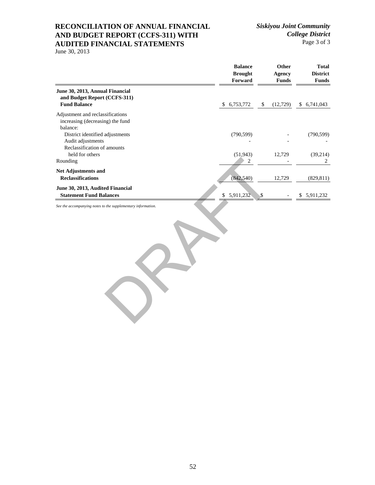# **RECONCILIATION OF ANNUAL FINANCIAL AND BUDGET REPORT (CCFS-311) WITH AUDITED FINANCIAL STATEMENTS**

*Siskiyou Joint Community College District* Page 3 of 3

June 30, 2013

|                                                                                        | <b>Balance</b><br><b>Brought</b><br>Forward | Other<br><b>Agency</b><br><b>Funds</b> | <b>Total</b><br><b>District</b><br><b>Funds</b> |
|----------------------------------------------------------------------------------------|---------------------------------------------|----------------------------------------|-------------------------------------------------|
| June 30, 2013, Annual Financial<br>and Budget Report (CCFS-311)<br><b>Fund Balance</b> | 6,753,772<br>$\mathbb{S}$                   | (12, 729)<br>\$                        | 6,741,043<br>\$                                 |
| Adjustment and reclassifications<br>increasing (decreasing) the fund<br>balance:       |                                             |                                        |                                                 |
| District identified adjustments<br>Audit adjustments<br>Reclassification of amounts    | (790, 599)                                  |                                        | (790, 599)                                      |
| held for others<br>Rounding                                                            | (51, 943)<br>2                              | 12,729                                 | (39, 214)<br>2                                  |
| Net Adjustments and<br><b>Reclassifications</b>                                        | (842, 540)                                  | 12,729                                 | (829, 811)                                      |
| June 30, 2013, Audited Financial<br><b>Statement Fund Balances</b>                     | 5,911,232<br>\$                             | $\boldsymbol{\mathsf{S}}$              | 5,911,232<br>\$                                 |
| See the accompanying notes to the supplementary information.                           |                                             |                                        |                                                 |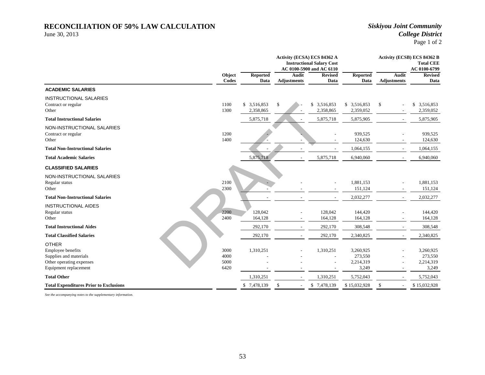#### **RECONCILIATION OF 50% LAW CALCULATION**

June 30, 2013

*Siskiyou Joint Community College District* Page 1 of 2

|                                                                                                                  |                              |                           |                             | Activity (ECSA) ECS 84362 A<br><b>Instructional Salary Cost</b><br>AC 0100-5900 and AC 6110 |                                            |                             | <b>Activity (ECSB) ECS 84362 B</b><br><b>Total CEE</b><br>AC 0100-6799 |  |
|------------------------------------------------------------------------------------------------------------------|------------------------------|---------------------------|-----------------------------|---------------------------------------------------------------------------------------------|--------------------------------------------|-----------------------------|------------------------------------------------------------------------|--|
|                                                                                                                  | Object<br>Codes              | <b>Reported</b><br>Data   | Audit<br><b>Adjustments</b> | <b>Revised</b><br>Data                                                                      | <b>Reported</b><br>Data                    | Audit<br><b>Adjustments</b> | <b>Revised</b><br>Data                                                 |  |
| <b>ACADEMIC SALARIES</b>                                                                                         |                              |                           |                             |                                                                                             |                                            |                             |                                                                        |  |
| <b>INSTRUCTIONAL SALARIES</b><br>Contract or regular<br>Other                                                    | 1100<br>1300                 | \$ 3,516,853<br>2,358,865 | \$                          | \$ 3,516,853<br>2,358,865                                                                   | \$ 3,516,853<br>2,359,052                  | \$                          | \$ 3,516,853<br>2,359,052                                              |  |
| <b>Total Instructional Salaries</b>                                                                              |                              | 5,875,718                 |                             | 5,875,718                                                                                   | 5,875,905                                  |                             | 5,875,905                                                              |  |
| NON-INSTRUCTIONAL SALARIES<br>Contract or regular<br>Other                                                       | 1200<br>1400                 |                           |                             |                                                                                             | 939,525<br>124,630                         |                             | 939,525<br>124,630                                                     |  |
| <b>Total Non-Instructional Salaries</b>                                                                          |                              |                           |                             |                                                                                             | 1,064,155                                  |                             | 1,064,155                                                              |  |
| <b>Total Academic Salaries</b>                                                                                   |                              | 5,875,718                 |                             | 5,875,718                                                                                   | 6,940,060                                  |                             | 6,940,060                                                              |  |
| <b>CLASSIFIED SALARIES</b>                                                                                       |                              |                           |                             |                                                                                             |                                            |                             |                                                                        |  |
| NON-INSTRUCTIONAL SALARIES<br>Regular status<br>Other                                                            | 2100<br>2300                 |                           |                             |                                                                                             | 1,881,153<br>151,124                       |                             | 1,881,153<br>151,124                                                   |  |
| <b>Total Non-Instructional Salaries</b>                                                                          |                              |                           |                             |                                                                                             | 2,032,277                                  |                             | 2,032,277                                                              |  |
| <b>INSTRUCTIONAL AIDES</b><br>Regular status<br>Other                                                            | 2200<br>2400                 | 128,042<br>164,128        |                             | 128,042<br>164,128                                                                          | 144,420<br>164,128                         |                             | 144,420<br>164,128                                                     |  |
| <b>Total Instructional Aides</b>                                                                                 |                              | 292,170                   |                             | 292,170                                                                                     | 308,548                                    |                             | 308,548                                                                |  |
| <b>Total Classified Salaries</b>                                                                                 |                              | 292,170                   |                             | 292,170                                                                                     | 2,340,825                                  |                             | 2,340,825                                                              |  |
| <b>OTHER</b><br>Employee benefits<br>Supplies and materials<br>Other operating expenses<br>Equipment replacement | 3000<br>4000<br>5000<br>6420 | 1,310,251                 |                             | 1,310,251                                                                                   | 3,260,925<br>273,550<br>2,214,319<br>3,249 |                             | 3,260,925<br>273,550<br>2,214,319<br>3,249                             |  |
| <b>Total Other</b>                                                                                               |                              | 1,310,251                 |                             | 1,310,251                                                                                   | 5,752,043                                  |                             | 5,752,043                                                              |  |
| <b>Total Expenditures Prior to Exclusions</b>                                                                    |                              | \$7,478,139               | <sup>\$</sup>               | \$7,478,139                                                                                 | \$15,032,928                               | \$                          | \$15,032,928                                                           |  |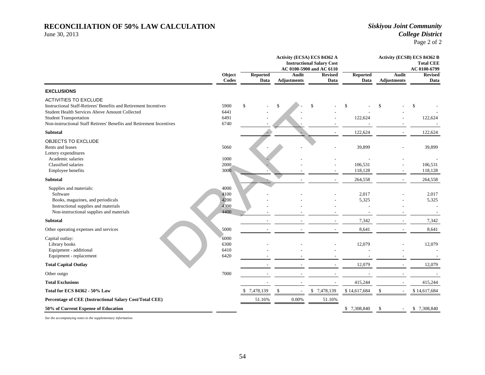#### **RECONCILIATION OF 50% LAW CALCULATION**

June 30, 2013

*Siskiyou Joint Community College District* Page 2 of 2

|                                                                                                                                                                                                                                                                    |                                      |                         |                      | Activity (ECSA) ECS 84362 A<br><b>Instructional Salary Cost</b><br>AC 0100-5900 and AC 6110 |                           |                                    | Activity (ECSB) ECS 84362 B<br><b>Total CEE</b><br>AC 0100-6799 |
|--------------------------------------------------------------------------------------------------------------------------------------------------------------------------------------------------------------------------------------------------------------------|--------------------------------------|-------------------------|----------------------|---------------------------------------------------------------------------------------------|---------------------------|------------------------------------|-----------------------------------------------------------------|
|                                                                                                                                                                                                                                                                    | Object<br>Codes                      | <b>Reported</b><br>Data | Audit<br>Adjustments | <b>Revised</b><br>Data                                                                      | <b>Reported</b><br>Data   | <b>Audit</b><br><b>Adjustments</b> | <b>Revised</b><br>Data                                          |
| <b>EXCLUSIONS</b>                                                                                                                                                                                                                                                  |                                      |                         |                      |                                                                                             |                           |                                    |                                                                 |
| <b>ACTIVITIES TO EXCLUDE</b><br><b>Instructional Staff-Retirees' Benefits and Retirement Incentives</b><br>Student Health Services Above Amount Collected<br><b>Student Transportation</b><br>Non-instructional Staff Retirees' Benefits and Retirement Incentives | 5900<br>6441<br>6491<br>6740         | $\mathbb{S}$            | \$                   | $\mathbb{S}$                                                                                | \$<br>122,624             | $\mathcal{S}$                      | \$<br>122,624                                                   |
| <b>Subtotal</b>                                                                                                                                                                                                                                                    |                                      |                         |                      |                                                                                             | 122,624                   |                                    | 122,624                                                         |
| <b>OBJECTS TO EXCLUDE</b><br>Rents and leases<br>Lottery expenditures<br>Academic salaries<br>Classified salaries                                                                                                                                                  | 5060<br>1000<br>2000                 |                         |                      |                                                                                             | 39,899<br>106,531         |                                    | 39,899<br>106,531                                               |
| Employee benefits                                                                                                                                                                                                                                                  | 3000                                 |                         |                      |                                                                                             | 118,128                   |                                    | 118,128                                                         |
| <b>Subtotal</b><br>Supplies and materials:<br>Software<br>Books, magazines, and periodicals<br>Instructional supplies and materials<br>Non-instructional supplies and materials                                                                                    | 4000<br>4100<br>4200<br>4300<br>4400 |                         |                      |                                                                                             | 264,558<br>2,017<br>5,325 |                                    | 264,558<br>2,017<br>5,325                                       |
| <b>Subtotal</b>                                                                                                                                                                                                                                                    |                                      |                         |                      |                                                                                             | 7,342                     |                                    | 7,342                                                           |
| Other operating expenses and services                                                                                                                                                                                                                              | 5000                                 |                         |                      |                                                                                             | 8,641                     |                                    | 8,641                                                           |
| Capital outlay:<br>Library books<br>Equipment - additional<br>Equipment - replacement                                                                                                                                                                              | 6000<br>6300<br>6410<br>6420         |                         |                      |                                                                                             | 12,079                    |                                    | 12,079                                                          |
| <b>Total Capital Outlay</b>                                                                                                                                                                                                                                        |                                      |                         |                      |                                                                                             | 12,079                    |                                    | 12,079                                                          |
| Other outgo                                                                                                                                                                                                                                                        | 7000                                 |                         |                      |                                                                                             |                           |                                    |                                                                 |
| <b>Total Exclusions</b>                                                                                                                                                                                                                                            |                                      |                         |                      |                                                                                             | 415,244                   |                                    | 415,244                                                         |
| <b>Total for ECS 84362 - 50% Law</b>                                                                                                                                                                                                                               |                                      | 7,478,139<br>S.         | \$                   | \$7,478,139                                                                                 | \$14,617,684              | <sup>\$</sup>                      | \$14,617,684                                                    |
| Percentage of CEE (Instructional Salary Cost/Total CEE)                                                                                                                                                                                                            |                                      | 51.16%                  | 0.00%                | 51.16%                                                                                      |                           |                                    |                                                                 |
| 50% of Current Expense of Education                                                                                                                                                                                                                                |                                      |                         |                      |                                                                                             | \$7,308,840               | $\mathcal{S}$                      | \$7,308,840                                                     |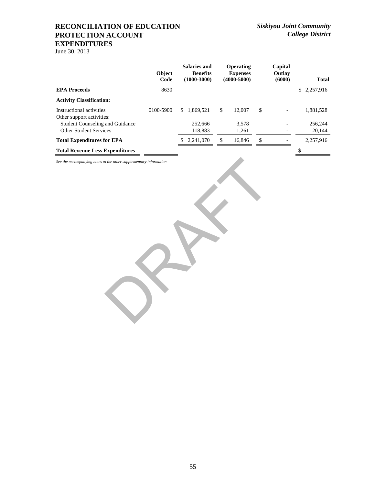# **RECONCILIATION OF EDUCATION PROTECTION ACCOUNT EXPENDITURES**

June 30, 2013

|                                                       | Object<br>Code | <b>Salaries and</b><br><b>Benefits</b><br>$(1000 - 3000)$ |           | Operating<br><b>Expenses</b><br>$(4000 - 5000)$ |        | Capital<br>Outlay<br>(6000) |  | <b>Total</b> |  |
|-------------------------------------------------------|----------------|-----------------------------------------------------------|-----------|-------------------------------------------------|--------|-----------------------------|--|--------------|--|
| <b>EPA Proceeds</b>                                   | 8630           |                                                           |           |                                                 |        |                             |  | \$2,257,916  |  |
| <b>Activity Classification:</b>                       |                |                                                           |           |                                                 |        |                             |  |              |  |
| Instructional activities<br>Other support activities: | 0100-5900      | \$.                                                       | 1.869.521 | \$                                              | 12,007 | \$                          |  | 1,881,528    |  |
| <b>Student Counseling and Guidance</b>                |                |                                                           | 252,666   |                                                 | 3.578  |                             |  | 256,244      |  |
| <b>Other Student Services</b>                         |                |                                                           | 118,883   |                                                 | 1,261  |                             |  | 120,144      |  |
| <b>Total Expenditures for EPA</b>                     |                |                                                           | 2.241,070 |                                                 | 16.846 | \$                          |  | 2,257,916    |  |
| <b>Total Revenue Less Expenditures</b>                |                |                                                           |           |                                                 |        |                             |  | \$           |  |

*See the accompanying notes to the other supplementary information.* o the other supplementary information.

55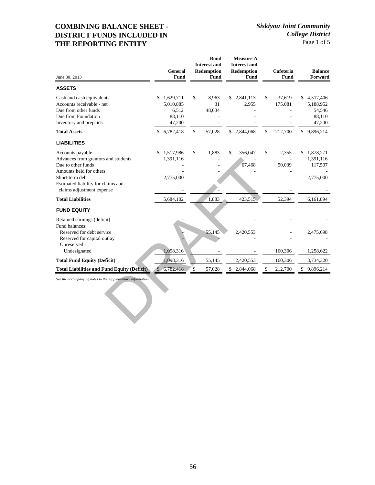*Siskiyou Joint Community College District* Page 1 of 5

| June 30, 2013                                                                                                                   | General<br>Fund                                           |              | <b>Bond</b><br><b>Interest and</b><br>Redemption<br><b>Fund</b> | <b>Measure A</b><br><b>Interest and</b><br>Redemption<br>Fund | Cafeteria<br>Fund       | <b>Balance</b><br>Forward                                  |
|---------------------------------------------------------------------------------------------------------------------------------|-----------------------------------------------------------|--------------|-----------------------------------------------------------------|---------------------------------------------------------------|-------------------------|------------------------------------------------------------|
| <b>ASSETS</b>                                                                                                                   |                                                           |              |                                                                 |                                                               |                         |                                                            |
| Cash and cash equivalents<br>Accounts receivable - net<br>Due from other funds<br>Due from Foundation<br>Inventory and prepaids | \$<br>1,629,711<br>5,010,885<br>6,512<br>88,110<br>47,200 | $\mathbb{S}$ | 8.963<br>31<br>48,034                                           | \$<br>2,841,113<br>2,955                                      | \$<br>37,619<br>175,081 | \$<br>4,517,406<br>5,188,952<br>54,546<br>88,110<br>47,200 |
| <b>Total Assets</b>                                                                                                             | 6,782,418                                                 | \$           | 57,028                                                          | \$<br>2,844,068                                               | 212,700                 | \$<br>9,896,214                                            |
| <b>LIABILITIES</b>                                                                                                              |                                                           |              |                                                                 |                                                               |                         |                                                            |
| Accounts payable<br>Advances from grantors and students<br>Due to other funds<br>Amounts held for others                        | \$<br>1,517,986<br>1,391,116                              | $\mathbb{S}$ | 1,883                                                           | \$<br>356,047<br>67,468                                       | \$<br>2,355<br>50,039   | \$<br>1,878,271<br>1,391,116<br>117,507                    |
| Short-term debt<br>Estimated liability for claims and<br>claims adjustment expense                                              | 2,775,000                                                 |              |                                                                 |                                                               |                         | 2,775,000                                                  |
| <b>Total Liabilities</b>                                                                                                        | 5,684,102                                                 |              | 1,883                                                           | 423,515                                                       | 52,394                  | 6,161,894                                                  |
| <b>FUND EQUITY</b>                                                                                                              |                                                           |              |                                                                 |                                                               |                         |                                                            |
| Retained earnings (deficit)<br>Fund balances:<br>Reserved for debt service<br>Reserved for capital outlay<br>Unreserved:        |                                                           |              | 55,145                                                          | 2,420,553                                                     |                         | 2,475,698                                                  |
| Undesignated                                                                                                                    | 1,098,316                                                 |              |                                                                 |                                                               | 160,306                 | 1,258,622                                                  |
| <b>Total Fund Equity (Deficit)</b>                                                                                              | 1,098,316                                                 |              | 55,145                                                          | 2,420,553                                                     | 160,306                 | 3,734,320                                                  |
| <b>Total Liabilities and Fund Equity (Deficit)</b>                                                                              | 6,782,418                                                 | \$           | 57,028                                                          | \$<br>2,844,068                                               | \$<br>212,700           | \$9,896,214                                                |
| See the accompanying notes to the supplementary information.                                                                    |                                                           |              |                                                                 |                                                               |                         |                                                            |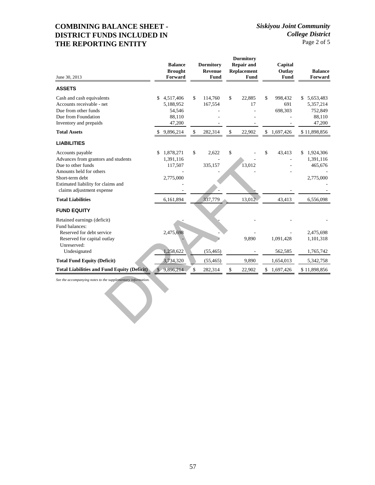*Siskiyou Joint Community College District* Page 2 of 5

| June 30, 2013                                                                                                                   | <b>Balance</b><br><b>Brought</b><br>Forward                | <b>Dormitory</b><br><b>Revenue</b><br>Fund |              | <b>Dormitory</b><br><b>Repair and</b><br>Replacement<br><b>Fund</b> | Capital<br>Outlay<br>Fund       | <b>Balance</b><br>Forward                                   |
|---------------------------------------------------------------------------------------------------------------------------------|------------------------------------------------------------|--------------------------------------------|--------------|---------------------------------------------------------------------|---------------------------------|-------------------------------------------------------------|
| <b>ASSETS</b>                                                                                                                   |                                                            |                                            |              |                                                                     |                                 |                                                             |
| Cash and cash equivalents<br>Accounts receivable - net<br>Due from other funds<br>Due from Foundation<br>Inventory and prepaids | 4,517,406<br>\$<br>5,188,952<br>54,546<br>88,110<br>47,200 | \$<br>114,760<br>167,554                   | \$           | 22,885<br>17                                                        | \$<br>998,432<br>691<br>698,303 | \$<br>5,653,483<br>5,357,214<br>752,849<br>88,110<br>47,200 |
| <b>Total Assets</b>                                                                                                             | 9,896,214                                                  | \$<br>282,314                              | \$           | 22,902                                                              | \$<br>1,697,426                 | \$11,898,856                                                |
| <b>LIABILITIES</b>                                                                                                              |                                                            |                                            |              |                                                                     |                                 |                                                             |
| Accounts payable<br>Advances from grantors and students<br>Due to other funds<br>Amounts held for others<br>Short-term debt     | 1,878,271<br>\$<br>1,391,116<br>117,507<br>2,775,000       | \$<br>2,622<br>335,157                     | \$           | 13,012                                                              | \$<br>43,413                    | \$1,924,306<br>1,391,116<br>465,676<br>2,775,000            |
| Estimated liability for claims and<br>claims adjustment expense                                                                 |                                                            |                                            |              |                                                                     |                                 |                                                             |
| <b>Total Liabilities</b>                                                                                                        | 6,161,894                                                  | 337,779                                    |              | 13,012                                                              | 43,413                          | 6,556,098                                                   |
| <b>FUND EQUITY</b>                                                                                                              |                                                            |                                            |              |                                                                     |                                 |                                                             |
| Retained earnings (deficit)<br>Fund balances:<br>Reserved for debt service<br>Reserved for capital outlay<br>Unreserved:        | 2,475,698                                                  |                                            |              | 9,890                                                               | 1,091,428                       | 2,475,698<br>1,101,318                                      |
| Undesignated                                                                                                                    | 1,258,622                                                  | (55, 465)                                  |              |                                                                     | 562,585                         | 1,765,742                                                   |
| <b>Total Fund Equity (Deficit)</b>                                                                                              | 3,734,320                                                  | (55, 465)                                  |              | 9,890                                                               | 1,654,013                       | 5,342,758                                                   |
| <b>Total Liabilities and Fund Equity (Deficit)</b>                                                                              | 9,896,214                                                  | \$<br>282,314                              | $\mathbb{S}$ | 22,902                                                              | \$<br>1,697,426                 | \$11,898,856                                                |
| See the accompanying notes to the supplementary information.                                                                    |                                                            |                                            |              |                                                                     |                                 |                                                             |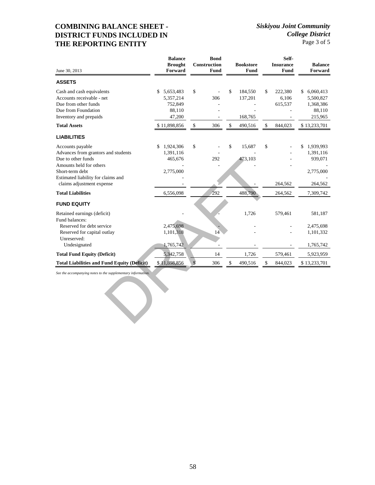*Siskiyou Joint Community College District*

Page 3 of 5

| June 30, 2013                                                                                                                            | <b>Balance</b><br><b>Brought</b><br>Forward                 |              | <b>Bond</b><br>Construction<br>Fund |              | <b>Bookstore</b><br>Fund      | Self-<br><b>Insurance</b><br>Fund | <b>Balance</b><br>Forward                                      |
|------------------------------------------------------------------------------------------------------------------------------------------|-------------------------------------------------------------|--------------|-------------------------------------|--------------|-------------------------------|-----------------------------------|----------------------------------------------------------------|
| <b>ASSETS</b>                                                                                                                            |                                                             |              |                                     |              |                               |                                   |                                                                |
| Cash and cash equivalents<br>Accounts receivable - net<br>Due from other funds<br>Due from Foundation<br>Inventory and prepaids          | 5,653,483<br>\$<br>5,357,214<br>752,849<br>88,110<br>47,200 | \$           | 306                                 | \$           | 184,550<br>137,201<br>168,765 | \$<br>222,380<br>6,106<br>615,537 | 6,060,413<br>\$<br>5,500,827<br>1,368,386<br>88,110<br>215,965 |
| <b>Total Assets</b>                                                                                                                      | \$11,898,856                                                | $\mathbb{S}$ | 306                                 | $\mathbb{S}$ | 490,516                       | \$<br>844,023                     | \$13,233,701                                                   |
| <b>LIABILITIES</b>                                                                                                                       |                                                             |              |                                     |              |                               |                                   |                                                                |
| Accounts payable<br>Advances from grantors and students<br>Due to other funds<br>Amounts held for others<br>Short-term debt              | 1,924,306<br>\$<br>1,391,116<br>465,676<br>2,775,000        | \$           | 292                                 | \$           | 15,687<br>473,103             | \$                                | 1,939,993<br>\$<br>1,391,116<br>939,071<br>2,775,000           |
| Estimated liability for claims and<br>claims adjustment expense                                                                          |                                                             |              |                                     |              |                               | 264,562                           | 264,562                                                        |
| <b>Total Liabilities</b>                                                                                                                 | 6,556,098                                                   |              | 292                                 |              | 488,790                       | 264,562                           | 7,309,742                                                      |
| <b>FUND EQUITY</b>                                                                                                                       |                                                             |              |                                     |              |                               |                                   |                                                                |
| Retained earnings (deficit)<br>Fund balances:<br>Reserved for debt service<br>Reserved for capital outlay<br>Unreserved:<br>Undesignated | 2,475,698<br>1,101,318<br>1,765,742                         |              | 14                                  |              | 1,726                         | 579,461                           | 581,187<br>2,475,698<br>1,101,332<br>1,765,742                 |
| <b>Total Fund Equity (Deficit)</b>                                                                                                       | 5,342,758                                                   |              | 14                                  |              | 1,726                         | 579,461                           | 5,923,959                                                      |
| <b>Total Liabilities and Fund Equity (Deficit)</b>                                                                                       | \$11,898,856                                                | $\mathbb{S}$ | 306                                 | \$           | 490,516                       | \$<br>844,023                     | \$13,233,701                                                   |
| See the accompanying notes to the supplementary information.                                                                             |                                                             |              |                                     |              |                               |                                   |                                                                |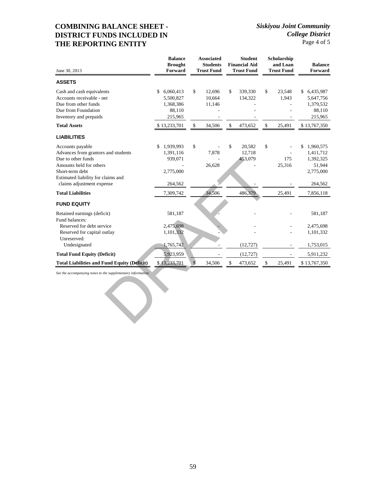*Siskiyou Joint Community College District*

Page 4 of 5

| June 30, 2013                                                                                                                            | <b>Balance</b><br><b>Brought</b><br>Forward                    |               | <b>Associated</b><br><b>Students</b><br><b>Trust Fund</b> | <b>Student</b><br><b>Financial Aid</b><br><b>Trust Fund</b> | Scholarship<br>and Loan<br><b>Trust Fund</b> | <b>Balance</b><br>Forward                                        |  |
|------------------------------------------------------------------------------------------------------------------------------------------|----------------------------------------------------------------|---------------|-----------------------------------------------------------|-------------------------------------------------------------|----------------------------------------------|------------------------------------------------------------------|--|
| <b>ASSETS</b>                                                                                                                            |                                                                |               |                                                           |                                                             |                                              |                                                                  |  |
| Cash and cash equivalents<br>Accounts receivable - net<br>Due from other funds<br>Due from Foundation<br>Inventory and prepaids          | \$<br>6,060,413<br>5,500,827<br>1,368,386<br>88,110<br>215,965 | \$            | 12,696<br>10,664<br>11,146                                | \$<br>339,330<br>134,322                                    | \$<br>23,548<br>1,943                        | \$6,435,987<br>5,647,756<br>1,379,532<br>88,110<br>215,965       |  |
| <b>Total Assets</b>                                                                                                                      | \$13,233,701                                                   | \$            | 34,506                                                    | \$<br>473,652                                               | \$<br>25,491                                 | \$13,767,350                                                     |  |
| <b>LIABILITIES</b>                                                                                                                       |                                                                |               |                                                           |                                                             |                                              |                                                                  |  |
| Accounts payable<br>Advances from grantors and students<br>Due to other funds<br>Amounts held for others<br>Short-term debt              | \$<br>1,939,993<br>1,391,116<br>939,071<br>2,775,000           | \$            | 7,878<br>26,628                                           | \$<br>20,582<br>12,718<br>453,079                           | \$<br>175<br>25,316                          | 1,960,575<br>\$<br>1,411,712<br>1,392,325<br>51,944<br>2,775,000 |  |
| Estimated liability for claims and<br>claims adjustment expense                                                                          | 264,562                                                        |               |                                                           |                                                             |                                              | 264,562                                                          |  |
| <b>Total Liabilities</b>                                                                                                                 | 7,309,742                                                      |               | 34,506                                                    | 486,379                                                     | 25,491                                       | 7,856,118                                                        |  |
| <b>FUND EQUITY</b>                                                                                                                       |                                                                |               |                                                           |                                                             |                                              |                                                                  |  |
| Retained earnings (deficit)<br>Fund balances:<br>Reserved for debt service<br>Reserved for capital outlay<br>Unreserved:<br>Undesignated | 581,187<br>2,475,698<br>1,101,332<br>1,765,742                 |               |                                                           | (12, 727)                                                   |                                              | 581,187<br>2,475,698<br>1,101,332<br>1,753,015                   |  |
| <b>Total Fund Equity (Deficit)</b>                                                                                                       | 5,923,959                                                      |               |                                                           | (12, 727)                                                   |                                              | 5,911,232                                                        |  |
| <b>Total Liabilities and Fund Equity (Deficit)</b>                                                                                       | \$13,233,701                                                   | $\mathcal{S}$ | 34,506                                                    | \$<br>473,652                                               | \$<br>25,491                                 | \$13,767,350                                                     |  |
| See the accompanying notes to the supplementary information.                                                                             |                                                                |               |                                                           |                                                             |                                              |                                                                  |  |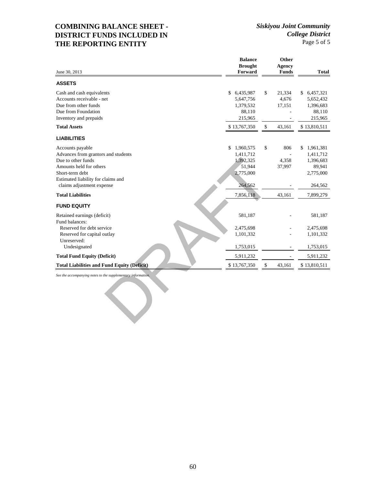*Siskiyou Joint Community College District*

Page 5 of 5

| June 30, 2013                                                                                                                   | <b>Balance</b><br><b>Brought</b><br>Forward                      |        | Other<br>Agency<br><b>Funds</b> | <b>Total</b>                                                 |
|---------------------------------------------------------------------------------------------------------------------------------|------------------------------------------------------------------|--------|---------------------------------|--------------------------------------------------------------|
| <b>ASSETS</b>                                                                                                                   |                                                                  |        |                                 |                                                              |
| Cash and cash equivalents<br>Accounts receivable - net<br>Due from other funds<br>Due from Foundation<br>Inventory and prepaids | \$6,435,987<br>5,647,756<br>1,379,532<br>88,110<br>215,965       | \$     | 21,334<br>4,676<br>17,151       | \$6,457,321<br>5,652,432<br>1,396,683<br>88,110<br>215,965   |
| <b>Total Assets</b>                                                                                                             | \$13,767,350                                                     | \$     | 43,161                          | \$13,810,511                                                 |
| <b>LIABILITIES</b>                                                                                                              |                                                                  |        |                                 |                                                              |
| Accounts payable<br>Advances from grantors and students<br>Due to other funds<br>Amounts held for others<br>Short-term debt     | \$<br>1,960,575<br>1,411,712<br>1,392,325<br>51,944<br>2,775,000 | \$     | 806<br>4,358<br>37,997          | \$1,961,381<br>1,411,712<br>1,396,683<br>89,941<br>2,775,000 |
| Estimated liability for claims and<br>claims adjustment expense                                                                 | 264,562                                                          |        |                                 | 264,562                                                      |
| <b>Total Liabilities</b>                                                                                                        | 7,856,118                                                        |        | 43,161                          | 7,899,279                                                    |
| <b>FUND EQUITY</b>                                                                                                              |                                                                  |        |                                 |                                                              |
| Retained earnings (deficit)<br>Fund balances:<br>Reserved for debt service<br>Reserved for capital outlay<br>Unreserved:        | 581,187<br>2,475,698<br>1,101,332                                |        |                                 | 581,187<br>2,475,698<br>1,101,332                            |
| Undesignated                                                                                                                    | 1,753,015                                                        |        |                                 | 1,753,015                                                    |
| <b>Total Fund Equity (Deficit)</b>                                                                                              | 5,911,232                                                        |        |                                 | 5,911,232                                                    |
| <b>Total Liabilities and Fund Equity (Deficit)</b>                                                                              | \$13,767,350                                                     | $\$\,$ | 43,161                          | \$13,810,511                                                 |
| See the accompanying notes to the supplementary information.                                                                    |                                                                  |        |                                 |                                                              |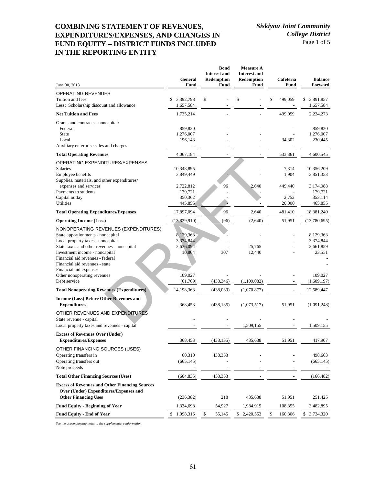*Siskiyou Joint Community College District* Page 1 of 5

| June 30, 2013                                                                    | General<br>Fund              | <b>Bond</b><br><b>Interest and</b><br>Redemption<br><b>Fund</b> | <b>Measure A</b><br><b>Interest and</b><br><b>Redemption</b><br>Fund | Cafeteria<br>Fund                  | <b>Balance</b><br>Forward    |
|----------------------------------------------------------------------------------|------------------------------|-----------------------------------------------------------------|----------------------------------------------------------------------|------------------------------------|------------------------------|
| <b>OPERATING REVENUES</b>                                                        |                              |                                                                 |                                                                      |                                    |                              |
| Tuition and fees<br>Less: Scholarship discount and allowance                     | \$<br>3,392,798<br>1,657,584 | \$<br>$\overline{\phantom{a}}$                                  | \$<br>$\overline{a}$                                                 | \$<br>499,059                      | \$<br>3,891,857<br>1,657,584 |
| <b>Net Tuition and Fees</b>                                                      | 1,735,214                    |                                                                 |                                                                      | 499,059                            | 2,234,273                    |
| Grants and contracts - noncapital:                                               |                              |                                                                 |                                                                      |                                    |                              |
| Federal                                                                          | 859,820                      |                                                                 |                                                                      |                                    | 859,820                      |
| <b>State</b>                                                                     | 1,276,007                    |                                                                 |                                                                      |                                    | 1,276,007                    |
| Local<br>Auxiliary enterprise sales and charges                                  | 196,143                      |                                                                 |                                                                      | 34,302<br>$\overline{\phantom{a}}$ | 230,445                      |
|                                                                                  | 4,067,184                    |                                                                 |                                                                      | 533,361                            | 4,600,545                    |
| <b>Total Operating Revenues</b>                                                  |                              |                                                                 |                                                                      |                                    |                              |
| OPERATING EXPENDITURES/EXPENSES<br>Salaries                                      | 10,348,895                   |                                                                 |                                                                      | 7,314                              | 10,356,209                   |
| Employee benefits                                                                | 3,849,449                    |                                                                 |                                                                      | 1,904                              | 3,851,353                    |
| Supplies, materials, and other expenditures/                                     |                              |                                                                 |                                                                      |                                    |                              |
| expenses and services                                                            | 2,722,812                    | 96                                                              | 2,640                                                                | 449,440                            | 3,174,988                    |
| Payments to students                                                             | 179,721                      |                                                                 |                                                                      |                                    | 179,721                      |
| Capital outlay                                                                   | 350,362                      |                                                                 |                                                                      | 2,752                              | 353,114                      |
| <b>Utilities</b>                                                                 | 445,855                      |                                                                 |                                                                      | 20,000                             | 465,855                      |
| <b>Total Operating Expenditures/Expenses</b>                                     | 17,897,094                   | 96                                                              | 2,640                                                                | 481,410                            | 18,381,240                   |
| <b>Operating Income (Loss)</b>                                                   | (13,829,910)                 | (96)                                                            | (2,640)                                                              | 51,951                             | (13,780,695)                 |
| NONOPERATING REVENUES (EXPENDITURES)                                             |                              |                                                                 |                                                                      |                                    |                              |
| State apportionments - noncapital                                                | 8,129,363                    |                                                                 |                                                                      |                                    | 8,129,363                    |
| Local property taxes - noncapital<br>State taxes and other revenues - noncapital | 3,374,844<br>2,636,094       |                                                                 | 25,765                                                               |                                    | 3,374,844<br>2,661,859       |
| Investment income - noncapital                                                   | 10,804                       | 307                                                             | 12,440                                                               |                                    | 23,551                       |
| Financial aid revenues - federal                                                 |                              |                                                                 |                                                                      |                                    |                              |
| Financial aid revenues - state                                                   |                              |                                                                 |                                                                      |                                    |                              |
| Financial aid expenses                                                           |                              |                                                                 |                                                                      |                                    |                              |
| Other nonoperating revenues<br>Debt service                                      | 109,027                      |                                                                 |                                                                      |                                    | 109,027                      |
|                                                                                  | (61,769)                     | (438, 346)                                                      | (1,109,082)                                                          |                                    | (1,609,197)                  |
| <b>Total Nonoperating Revenues (Expenditures)</b>                                | 14,198,363                   | (438,039)                                                       | (1,070,877)                                                          |                                    | 12,689,447                   |
| <b>Income (Loss) Before Other Revenues and</b><br><b>Expenditures</b>            | 368,453                      | (438, 135)                                                      |                                                                      | 51,951                             |                              |
|                                                                                  |                              |                                                                 | (1,073,517)                                                          |                                    | (1,091,248)                  |
| OTHER REVENUES AND EXPENDITURES                                                  |                              |                                                                 |                                                                      |                                    |                              |
| State revenue - capital                                                          |                              |                                                                 |                                                                      |                                    |                              |
| Local property taxes and revenues - capital                                      |                              |                                                                 | 1,509,155                                                            |                                    | 1,509,155                    |
| <b>Excess of Revenues Over (Under)</b>                                           |                              |                                                                 |                                                                      |                                    |                              |
| <b>Expenditures/Expenses</b>                                                     | 368,453                      | (438, 135)                                                      | 435,638                                                              | 51,951                             | 417,907                      |
| OTHER FINANCING SOURCES (USES)                                                   |                              |                                                                 |                                                                      |                                    |                              |
| Operating transfers in                                                           | 60,310                       | 438,353                                                         |                                                                      |                                    | 498,663                      |
| Operating transfers out                                                          | (665, 145)                   |                                                                 |                                                                      |                                    | (665, 145)                   |
| Note proceeds                                                                    |                              |                                                                 |                                                                      |                                    |                              |
| <b>Total Other Financing Sources (Uses)</b>                                      | (604, 835)                   | 438,353                                                         |                                                                      | $\overline{\phantom{a}}$           | (166, 482)                   |
| <b>Excess of Revenues and Other Financing Sources</b>                            |                              |                                                                 |                                                                      |                                    |                              |
| Over (Under) Expenditures/Expenses and<br><b>Other Financing Uses</b>            |                              | 218                                                             |                                                                      |                                    |                              |
|                                                                                  | (236, 382)                   |                                                                 | 435,638                                                              | 51,951                             | 251,425                      |
| <b>Fund Equity - Beginning of Year</b>                                           | 1,334,698                    | 54,927                                                          | 1,984,915                                                            | 108,355                            | 3,482,895                    |
| <b>Fund Equity - End of Year</b>                                                 | \$1,098,316                  | \$<br>55,145                                                    | \$2,420,553                                                          | \$<br>160,306                      | \$ 3,734,320                 |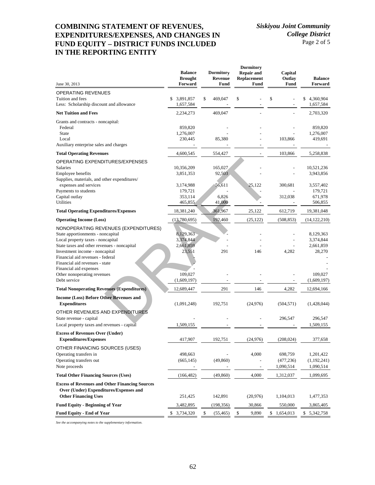*Siskiyou Joint Community College District* Page 2 of 5

| June 30, 2013                                                                                                                                                                                                                                                         | <b>Balance</b><br><b>Brought</b><br>Forward   | <b>Dormitory</b><br>Revenue<br>Fund | <b>Dormitory</b><br><b>Repair and</b><br>Replacement<br>Fund | Capital<br>Outlay<br><b>Fund</b>   | <b>Balance</b><br>Forward                     |
|-----------------------------------------------------------------------------------------------------------------------------------------------------------------------------------------------------------------------------------------------------------------------|-----------------------------------------------|-------------------------------------|--------------------------------------------------------------|------------------------------------|-----------------------------------------------|
| <b>OPERATING REVENUES</b>                                                                                                                                                                                                                                             |                                               |                                     |                                                              |                                    |                                               |
| Tuition and fees<br>Less: Scholarship discount and allowance                                                                                                                                                                                                          | 3,891,857<br>\$<br>1,657,584                  | \$<br>469,047                       | \$                                                           | \$                                 | 4,360,904<br>\$<br>1,657,584                  |
| <b>Net Tuition and Fees</b>                                                                                                                                                                                                                                           | 2,234,273                                     | 469,047                             |                                                              |                                    | 2,703,320                                     |
| Grants and contracts - noncapital:<br>Federal<br><b>State</b><br>Local<br>Auxiliary enterprise sales and charges                                                                                                                                                      | 859,820<br>1,276,007<br>230,445               | 85,380                              |                                                              | 103,866                            | 859,820<br>1,276,007<br>419,691               |
| <b>Total Operating Revenues</b>                                                                                                                                                                                                                                       | 4,600,545                                     | 554,427                             |                                                              | 103,866                            | 5,258,838                                     |
| OPERATING EXPENDITURES/EXPENSES                                                                                                                                                                                                                                       |                                               |                                     |                                                              |                                    |                                               |
| <b>Salaries</b><br>Employee benefits<br>Supplies, materials, and other expenditures/                                                                                                                                                                                  | 10,356,209<br>3,851,353                       | 165,027<br>92,503                   |                                                              |                                    | 10,521,236<br>3,943,856                       |
| expenses and services<br>Payments to students<br>Capital outlay                                                                                                                                                                                                       | 3,174,988<br>179,721<br>353,114               | 56,611<br>6,826                     | 25,122                                                       | 300.681<br>312,038                 | 3,557,402<br>179,721<br>671,978               |
| Utilities                                                                                                                                                                                                                                                             | 465,855                                       | 41,000                              |                                                              |                                    | 506,855                                       |
| <b>Total Operating Expenditures/Expenses</b>                                                                                                                                                                                                                          | 18,381,240                                    | 361,967                             | 25,122                                                       | 612,719                            | 19,381,048                                    |
| <b>Operating Income (Loss)</b>                                                                                                                                                                                                                                        | (13,780,695)                                  | 192,460                             | (25, 122)                                                    | (508, 853)                         | (14, 122, 210)                                |
| NONOPERATING REVENUES (EXPENDITURES)<br>State apportionments - noncapital<br>Local property taxes - noncapital<br>State taxes and other revenues - noncapital<br>Investment income - noncapital<br>Financial aid revenues - federal<br>Financial aid revenues - state | 8,129,363<br>3,374,844<br>2,661,859<br>23,551 | 291                                 | 146                                                          | 4,282                              | 8,129,363<br>3,374,844<br>2,661,859<br>28,270 |
| Financial aid expenses<br>Other nonoperating revenues<br>Debt service                                                                                                                                                                                                 | 109,027<br>(1,609,197)                        |                                     |                                                              |                                    | 109,027<br>(1,609,197)                        |
| <b>Total Nonoperating Revenues (Expenditures)</b>                                                                                                                                                                                                                     | 12,689,447                                    | 291                                 | 146                                                          | 4,282                              | 12,694,166                                    |
| Income (Loss) Before Other Revenues and<br><b>Expenditures</b>                                                                                                                                                                                                        | (1,091,248)                                   | 192,751                             | (24, 976)                                                    | (504, 571)                         | (1,428,044)                                   |
| OTHER REVENUES AND EXPENDITURES<br>State revenue - capital<br>Local property taxes and revenues - capital                                                                                                                                                             | 1,509,155                                     |                                     |                                                              | 296,547                            | 296,547<br>1,509,155                          |
| <b>Excess of Revenues Over (Under)</b><br><b>Expenditures/Expenses</b>                                                                                                                                                                                                | 417,907                                       | 192,751                             | (24, 976)                                                    | (208, 024)                         | 377,658                                       |
| OTHER FINANCING SOURCES (USES)<br>Operating transfers in<br>Operating transfers out<br>Note proceeds                                                                                                                                                                  | 498,663<br>(665, 145)                         | (49, 860)                           | 4,000<br>$\overline{\phantom{a}}$                            | 698,759<br>(477, 236)<br>1,090,514 | 1,201,422<br>(1,192,241)<br>1,090,514         |
| <b>Total Other Financing Sources (Uses)</b>                                                                                                                                                                                                                           | (166, 482)                                    | (49, 860)                           | 4,000                                                        | 1,312,037                          | 1,099,695                                     |
| <b>Excess of Revenues and Other Financing Sources</b><br>Over (Under) Expenditures/Expenses and<br><b>Other Financing Uses</b>                                                                                                                                        | 251,425                                       | 142,891                             | (20, 976)                                                    | 1,104,013                          | 1,477,353                                     |
| <b>Fund Equity - Beginning of Year</b>                                                                                                                                                                                                                                | 3,482,895                                     | (198, 356)                          | 30,866                                                       | 550,000                            | 3,865,405                                     |
| Fund Equity - End of Year                                                                                                                                                                                                                                             | \$ 3,734,320                                  | $\mathbb{S}$<br>(55, 465)           | \$<br>9,890                                                  | \$1,654,013                        | \$5,342,758                                   |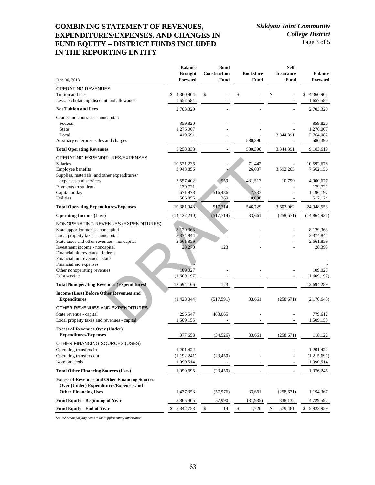*Siskiyou Joint Community College District* Page 3 of 5

| June 30, 2013                                                                    | <b>Balance</b><br><b>Brought</b><br>Forward | <b>Bond</b><br>Construction<br>Fund | <b>Bookstore</b><br>Fund | Self-<br><b>Insurance</b><br>Fund | <b>Balance</b><br>Forward |
|----------------------------------------------------------------------------------|---------------------------------------------|-------------------------------------|--------------------------|-----------------------------------|---------------------------|
| <b>OPERATING REVENUES</b>                                                        |                                             |                                     |                          |                                   |                           |
| Tuition and fees                                                                 | 4,360,904                                   | \$                                  | \$                       | \$                                | \$<br>4,360,904           |
| Less: Scholarship discount and allowance                                         | 1,657,584                                   | $\overline{\phantom{a}}$            |                          |                                   | 1,657,584                 |
| <b>Net Tuition and Fees</b>                                                      | 2,703,320                                   |                                     |                          |                                   | 2,703,320                 |
| Grants and contracts - noncapital:                                               |                                             |                                     |                          |                                   |                           |
| Federal                                                                          | 859,820                                     |                                     |                          |                                   | 859,820                   |
| <b>State</b><br>Local                                                            | 1,276,007<br>419,691                        |                                     |                          | 3,344,391                         | 1,276,007<br>3,764,082    |
| Auxiliary enterprise sales and charges                                           |                                             |                                     | 580,390                  |                                   | 580,390                   |
| <b>Total Operating Revenues</b>                                                  | 5,258,838                                   |                                     | 580,390                  | 3,344,391                         | 9,183,619                 |
| OPERATING EXPENDITURES/EXPENSES                                                  |                                             |                                     |                          |                                   |                           |
| Salaries                                                                         | 10,521,236                                  |                                     | 71,442                   |                                   | 10,592,678                |
| Employee benefits                                                                | 3,943,856                                   |                                     | 26,037                   | 3,592,263                         | 7,562,156                 |
| Supplies, materials, and other expenditures/                                     |                                             |                                     |                          |                                   |                           |
| expenses and services<br>Payments to students                                    | 3,557,402<br>179,721                        | 959                                 | 431,517                  | 10,799                            | 4,000,677<br>179,721      |
| Capital outlay                                                                   | 671,978                                     | 516,486                             | 7,733                    |                                   | 1,196,197                 |
| <b>Utilities</b>                                                                 | 506,855                                     | 269                                 | 10,000                   |                                   | 517,124                   |
| <b>Total Operating Expenditures/Expenses</b>                                     | 19,381,048                                  | 517,714                             | 546,729                  | 3,603,062                         | 24,048,553                |
| <b>Operating Income (Loss)</b>                                                   | (14, 122, 210)                              | (517, 714)                          | 33,661                   | (258, 671)                        | (14, 864, 934)            |
| NONOPERATING REVENUES (EXPENDITURES)                                             |                                             |                                     |                          |                                   |                           |
| State apportionments - noncapital                                                | 8,129,363                                   |                                     |                          |                                   | 8,129,363                 |
| Local property taxes - noncapital<br>State taxes and other revenues - noncapital | 3,374,844                                   |                                     |                          |                                   | 3,374,844                 |
| Investment income - noncapital                                                   | 2,661,859<br>28,270                         | 123                                 |                          |                                   | 2,661,859<br>28,393       |
| Financial aid revenues - federal                                                 |                                             |                                     |                          |                                   |                           |
| Financial aid revenues - state                                                   |                                             |                                     |                          |                                   |                           |
| Financial aid expenses<br>Other nonoperating revenues                            | 109,027                                     |                                     |                          |                                   | 109,027                   |
| Debt service                                                                     | (1,609,197)                                 |                                     |                          |                                   | (1,609,197)               |
| <b>Total Nonoperating Revenues (Expenditures)</b>                                | 12,694,166                                  | 123                                 |                          |                                   | 12,694,289                |
| <b>Income (Loss) Before Other Revenues and</b>                                   |                                             |                                     |                          |                                   |                           |
| <b>Expenditures</b>                                                              | (1,428,044)                                 | (517, 591)                          | 33,661                   | (258, 671)                        | (2,170,645)               |
| OTHER REVENUES AND EXPENDITURES.                                                 |                                             |                                     |                          |                                   |                           |
| State revenue - capital                                                          | 296,547                                     | 483,065                             |                          |                                   | 779,612                   |
| Local property taxes and revenues - capital                                      | 1,509,155                                   |                                     |                          |                                   | 1,509,155                 |
| <b>Excess of Revenues Over (Under)</b>                                           |                                             |                                     |                          |                                   |                           |
| <b>Expenditures/Expenses</b>                                                     | 377,658                                     | (34, 526)                           | 33,661                   | (258, 671)                        | 118,122                   |
| OTHER FINANCING SOURCES (USES)                                                   |                                             |                                     |                          |                                   |                           |
| Operating transfers in                                                           | 1,201,422                                   |                                     |                          |                                   | 1,201,422                 |
| Operating transfers out                                                          | (1, 192, 241)                               | (23, 450)                           |                          |                                   | (1,215,691)               |
| Note proceeds                                                                    | 1,090,514                                   |                                     |                          |                                   | 1,090,514                 |
| <b>Total Other Financing Sources (Uses)</b>                                      | 1,099,695                                   | (23, 450)                           |                          |                                   | 1,076,245                 |
| <b>Excess of Revenues and Other Financing Sources</b>                            |                                             |                                     |                          |                                   |                           |
| Over (Under) Expenditures/Expenses and<br><b>Other Financing Uses</b>            | 1,477,353                                   | (57, 976)                           | 33,661                   | (258, 671)                        | 1,194,367                 |
| <b>Fund Equity - Beginning of Year</b>                                           | 3,865,405                                   | 57,990                              | (31, 935)                | 838,132                           | 4,729,592                 |
| <b>Fund Equity - End of Year</b>                                                 | \$5,342,758                                 | \$<br>14                            | \$<br>1,726              | \$<br>579,461                     | \$5,923,959               |
|                                                                                  |                                             |                                     |                          |                                   |                           |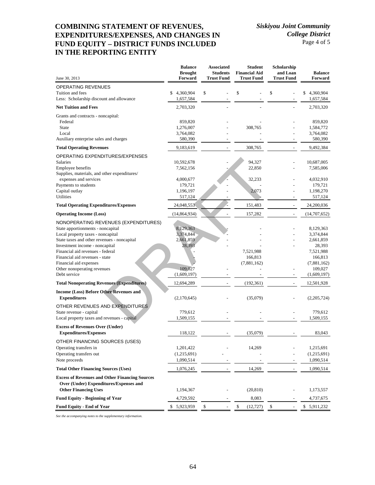*Siskiyou Joint Community College District* Page 4 of 5

| June 30, 2013                                                                                   | <b>Balance</b><br><b>Brought</b><br>Forward | <b>Associated</b><br><b>Students</b><br><b>Trust Fund</b> | <b>Student</b><br><b>Financial Aid</b><br><b>Trust Fund</b> | Scholarship<br>and Loan<br><b>Trust Fund</b> | <b>Balance</b><br>Forward    |
|-------------------------------------------------------------------------------------------------|---------------------------------------------|-----------------------------------------------------------|-------------------------------------------------------------|----------------------------------------------|------------------------------|
| <b>OPERATING REVENUES</b>                                                                       |                                             |                                                           |                                                             |                                              |                              |
| Tuition and fees<br>Less: Scholarship discount and allowance                                    | \$<br>4,360,904<br>1,657,584                | \$                                                        | \$                                                          | \$                                           | 4,360,904<br>\$<br>1,657,584 |
| <b>Net Tuition and Fees</b>                                                                     | 2,703,320                                   |                                                           |                                                             |                                              | 2,703,320                    |
| Grants and contracts - noncapital:                                                              |                                             |                                                           |                                                             |                                              |                              |
| Federal                                                                                         | 859,820                                     |                                                           |                                                             |                                              | 859,820                      |
| <b>State</b>                                                                                    | 1,276,007                                   |                                                           | 308,765                                                     |                                              | 1,584,772                    |
| Local<br>Auxiliary enterprise sales and charges                                                 | 3,764,082<br>580,390                        |                                                           |                                                             |                                              | 3,764,082<br>580,390         |
| <b>Total Operating Revenues</b>                                                                 | 9,183,619                                   |                                                           | 308,765                                                     |                                              | 9,492,384                    |
| OPERATING EXPENDITURES/EXPENSES                                                                 |                                             |                                                           |                                                             |                                              |                              |
| Salaries                                                                                        | 10,592,678                                  |                                                           | 94,327                                                      |                                              | 10,687,005                   |
| <b>Employee benefits</b><br>Supplies, materials, and other expenditures/                        | 7,562,156                                   |                                                           | 22,850                                                      |                                              | 7,585,006                    |
| expenses and services                                                                           | 4,000,677                                   |                                                           | 32,233                                                      |                                              | 4,032,910                    |
| Payments to students                                                                            | 179,721                                     |                                                           |                                                             |                                              | 179,721                      |
| Capital outlay                                                                                  | 1,196,197                                   |                                                           | 2,073                                                       |                                              | 1,198,270                    |
| <b>Utilities</b>                                                                                | 517,124                                     |                                                           |                                                             |                                              | 517,124                      |
| <b>Total Operating Expenditures/Expenses</b>                                                    | 24,048,553                                  |                                                           | 151,483                                                     | ÷,                                           | 24,200,036                   |
| <b>Operating Income (Loss)</b>                                                                  | (14, 864, 934)                              |                                                           | 157,282                                                     |                                              | (14,707,652)                 |
| NONOPERATING REVENUES (EXPENDITURES)                                                            |                                             |                                                           |                                                             |                                              |                              |
| State apportionments - noncapital<br>Local property taxes - noncapital                          | 8,129,363<br>3,374,844                      |                                                           |                                                             |                                              | 8,129,363<br>3,374,844       |
| State taxes and other revenues - noncapital                                                     | 2,661,859                                   |                                                           |                                                             |                                              | 2,661,859                    |
| Investment income - noncapital                                                                  | 28,393                                      |                                                           |                                                             |                                              | 28,393                       |
| Financial aid revenues - federal                                                                |                                             |                                                           | 7,521,988                                                   |                                              | 7,521,988                    |
| Financial aid revenues - state                                                                  |                                             |                                                           | 166,813                                                     |                                              | 166,813                      |
| Financial aid expenses<br>Other nonoperating revenues                                           | 109,027                                     |                                                           | (7,881,162)                                                 |                                              | (7,881,162)<br>109,027       |
| Debt service                                                                                    | (1,609,197)                                 |                                                           |                                                             |                                              | (1,609,197)                  |
| <b>Total Nonoperating Revenues (Expenditures)</b>                                               | 12,694,289                                  |                                                           | (192, 361)                                                  | ÷,                                           | 12,501,928                   |
| <b>Income (Loss) Before Other Revenues and</b>                                                  |                                             |                                                           |                                                             |                                              |                              |
| <b>Expenditures</b>                                                                             | (2,170,645)                                 |                                                           | (35,079)                                                    |                                              | (2,205,724)                  |
| OTHER REVENUES AND EXPENDITURES                                                                 |                                             |                                                           |                                                             |                                              |                              |
| State revenue - capital                                                                         | 779,612                                     |                                                           |                                                             |                                              | 779,612                      |
| Local property taxes and revenues - capital                                                     | 1,509,155                                   |                                                           |                                                             |                                              | 1,509,155                    |
| <b>Excess of Revenues Over (Under)</b><br><b>Expenditures/Expenses</b>                          | 118,122                                     |                                                           | (35,079)                                                    |                                              | 83,043                       |
| OTHER FINANCING SOURCES (USES)                                                                  |                                             |                                                           |                                                             |                                              |                              |
| Operating transfers in                                                                          | 1,201,422                                   |                                                           | 14,269                                                      |                                              | 1,215,691                    |
| Operating transfers out                                                                         | (1,215,691)                                 |                                                           |                                                             |                                              | (1,215,691)                  |
| Note proceeds                                                                                   | 1,090,514                                   |                                                           |                                                             |                                              | 1,090,514                    |
| <b>Total Other Financing Sources (Uses)</b>                                                     | 1,076,245                                   |                                                           | 14,269                                                      |                                              | 1,090,514                    |
| <b>Excess of Revenues and Other Financing Sources</b><br>Over (Under) Expenditures/Expenses and |                                             |                                                           |                                                             |                                              |                              |
| <b>Other Financing Uses</b>                                                                     | 1,194,367                                   |                                                           | (20, 810)                                                   |                                              | 1,173,557                    |
| <b>Fund Equity - Beginning of Year</b>                                                          | 4,729,592                                   |                                                           | 8,083                                                       |                                              | 4,737,675                    |
| <b>Fund Equity - End of Year</b>                                                                | \$5,923,959                                 | \$                                                        | \$<br>(12, 727)                                             | $\mathbb{S}$                                 | \$5,911,232                  |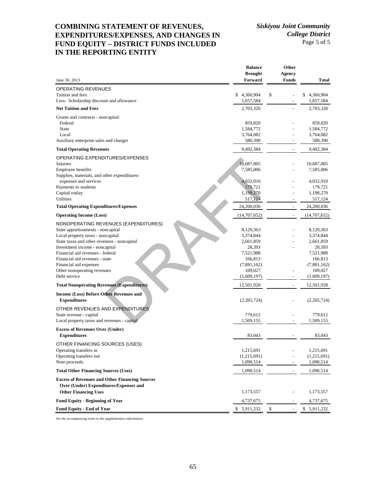*Siskiyou Joint Community College District* Page 5 of 5

| June 30, 2013                                                                 | <b>Balance</b><br><b>Brought</b><br>Forward | Other<br><b>Agency</b><br><b>Funds</b> | Total                        |
|-------------------------------------------------------------------------------|---------------------------------------------|----------------------------------------|------------------------------|
| <b>OPERATING REVENUES</b>                                                     |                                             |                                        |                              |
| Tuition and fees<br>Less: Scholarship discount and allowance                  | 4,360,904<br>\$<br>1,657,584                | \$                                     | \$<br>4,360,904<br>1,657,584 |
| <b>Net Tuition and Fees</b>                                                   | 2,703,320                                   |                                        | 2,703,320                    |
|                                                                               |                                             |                                        |                              |
| Grants and contracts - noncapital:<br>Federal                                 | 859,820                                     |                                        | 859,820                      |
| State<br>Local                                                                | 1,584,772<br>3,764,082                      |                                        | 1,584,772<br>3,764,082       |
| Auxiliary enterprise sales and charges                                        | 580,390                                     |                                        | 580,390                      |
| <b>Total Operating Revenues</b>                                               | 9,492,384                                   |                                        | 9,492,384                    |
| OPERATING EXPENDITURES/EXPENSES                                               |                                             |                                        |                              |
| Salaries<br>Employee benefits                                                 | 10,687,005<br>7,585,006                     |                                        | 10,687,005<br>7,585,006      |
| Supplies, materials, and other expenditures/                                  |                                             |                                        |                              |
| expenses and services<br>Payments to students                                 | 4,032,910<br>179,721                        |                                        | 4,032,910<br>179,721         |
| Capital outlay                                                                | 1,198,270                                   |                                        | 1,198,270                    |
| Utilities                                                                     | 517,124                                     |                                        | 517,124                      |
| <b>Total Operating Expenditures/Expenses</b>                                  | 24,200,036                                  |                                        | 24,200,036                   |
| <b>Operating Income (Loss)</b>                                                | (14,707,652)                                |                                        | (14,707,652)                 |
| NONOPERATING REVENUES (EXPENDITURES)                                          |                                             |                                        |                              |
| State apportionments - noncapital                                             | 8,129,363                                   |                                        | 8,129,363                    |
| Local property taxes - noncapital                                             | 3,374,844                                   |                                        | 3,374,844                    |
| State taxes and other revenues - noncapital<br>Investment income - noncapital | 2,661,859<br>28,393                         |                                        | 2,661,859<br>28,393          |
| Financial aid revenues - federal                                              | 7,521,988                                   |                                        | 7,521,988                    |
| Financial aid revenues - state                                                | 166,813                                     |                                        | 166,813                      |
| Financial aid expenses                                                        | (7,881,162)                                 |                                        | (7,881,162)                  |
| Other nonoperating revenues                                                   | 109,027                                     |                                        | 109,027                      |
| Debt service                                                                  | (1,609,197)                                 |                                        | (1,609,197)                  |
| <b>Total Nonoperating Revenues (Expenditures)</b>                             | 12,501,928                                  |                                        | 12,501,928                   |
| <b>Income (Loss) Before Other Revenues and</b><br><b>Expenditures</b>         | (2,205,724)                                 |                                        | (2,205,724)                  |
| OTHER REVENUES AND EXPENDITURES                                               |                                             |                                        |                              |
| State revenue - capital                                                       | 779,612                                     |                                        | 779,612                      |
| Local property taxes and revenues - capital                                   | 1,509,155                                   |                                        | 1,509,155                    |
| <b>Excess of Revenues Over (Under)</b><br><b>Expenditures</b>                 | 83,043                                      |                                        | 83,043                       |
| OTHER FINANCING SOURCES (USES)                                                |                                             |                                        |                              |
| Operating transfers in                                                        | 1,215,691                                   |                                        | 1,215,691                    |
| Operating transfers out                                                       | (1,215,691)                                 |                                        | (1,215,691)                  |
| Note proceeds                                                                 | 1,090,514                                   |                                        | 1,090,514                    |
| <b>Total Other Financing Sources (Uses)</b>                                   | 1,090,514                                   | $\overline{\phantom{a}}$               | 1,090,514                    |
| <b>Excess of Revenues and Other Financing Sources</b>                         |                                             |                                        |                              |
| Over (Under) Expenditures/Expenses and<br><b>Other Financing Uses</b>         | 1,173,557                                   |                                        | 1,173,557                    |
| <b>Fund Equity - Beginning of Year</b>                                        | 4,737,675                                   |                                        | 4,737,675                    |
| <b>Fund Equity - End of Year</b>                                              | \$ 5,911,232                                | \$                                     | \$ 5,911,232                 |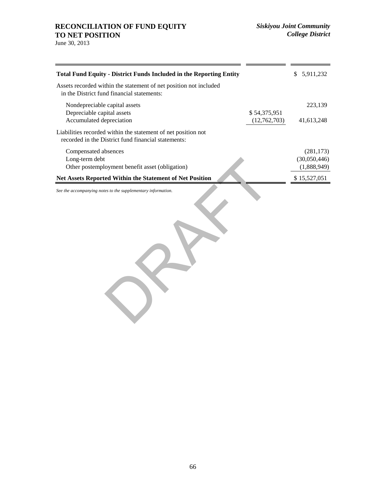| <b>Total Fund Equity - District Funds Included in the Reporting Entity</b>                                           |                              | \$5,911,232                               |
|----------------------------------------------------------------------------------------------------------------------|------------------------------|-------------------------------------------|
| Assets recorded within the statement of net position not included<br>in the District fund financial statements:      |                              |                                           |
| Nondepreciable capital assets<br>Depreciable capital assets<br>Accumulated depreciation                              | \$54,375,951<br>(12,762,703) | 223,139<br>41,613,248                     |
| Liabilities recorded within the statement of net position not<br>recorded in the District fund financial statements: |                              |                                           |
| Compensated absences<br>Long-term debt<br>Other postemployment benefit asset (obligation)                            |                              | (281, 173)<br>(30,050,446)<br>(1,888,949) |
| Net Assets Reported Within the Statement of Net Position                                                             |                              | \$15,527,051                              |
| See the accompanying notes to the supplementary information.                                                         |                              |                                           |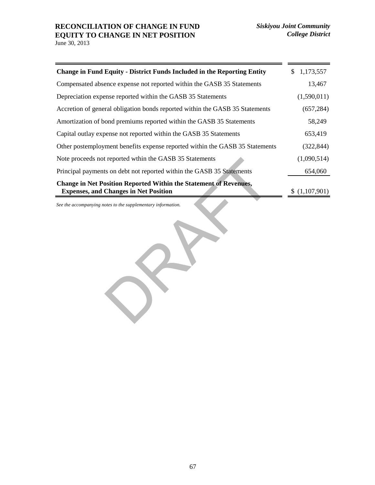## **RECONCILIATION OF CHANGE IN FUND EQUITY TO CHANGE IN NET POSITION**  June 30, 2013

| <b>Change in Fund Equity - District Funds Included in the Reporting Entity</b>                                           | \$<br>1,173,557 |
|--------------------------------------------------------------------------------------------------------------------------|-----------------|
| Compensated absence expense not reported within the GASB 35 Statements                                                   | 13,467          |
| Depreciation expense reported within the GASB 35 Statements                                                              | (1,590,011)     |
| Accretion of general obligation bonds reported within the GASB 35 Statements                                             | (657, 284)      |
| Amortization of bond premiums reported within the GASB 35 Statements                                                     | 58,249          |
| Capital outlay expense not reported within the GASB 35 Statements                                                        | 653,419         |
| Other postemployment benefits expense reported within the GASB 35 Statements                                             | (322, 844)      |
| Note proceeds not reported wthin the GASB 35 Statements                                                                  | (1,090,514)     |
| Principal payments on debt not reported within the GASB 35 Statements                                                    | 654,060         |
| <b>Change in Net Position Reported Within the Statement of Revenues,</b><br><b>Expenses, and Changes in Net Position</b> | \$(1,107,901)   |
| See the accompanying notes to the supplementary information.                                                             |                 |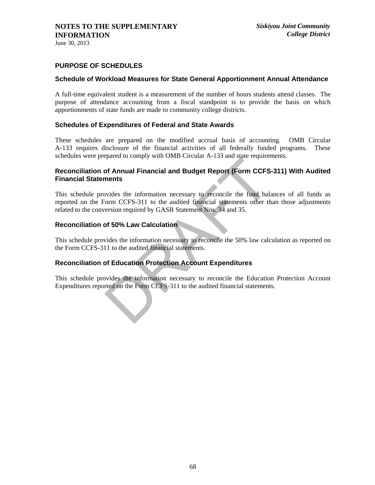#### **PURPOSE OF SCHEDULES**

#### **Schedule of Workload Measures for State General Apportionment Annual Attendance**

A full-time equivalent student is a measurement of the number of hours students attend classes. The purpose of attendance accounting from a fiscal standpoint is to provide the basis on which apportionments of state funds are made to community college districts.

#### **Schedules of Expenditures of Federal and State Awards**

These schedules are prepared on the modified accrual basis of accounting. OMB Circular A-133 requires disclosure of the financial activities of all federally funded programs. These schedules were prepared to comply with OMB Circular A-133 and state requirements.

#### **Reconciliation of Annual Financial and Budget Report (Form CCFS-311) With Audited Financial Statements**

This schedule provides the information necessary to reconcile the fund balances of all funds as reported on the Form CCFS-311 to the audited financial statements other than those adjustments related to the conversion required by GASB Statement Nos. 34 and 35. of Annual Financial and Budget Report (Form CCFS<br>nents<br>wides the information necessary to reconcile the fund balabor<br>m CCFS-311 to the audited financial statements other the<br>resion required by GASB Statement Nos. 34 and 35

#### **Reconciliation of 50% Law Calculation**

This schedule provides the information necessary to reconcile the 50% law calculation as reported on the Form CCFS-311 to the audited financial statements.

#### **Reconciliation of Education Protection Account Expenditures**

This schedule provides the information necessary to reconcile the Education Protection Account Expenditures reported on the Form CCFS-311 to the audited financial statements.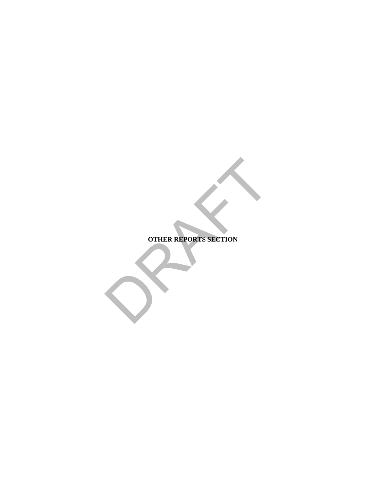**OTHER REPORTS SECTION** OTHER REPORTS SECTION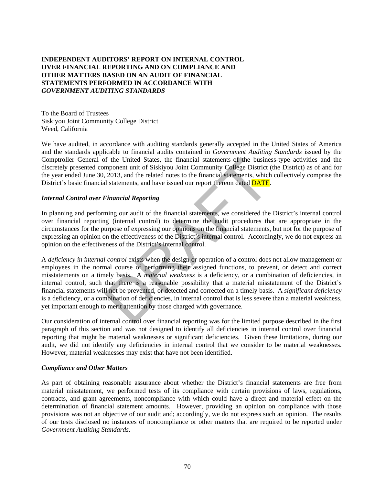# **INDEPENDENT AUDITORS' REPORT ON INTERNAL CONTROL OVER FINANCIAL REPORTING AND ON COMPLIANCE AND OTHER MATTERS BASED ON AN AUDIT OF FINANCIAL STATEMENTS PERFORMED IN ACCORDANCE WITH**  *GOVERNMENT AUDITING STANDARDS*

To the Board of Trustees Siskiyou Joint Community College District Weed, California

We have audited, in accordance with auditing standards generally accepted in the United States of America and the standards applicable to financial audits contained in *Government Auditing Standards* issued by the Comptroller General of the United States, the financial statements of the business-type activities and the discretely presented component unit of Siskiyou Joint Community College District (the District) as of and for the year ended June 30, 2013, and the related notes to the financial statements, which collectively comprise the District's basic financial statements, and have issued our report thereon dated **DATE**.

#### *Internal Control over Financial Reporting*

In planning and performing our audit of the financial statements, we considered the District's internal control over financial reporting (internal control) to determine the audit procedures that are appropriate in the circumstances for the purpose of expressing our opinions on the financial statements, but not for the purpose of expressing an opinion on the effectiveness of the District's internal control. Accordingly, we do not express an opinion on the effectiveness of the District's internal control.

A *deficiency in internal control* exists when the design or operation of a control does not allow management or employees in the normal course of performing their assigned functions, to prevent, or detect and correct misstatements on a timely basis. A *material weakness* is a deficiency, or a combination of deficiencies, in internal control, such that there is a reasonable possibility that a material misstatement of the District's financial statements will not be prevented, or detected and corrected on a timely basis. A *significant deficiency*  is a deficiency, or a combination of deficiencies, in internal control that is less severe than a material weakness, yet important enough to merit attention by those charged with governance. of the United States, the financial statements of the busine<br>mponent unit of Siskiyou Joint Community College District (2013, and the related notes to the financial statements, which<br>d statements, and have issued our repor

Our consideration of internal control over financial reporting was for the limited purpose described in the first paragraph of this section and was not designed to identify all deficiencies in internal control over financial reporting that might be material weaknesses or significant deficiencies. Given these limitations, during our audit, we did not identify any deficiencies in internal control that we consider to be material weaknesses. However, material weaknesses may exist that have not been identified.

#### *Compliance and Other Matters*

As part of obtaining reasonable assurance about whether the District's financial statements are free from material misstatement, we performed tests of its compliance with certain provisions of laws, regulations, contracts, and grant agreements, noncompliance with which could have a direct and material effect on the determination of financial statement amounts. However, providing an opinion on compliance with those provisions was not an objective of our audit and; accordingly, we do not express such an opinion. The results of our tests disclosed no instances of noncompliance or other matters that are required to be reported under *Government Auditing Standards*.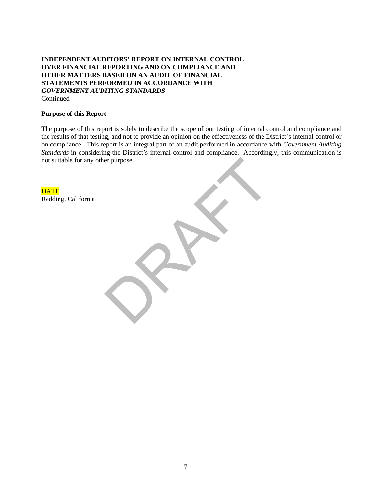# **INDEPENDENT AUDITORS' REPORT ON INTERNAL CONTROL OVER FINANCIAL REPORTING AND ON COMPLIANCE AND OTHER MATTERS BASED ON AN AUDIT OF FINANCIAL STATEMENTS PERFORMED IN ACCORDANCE WITH**  *GOVERNMENT AUDITING STANDARDS* Continued

#### **Purpose of this Report**

The purpose of this report is solely to describe the scope of our testing of internal control and compliance and the results of that testing, and not to provide an opinion on the effectiveness of the District's internal control or on compliance. This report is an integral part of an audit performed in accordance with *Government Auditing Standards* in considering the District's internal control and compliance. Accordingly, this communication is not suitable for any other purpose. DRAFT

**DATE** Redding, California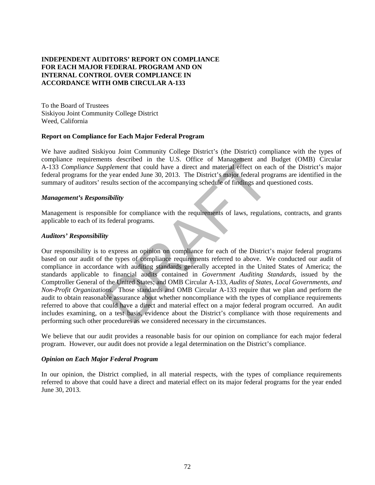# **INDEPENDENT AUDITORS' REPORT ON COMPLIANCE FOR EACH MAJOR FEDERAL PROGRAM AND ON INTERNAL CONTROL OVER COMPLIANCE IN ACCORDANCE WITH OMB CIRCULAR A-133**

To the Board of Trustees Siskiyou Joint Community College District Weed, California

#### **Report on Compliance for Each Major Federal Program**

We have audited Siskiyou Joint Community College District's (the District) compliance with the types of compliance requirements described in the U.S. Office of Management and Budget (OMB) Circular A-133 *Compliance Supplement* that could have a direct and material effect on each of the District's major federal programs for the year ended June 30, 2013. The District's major federal programs are identified in the summary of auditors' results section of the accompanying schedule of findings and questioned costs.

#### *Management's Responsibility*

Management is responsible for compliance with the requirements of laws, regulations, contracts, and grants applicable to each of its federal programs.

#### *Auditors' Responsibility*

Our responsibility is to express an opinion on compliance for each of the District's major federal programs based on our audit of the types of compliance requirements referred to above. We conducted our audit of compliance in accordance with auditing standards generally accepted in the United States of America; the standards applicable to financial audits contained in *Government Auditing Standards*, issued by the Comptroller General of the United States; and OMB Circular A-133, *Audits of States, Local Governments, and Non-Profit Organizations.* Those standards and OMB Circular A-133 require that we plan and perform the audit to obtain reasonable assurance about whether noncompliance with the types of compliance requirements referred to above that could have a direct and material effect on a major federal program occurred. An audit includes examining, on a test basis, evidence about the District's compliance with those requirements and performing such other procedures as we considered necessary in the circumstances. Ints described in the U.S. Office of Management and<br>
oplement that could have a direct and material effect on eas<br>
e year ended June 30, 2013. The District's major federal prog-<br>
systessition of the accompanying schedule o

We believe that our audit provides a reasonable basis for our opinion on compliance for each major federal program. However, our audit does not provide a legal determination on the District's compliance.

#### *Opinion on Each Major Federal Program*

In our opinion, the District complied, in all material respects, with the types of compliance requirements referred to above that could have a direct and material effect on its major federal programs for the year ended June 30, 2013.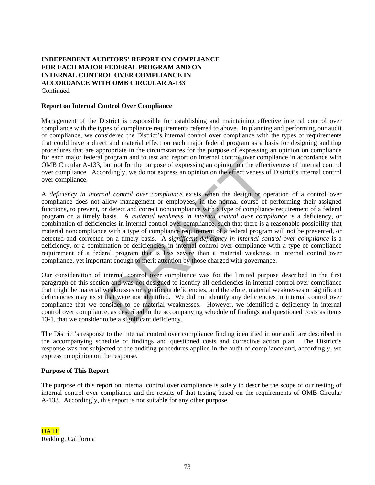# **INDEPENDENT AUDITORS' REPORT ON COMPLIANCE FOR EACH MAJOR FEDERAL PROGRAM AND ON INTERNAL CONTROL OVER COMPLIANCE IN ACCORDANCE WITH OMB CIRCULAR A-133**  Continued

#### **Report on Internal Control Over Compliance**

Management of the District is responsible for establishing and maintaining effective internal control over compliance with the types of compliance requirements referred to above. In planning and performing our audit of compliance, we considered the District's internal control over compliance with the types of requirements that could have a direct and material effect on each major federal program as a basis for designing auditing procedures that are appropriate in the circumstances for the purpose of expressing an opinion on compliance for each major federal program and to test and report on internal control over compliance in accordance with OMB Circular A-133, but not for the purpose of expressing an opinion on the effectiveness of internal control over compliance. Accordingly, we do not express an opinion on the effectiveness of District's internal control over compliance.

A *deficiency in internal control over compliance* exists when the design or operation of a control over compliance does not allow management or employees, in the normal course of performing their assigned functions, to prevent, or detect and correct noncompliance with a type of compliance requirement of a federal program on a timely basis. A *material weakness in internal control over compliance* is a deficiency, or combination of deficiencies in internal control over compliance, such that there is a reasonable possibility that material noncompliance with a type of compliance requirement of a federal program will not be prevented, or detected and corrected on a timely basis. A *significant deficiency in internal control over compliance* is a deficiency, or a combination of deficiencies, in internal control over compliance with a type of compliance requirement of a federal program that is less severe than a material weakness in internal control over compliance, yet important enough to merit attention by those charged with governance. program and to test and report on internal control over comp<br>but not for the purpose of expressing an opinion on the effect<br>ordingly, we do not express an opinion on the effectiveness of<br>all control over compliance exists

Our consideration of internal control over compliance was for the limited purpose described in the first paragraph of this section and was not designed to identify all deficiencies in internal control over compliance that might be material weaknesses or significant deficiencies, and therefore, material weaknesses or significant deficiencies may exist that were not identified. We did not identify any deficiencies in internal control over compliance that we consider to be material weaknesses. However, we identified a deficiency in internal control over compliance, as described in the accompanying schedule of findings and questioned costs as items 13-1*,* that we consider to be a significant deficiency.

The District's response to the internal control over compliance finding identified in our audit are described in the accompanying schedule of findings and questioned costs and corrective action plan. The District's response was not subjected to the auditing procedures applied in the audit of compliance and, accordingly, we express no opinion on the response.

#### **Purpose of This Report**

The purpose of this report on internal control over compliance is solely to describe the scope of our testing of internal control over compliance and the results of that testing based on the requirements of OMB Circular A-133. Accordingly, this report is not suitable for any other purpose.

**DATE** Redding, California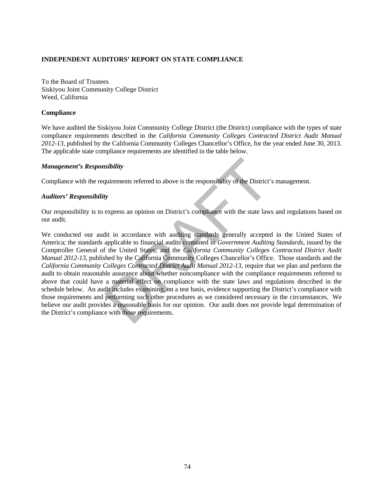# **INDEPENDENT AUDITORS' REPORT ON STATE COMPLIANCE**

To the Board of Trustees Siskiyou Joint Community College District Weed, California

#### **Compliance**

We have audited the Siskiyou Joint Community College District (the District) compliance with the types of state compliance requirements described in the *California Community Colleges Contracted District Audit Manual 2012-13,* published by the California Community Colleges Chancellor's Office, for the year ended June 30, 2013. The applicable state compliance requirements are identified in the table below.

#### *Management's Responsibility*

Compliance with the requirements referred to above is the responsibility of the District's management.

#### *Auditors' Responsibility*

Our responsibility is to express an opinion on District's compliance with the state laws and regulations based on our audit.

We conducted our audit in accordance with auditing standards generally accepted in the United States of America; the standards applicable to financial audits contained in *Government Auditing Standards,* issued by the Comptroller General of the United States; and the *California Community Colleges Contracted District Audit Manual 2012-13,* published by the California Community Colleges Chancellor's Office. Those standards and the *California Community Colleges Contracted District Audit Manual 2012-13, require that we plan and perform the* audit to obtain reasonable assurance about whether noncompliance with the compliance requirements referred to above that could have a material effect on compliance with the state laws and regulations described in the schedule below. An audit includes examining, on a test basis, evidence supporting the District's compliance with those requirements and performing such other procedures as we considered necessary in the circumstances. We believe our audit provides a reasonable basis for our opinion. Our audit does not provide legal determination of the District's compliance with those requirements. sibility<br>quirements referred to above is the responsibility of the District'<br>ty<br>ty<br>express an opinion on District's compliance with the state law<br>lit in accordance with auditing standards generally accepted<br>applicable to f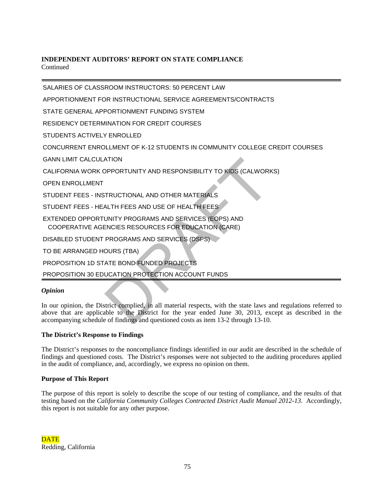# **INDEPENDENT AUDITORS' REPORT ON STATE COMPLIANCE Continued**

SALARIES OF CLASSROOM INSTRUCTORS: 50 PERCENT LAW APPORTIONMENT FOR INSTRUCTIONAL SERVICE AGREEMENTS/CONTRACTS STATE GENERAL APPORTIONMENT FUNDING SYSTEM RESIDENCY DETERMINATION FOR CREDIT COURSES STUDENTS ACTIVELY ENROLLED CONCURRENT ENROLLMENT OF K-12 STUDENTS IN COMMUNITY COLLEGE CREDIT COURSES GANN LIMIT CALCULATION CALIFORNIA WORK OPPORTUNITY AND RESPONSIBILITY TO KIDS (CALWORKS) OPEN ENROLLMENT STUDENT FEES - INSTRUCTIONAL AND OTHER MATERIALS STUDENT FEES - HEALTH FEES AND USE OF HEALTH FEES EXTENDED OPPORTUNITY PROGRAMS AND SERVICES (EOPS) AND COOPERATIVE AGENCIES RESOURCES FOR EDUCATION (CARE) DISABLED STUDENT PROGRAMS AND SERVICES (DSPS) TO BE ARRANGED HOURS (TBA) PROPOSITION 1D STATE BOND FUNDED PROJECTS PROPOSITION 30 EDUCATION PROTECTION ACCOUNT FUNDS ATION<br>
DPPORTUNITY AND RESPONSIBILITY TO KIDS (CALWORK<br>
TRUCTIONAL AND OTHER MATERIALS<br>
ALTH FEES AND USE OF HEALTH FEES<br>
UNITY PROGRAMS AND SERVICES (EOPS) AND<br>
DIRS RESOURCES FOR EDUCATION (CARE)<br>
PROGRAMS AND SERVICES (

# *Opinion*

In our opinion, the District complied, in all material respects, with the state laws and regulations referred to above that are applicable to the District for the year ended June 30, 2013, except as described in the accompanying schedule of findings and questioned costs as item 13-2 through 13-10.

# **The District's Response to Findings**

The District's responses to the noncompliance findings identified in our audit are described in the schedule of findings and questioned costs. The District's responses were not subjected to the auditing procedures applied in the audit of compliance, and, accordingly, we express no opinion on them.

#### **Purpose of This Report**

The purpose of this report is solely to describe the scope of our testing of compliance, and the results of that testing based on the *California Community Colleges Contracted District Audit Manual 2012-13.* Accordingly, this report is not suitable for any other purpose.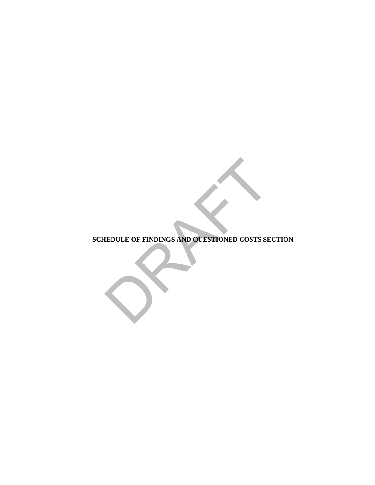**SCHEDULE OF FINDINGS AND QUESTIONED COSTS SECTION**  IEDULE OF FINDINGS AND QUESTIONED COSTS SE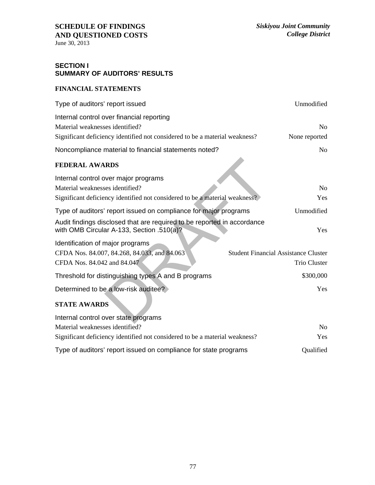June 30, 2013

# **SECTION I SUMMARY OF AUDITORS' RESULTS**

# **FINANCIAL STATEMENTS**

| Type of auditors' report issued                                                                                                                             | Unmodified                                                  |
|-------------------------------------------------------------------------------------------------------------------------------------------------------------|-------------------------------------------------------------|
| Internal control over financial reporting<br>Material weaknesses identified?<br>Significant deficiency identified not considered to be a material weakness? | No.<br>None reported                                        |
|                                                                                                                                                             |                                                             |
| Noncompliance material to financial statements noted?                                                                                                       | N <sub>o</sub>                                              |
| <b>FEDERAL AWARDS</b>                                                                                                                                       |                                                             |
| Internal control over major programs<br>Material weaknesses identified?<br>Significant deficiency identified not considered to be a material weakness?      | N <sub>o</sub><br>Yes                                       |
| Type of auditors' report issued on compliance for major programs                                                                                            | Unmodified                                                  |
| Audit findings disclosed that are required to be reported in accordance<br>with OMB Circular A-133, Section .510(a)?                                        | Yes                                                         |
| Identification of major programs<br>CFDA Nos. 84.007, 84.268, 84.033, and 84.063<br>CFDA Nos. 84.042 and 84.047                                             | <b>Student Financial Assistance Cluster</b><br>Trio Cluster |
| Threshold for distinguishing types A and B programs                                                                                                         | \$300,000                                                   |
| Determined to be a low-risk auditee?                                                                                                                        | Yes                                                         |
| <b>STATE AWARDS</b>                                                                                                                                         |                                                             |
| Internal control over state programs<br>Material weaknesses identified?<br>Significant deficiency identified not considered to be a material weakness?      | No<br><b>Yes</b>                                            |
| Type of auditors' report issued on compliance for state programs                                                                                            | Qualified                                                   |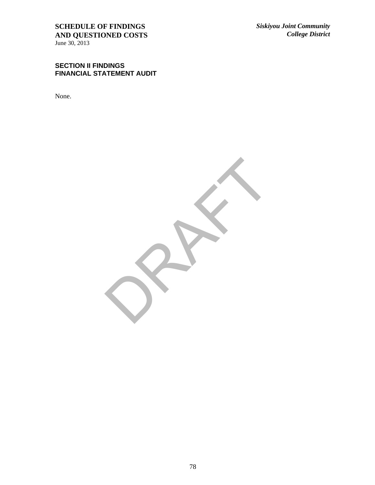*Siskiyou Joint Community College District*

# **SECTION II FINDINGS FINANCIAL STATEMENT AUDIT**

None.

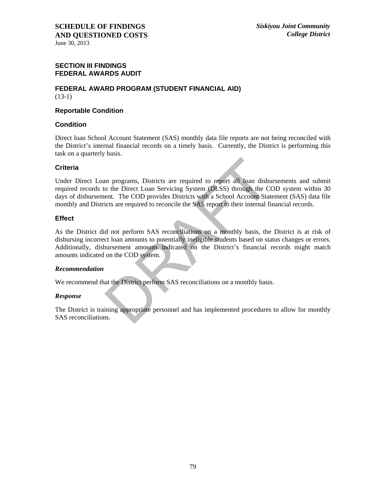# **SECTION III FINDINGS FEDERAL AWARDS AUDIT**

# **FEDERAL AWARD PROGRAM (STUDENT FINANCIAL AID)**   $(13-1)$

# **Reportable Condition**

# **Condition**

Direct loan School Account Statement (SAS) monthly data file reports are not being reconciled with the District's internal financial records on a timely basis. Currently, the District is performing this task on a quarterly basis.

# **Criteria**

Under Direct Loan programs, Districts are required to report all loan disbursements and submit required records to the Direct Loan Servicing System (DLSS) through the COD system within 30 days of disbursement. The COD provides Districts with a School Account Statement (SAS) data file monthly and Districts are required to reconcile the SAS report to their internal financial records. In programs, Districts are required to report all loan disbuted to the Direct Loan Servicing System (DLSS) through the Cent. The COD provides Districts with a School Account Staticts are required to reconcile the SAS repor

# **Effect**

As the District did not perform SAS reconciliations on a monthly basis, the District is at risk of disbursing incorrect loan amounts to potentially ineligible students based on status changes or errors. Additionally, disbursement amounts indicated on the District's financial records might match amounts indicated on the COD system.

# *Recommendation*

We recommend that the District perform SAS reconciliations on a monthly basis.

# *Response*

The District is training appropriate personnel and has implemented procedures to allow for monthly SAS reconciliations.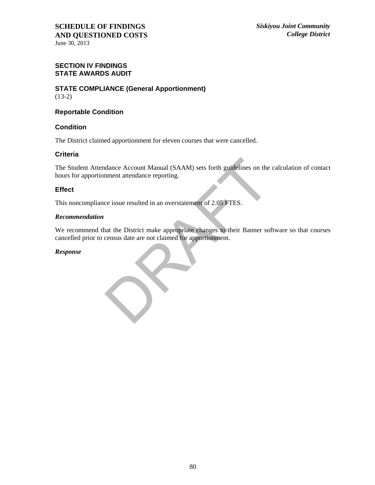# **SECTION IV FINDINGS STATE AWARDS AUDIT**

# **STATE COMPLIANCE (General Apportionment)**

 $(13-2)$ 

# **Reportable Condition**

# **Condition**

The District claimed apportionment for eleven courses that were cancelled.

# **Criteria**

The Student Attendance Account Manual (SAAM) sets forth guidelines on the calculation of contact hours for apportionment attendance reporting. dance Account Manual (SAAM) sets forth guidelines on the<br>nment attendance reporting.<br>ce issue resulted in an overstatement of 2.05 FTES.<br>hat the District make appropriate changes to their Banner sof<br>census date are not cla

# **Effect**

This noncompliance issue resulted in an overstatement of 2.05 FTES.

# *Recommendation*

We recommend that the District make appropriate changes to their Banner software so that courses cancelled prior to census date are not claimed for apportionment.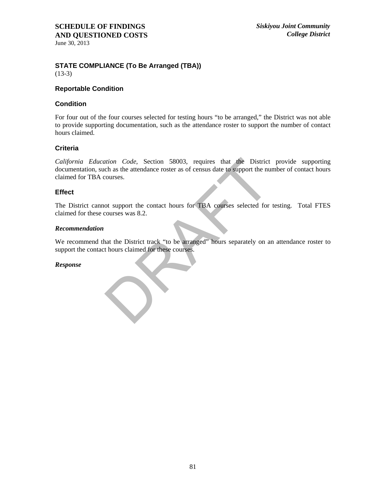# **STATE COMPLIANCE (To Be Arranged (TBA))**  (13-3)

# **Reportable Condition**

# **Condition**

For four out of the four courses selected for testing hours "to be arranged," the District was not able to provide supporting documentation, such as the attendance roster to support the number of contact hours claimed.

# **Criteria**

*California Education Code*, Section 58003, requires that the District provide supporting documentation, such as the attendance roster as of census date to support the number of contact hours claimed for TBA courses. ition Code, Section 58003, requires that the District<br>ch as the attendance roster as of census date to support the nu<br>courses.<br>ot support the contact hours for TBA courses selected for<br>courses was 8.2.<br>at the District trac

# **Effect**

The District cannot support the contact hours for TBA courses selected for testing. Total FTES claimed for these courses was 8.2.

#### *Recommendation*

We recommend that the District track "to be arranged" hours separately on an attendance roster to support the contact hours claimed for these courses.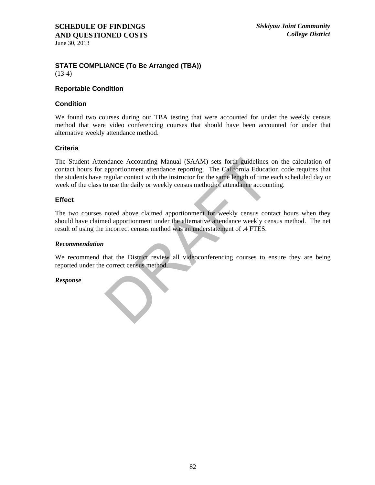# **STATE COMPLIANCE (To Be Arranged (TBA))**  (13-4)

# **Reportable Condition**

# **Condition**

We found two courses during our TBA testing that were accounted for under the weekly census method that were video conferencing courses that should have been accounted for under that alternative weekly attendance method.

# **Criteria**

The Student Attendance Accounting Manual (SAAM) sets forth guidelines on the calculation of contact hours for apportionment attendance reporting. The California Education code requires that the students have regular contact with the instructor for the same length of time each scheduled day or week of the class to use the daily or weekly census method of attendance accounting. ndance Accounting Manual (SAAM) sets forth guidelines<br>apportionment attendance reporting. The California Education<br>regular contact with the instructor for the same length of time<br>o use the daily or weekly census method of

#### **Effect**

The two courses noted above claimed apportionment for weekly census contact hours when they should have claimed apportionment under the alternative attendance weekly census method. The net result of using the incorrect census method was an understatement of .4 FTES.

#### *Recommendation*

We recommend that the District review all videoconferencing courses to ensure they are being reported under the correct census method.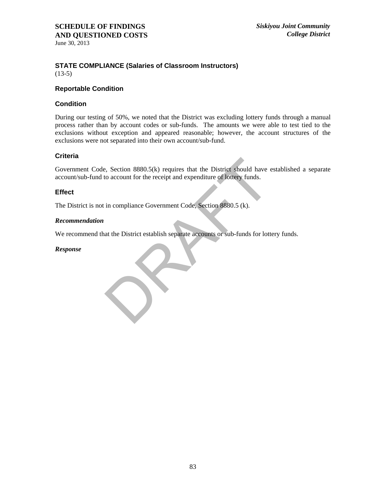# **STATE COMPLIANCE (Salaries of Classroom Instructors)**   $(13-5)$

# **Reportable Condition**

# **Condition**

During our testing of 50%, we noted that the District was excluding lottery funds through a manual process rather than by account codes or sub-funds. The amounts we were able to test tied to the exclusions without exception and appeared reasonable; however, the account structures of the exclusions were not separated into their own account/sub-fund.

# **Criteria**

Government Code, Section 8880.5(k) requires that the District should have established a separate account/sub-fund to account for the receipt and expenditure of lottery funds. expection 8880.5(k) requires that the District should have to account for the receipt and expenditure of lottery funds.<br>in compliance Government Code, Section 8880.5 (k).<br>at the District establish separate accounts or sub-

# **Effect**

The District is not in compliance Government Code, Section 8880.5 (k).

# *Recommendation*

We recommend that the District establish separate accounts or sub-funds for lottery funds.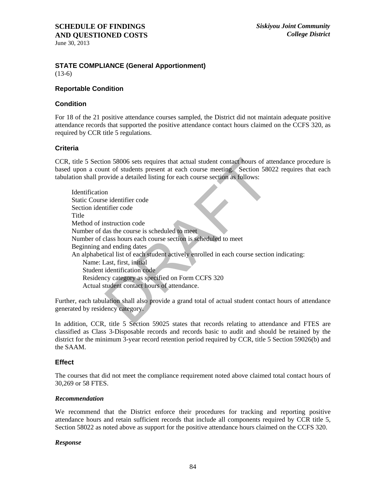June 30, 2013

# **STATE COMPLIANCE (General Apportionment)**

(13-6)

# **Reportable Condition**

#### **Condition**

For 18 of the 21 positive attendance courses sampled, the District did not maintain adequate positive attendance records that supported the positive attendance contact hours claimed on the CCFS 320, as required by CCR title 5 regulations.

# **Criteria**

CCR, title 5 Section 58006 sets requires that actual student contact hours of attendance procedure is based upon a count of students present at each course meeting. Section 58022 requires that each tabulation shall provide a detailed listing for each course section as follows:

| title 5 Section 58006 sets requires that actual student contact hours of attendance pro    |
|--------------------------------------------------------------------------------------------|
| upon a count of students present at each course meeting. Section 58022 requires            |
| tion shall provide a detailed listing for each course section as follows:                  |
|                                                                                            |
| Identification                                                                             |
| Static Course identifier code                                                              |
| Section identifier code                                                                    |
| Title                                                                                      |
| Method of instruction code                                                                 |
| Number of das the course is scheduled to meet                                              |
| Number of class hours each course section is scheduled to meet                             |
| Beginning and ending dates                                                                 |
| An alphabetical list of each student actively enrolled in each course section indicating:  |
| Name: Last, first, initial                                                                 |
| Student identification code                                                                |
| Residency category as specified on Form CCFS 320                                           |
| Actual student contact hours of attendance.                                                |
|                                                                                            |
| er, each tabulation shall also provide a grand total of actual student contact hours of at |
| ated by residency category.                                                                |
|                                                                                            |
| dition CCD title 5 Section 50025 states that records relating to attendance and E          |

Further, each tabulation shall also provide a grand total of actual student contact hours of attendance generated by residency category.

In addition, CCR, title 5 Section 59025 states that records relating to attendance and FTES are classified as Class 3-Disposable records and records basic to audit and should be retained by the district for the minimum 3-year record retention period required by CCR, title 5 Section 59026(b) and the SAAM.

# **Effect**

The courses that did not meet the compliance requirement noted above claimed total contact hours of 30,269 or 58 FTES.

#### *Recommendation*

We recommend that the District enforce their procedures for tracking and reporting positive attendance hours and retain sufficient records that include all components required by CCR title 5, Section 58022 as noted above as support for the positive attendance hours claimed on the CCFS 320.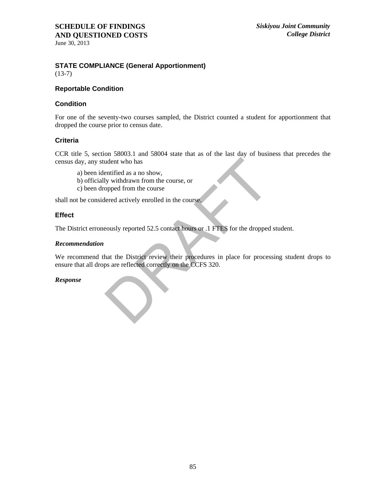June 30, 2013

# **STATE COMPLIANCE (General Apportionment)**

 $(13-7)$ 

# **Reportable Condition**

# **Condition**

For one of the seventy-two courses sampled, the District counted a student for apportionment that dropped the course prior to census date.

# **Criteria**

CCR title 5, section 58003.1 and 58004 state that as of the last day of business that precedes the census day, any student who has

- a) been identified as a no show,
- b) officially withdrawn from the course, or
- c) been dropped from the course

shall not be considered actively enrolled in the course.

# **Effect**

The District erroneously reported 52.5 contact hours or .1 FTES for the dropped student.

#### *Recommendation*

We recommend that the District review their procedures in place for processing student drops to ensure that all drops are reflected correctly on the CCFS 320. Mondert who has<br>entified as a no show,<br>ty withdrawn from the course, or<br>opped from the course<br>lered actively enrolled in the course.<br>eously reported 52.5 contact hours or .1 FTES for the dropped<br>hat the District review the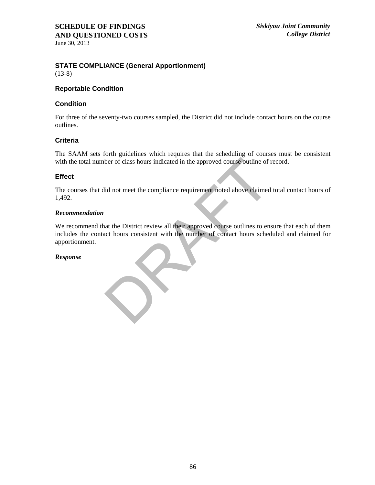June 30, 2013

# **STATE COMPLIANCE (General Apportionment)**

(13-8)

# **Reportable Condition**

#### **Condition**

For three of the seventy-two courses sampled, the District did not include contact hours on the course outlines.

# **Criteria**

The SAAM sets forth guidelines which requires that the scheduling of courses must be consistent with the total number of class hours indicated in the approved course outline of record.

# **Effect**

The courses that did not meet the compliance requirement noted above claimed total contact hours of 1,492.

#### *Recommendation*

We recommend that the District review all their approved course outlines to ensure that each of them includes the contact hours consistent with the number of contact hours scheduled and claimed for apportionment. ber of class hours indicated in the approved course outline of it<br>id not meet the compliance requirement noted above claimed<br>at the District review all their approved course outlines to ence<br>thours consistent with the numb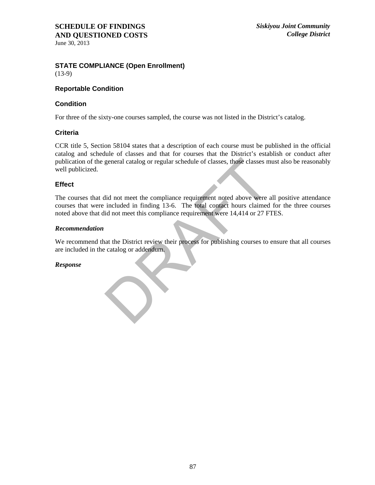# **STATE COMPLIANCE (Open Enrollment)**  (13-9)

# **Reportable Condition**

#### **Condition**

For three of the sixty-one courses sampled, the course was not listed in the District's catalog.

# **Criteria**

CCR title 5, Section 58104 states that a description of each course must be published in the official catalog and schedule of classes and that for courses that the District's establish or conduct after publication of the general catalog or regular schedule of classes, those classes must also be reasonably well publicized.

# **Effect**

The courses that did not meet the compliance requirement noted above were all positive attendance courses that were included in finding 13-6. The total contact hours claimed for the three courses noted above that did not meet this compliance requirement were 14,414 or 27 FTES. general catalog or regular schedule of classes, those classes m<br>did not meet the compliance requirement noted above were a<br>included in finding 13-6. The total contact hours claimed<br>id not meet this compliance requirement w

#### *Recommendation*

We recommend that the District review their process for publishing courses to ensure that all courses are included in the catalog or addendum.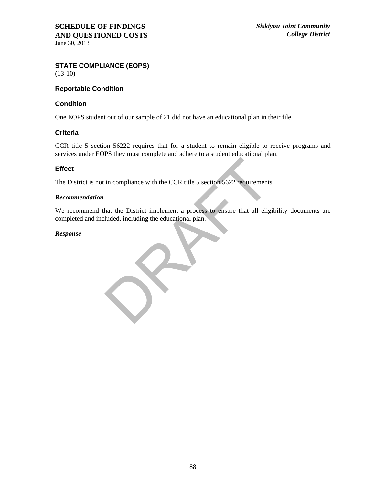**STATE COMPLIANCE (EOPS)**  (13-10)

# **Reportable Condition**

#### **Condition**

One EOPS student out of our sample of 21 did not have an educational plan in their file.

# **Criteria**

CCR title 5 section 56222 requires that for a student to remain eligible to receive programs and services under EOPS they must complete and adhere to a student educational plan.

#### **Effect**

The District is not in compliance with the CCR title 5 section 5622 requirements.

#### *Recommendation*

We recommend that the District implement a process to ensure that all eligibility documents are completed and included, including the educational plan. in compliance with the CCR title 5 section 5622 requirements<br>hat the District implement a process to ensure that all elig<br>luded, including the educational plan.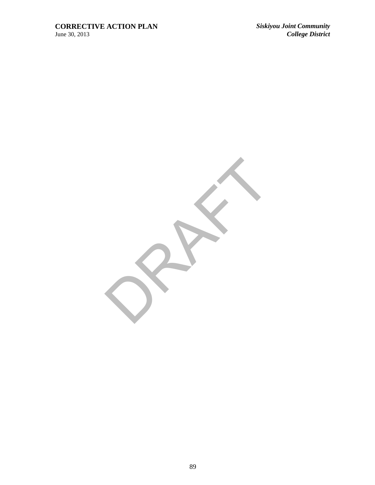RAFT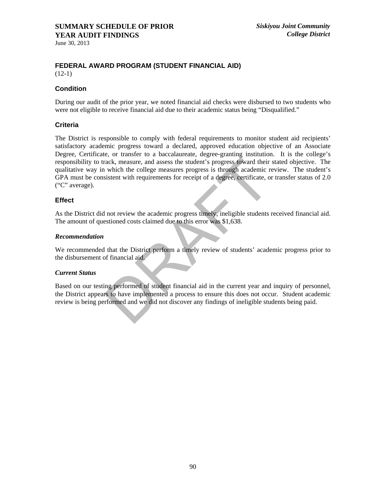# **FEDERAL AWARD PROGRAM (STUDENT FINANCIAL AID)**

 $(12-1)$ 

# **Condition**

During our audit of the prior year, we noted financial aid checks were disbursed to two students who were not eligible to receive financial aid due to their academic status being "Disqualified."

# **Criteria**

The District is responsible to comply with federal requirements to monitor student aid recipients' satisfactory academic progress toward a declared, approved education objective of an Associate Degree, Certificate, or transfer to a baccalaureate, degree-granting institution. It is the college's responsibility to track, measure, and assess the student's progress toward their stated objective. The qualitative way in which the college measures progress is through academic review. The student's GPA must be consistent with requirements for receipt of a degree, certificate, or transfer status of 2.0 ("C" average). Track, measure, and assess the student's progress toward their<br>
which the college measures progress is through academic r<br>
sistent with requirements for receipt of a degree, certificate, or<br>
not review the academic progres

# **Effect**

As the District did not review the academic progress timely, ineligible students received financial aid. The amount of questioned costs claimed due to this error was \$1,638.

#### *Recommendation*

We recommended that the District perform a timely review of students' academic progress prior to the disbursement of financial aid.

# *Current Status*

Based on our testing performed of student financial aid in the current year and inquiry of personnel, the District appears to have implemented a process to ensure this does not occur. Student academic review is being performed and we did not discover any findings of ineligible students being paid.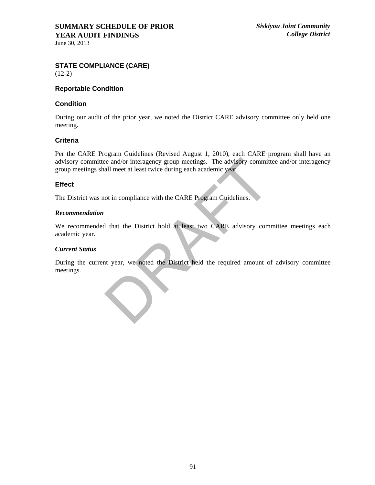**STATE COMPLIANCE (CARE)**  (12-2)

# **Reportable Condition**

#### **Condition**

During our audit of the prior year, we noted the District CARE advisory committee only held one meeting.

#### **Criteria**

Per the CARE Program Guidelines (Revised August 1, 2010), each CARE program shall have an advisory committee and/or interagency group meetings. The advisory committee and/or interagency group meetings shall meet at least twice during each academic year. e and/or interagency group meetings. The advisory committed<br>all meet at least twice during each academic year.<br>ot in compliance with the CARE Program Guidelines.<br><br>1 that the District hold at least two CARE advisory commit<br>

#### **Effect**

The District was not in compliance with the CARE Program Guidelines.

#### *Recommendation*

We recommended that the District hold at least two CARE advisory committee meetings each academic year.

#### *Current Status*

During the current year, we noted the District held the required amount of advisory committee meetings.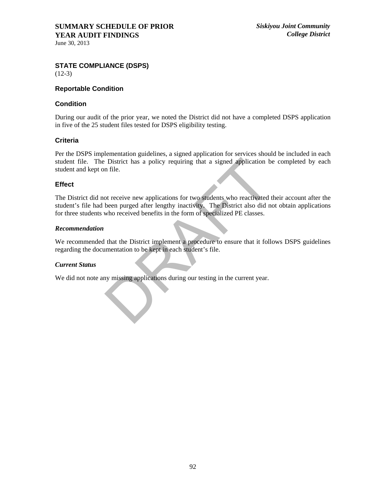**STATE COMPLIANCE (DSPS)**  (12-3)

# **Reportable Condition**

# **Condition**

During our audit of the prior year, we noted the District did not have a completed DSPS application in five of the 25 student files tested for DSPS eligibility testing.

# **Criteria**

Per the DSPS implementation guidelines, a signed application for services should be included in each student file. The District has a policy requiring that a signed application be completed by each student and kept on file.

#### **Effect**

The District did not receive new applications for two students who reactivated their account after the student's file had been purged after lengthy inactivity. The District also did not obtain applications for three students who received benefits in the form of specialized PE classes. District has a policy requiring that a signed application b<br>n file.<br>of receive new applications for two students who reactivated<br>been purged after lengthy inactivity. The District also did n<br>who received benefits in the fo

#### *Recommendation*

We recommended that the District implement a procedure to ensure that it follows DSPS guidelines regarding the documentation to be kept in each student's file.

#### *Current Status*

We did not note any missing applications during our testing in the current year.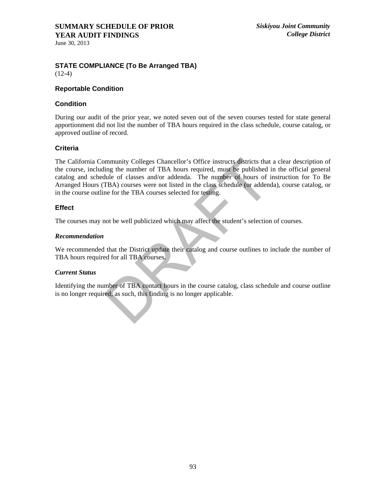# **STATE COMPLIANCE (To Be Arranged TBA)**   $(12-4)$

# **Reportable Condition**

# **Condition**

During our audit of the prior year, we noted seven out of the seven courses tested for state general apportionment did not list the number of TBA hours required in the class schedule, course catalog, or approved outline of record.

# **Criteria**

The California Community Colleges Chancellor's Office instructs districts that a clear description of the course, including the number of TBA hours required, must be published in the official general catalog and schedule of classes and/or addenda. The number of hours of instruction for To Be Arranged Hours (TBA) courses were not listed in the class schedule (or addenda), course catalog, or in the course outline for the TBA courses selected for testing. mmunity Colleges Chancellor's Office instructs districts that<br>ing the number of TBA hours required, must be published<br>ilule of classes and/or addenda. The number of hours of i<br>TBA) courses were not listed in the class sche

# **Effect**

The courses may not be well publicized which may affect the student's selection of courses.

# *Recommendation*

We recommended that the District update their catalog and course outlines to include the number of TBA hours required for all TBA courses.

# *Current Status*

Identifying the number of TBA contact hours in the course catalog, class schedule and course outline is no longer required; as such, this finding is no longer applicable.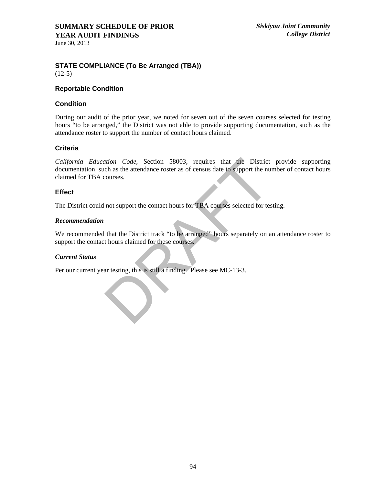# **STATE COMPLIANCE (To Be Arranged (TBA))**   $(12-5)$

# **Reportable Condition**

#### **Condition**

During our audit of the prior year, we noted for seven out of the seven courses selected for testing hours "to be arranged," the District was not able to provide supporting documentation, such as the attendance roster to support the number of contact hours claimed.

# **Criteria**

*California Education Code*, Section 58003, requires that the District provide supporting documentation, such as the attendance roster as of census date to support the number of contact hours claimed for TBA courses. ition Code, Section 58003, requires that the District<br>ch as the attendance roster as of census date to support the nu<br>courses.<br>not support the contact hours for TBA courses selected for tes<br>that the District track "to be a

# **Effect**

The District could not support the contact hours for TBA courses selected for testing.

#### *Recommendation*

We recommended that the District track "to be arranged" hours separately on an attendance roster to support the contact hours claimed for these courses.

# *Current Status*

Per our current year testing, this is still a finding. Please see MC-13-3.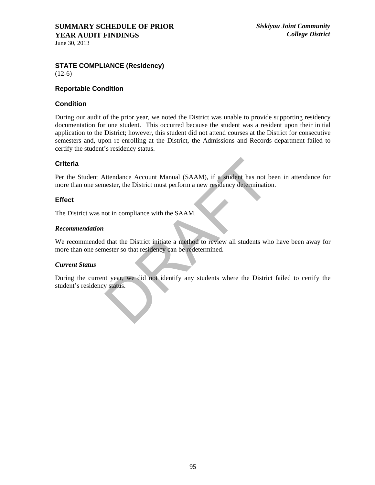# **STATE COMPLIANCE (Residency)**   $(12-6)$

# **Reportable Condition**

#### **Condition**

During our audit of the prior year, we noted the District was unable to provide supporting residency documentation for one student. This occurred because the student was a resident upon their initial application to the District; however, this student did not attend courses at the District for consecutive semesters and, upon re-enrolling at the District, the Admissions and Records department failed to certify the student's residency status.

# **Criteria**

Per the Student Attendance Account Manual (SAAM), if a student has not been in attendance for more than one semester, the District must perform a new residency determination.

#### **Effect**

The District was not in compliance with the SAAM.

#### *Recommendation*

We recommended that the District initiate a method to review all students who have been away for more than one semester so that residency can be redetermined.

#### *Current Status*

During the current year, we did not identify any students where the District failed to certify the student's residency status. Attendance Account Manual (SAAM), if a student has not be<br>seter, the District must perform a new residency determination<br>of in compliance with the SAAM.<br>that the District initiate a method to review all students where<br>sete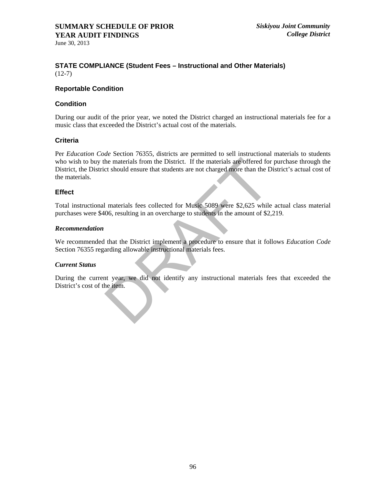# **STATE COMPLIANCE (Student Fees – Instructional and Other Materials)**   $(12-7)$

# **Reportable Condition**

# **Condition**

During our audit of the prior year, we noted the District charged an instructional materials fee for a music class that exceeded the District's actual cost of the materials.

# **Criteria**

Per *Education Code* Section 76355, districts are permitted to sell instructional materials to students who wish to buy the materials from the District. If the materials are offered for purchase through the District, the District should ensure that students are not charged more than the District's actual cost of the materials. the materials from the District. If the materials are offered for the materials from the List of the materials are not charged more than the L<br>
I materials fees collected for Music 5089 were \$2,625 while<br>
06, resulting in

#### **Effect**

Total instructional materials fees collected for Music 5089 were \$2,625 while actual class material purchases were \$406, resulting in an overcharge to students in the amount of \$2,219.

#### *Recommendation*

We recommended that the District implement a procedure to ensure that it follows *Education Code* Section 76355 regarding allowable instructional materials fees.

#### *Current Status*

During the current year, we did not identify any instructional materials fees that exceeded the District's cost of the item.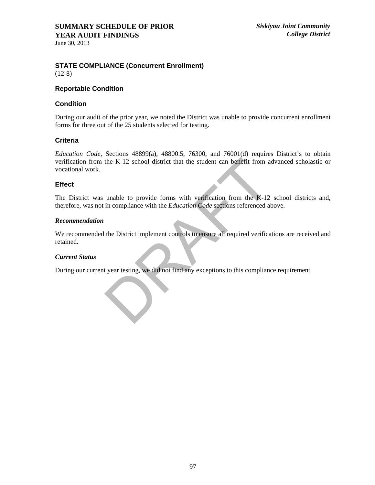# **STATE COMPLIANCE (Concurrent Enrollment)**  (12-8)

# **Reportable Condition**

#### **Condition**

During our audit of the prior year, we noted the District was unable to provide concurrent enrollment forms for three out of the 25 students selected for testing.

# **Criteria**

*Education Code*, Sections 48899(a), 48800.5, 76300, and 76001(d) requires District's to obtain verification from the K-12 school district that the student can benefit from advanced scholastic or vocational work. the K-12 school district that the student can benefit from a<br>unable to provide forms with verification from the K-12<br>in compliance with the *Education Code* sections referenced al<br>the District implement controls to ensure

#### **Effect**

The District was unable to provide forms with verification from the K-12 school districts and, therefore, was not in compliance with the *Education Code* sections referenced above.

#### *Recommendation*

We recommended the District implement controls to ensure all required verifications are received and retained.

#### *Current Status*

During our current year testing, we did not find any exceptions to this compliance requirement.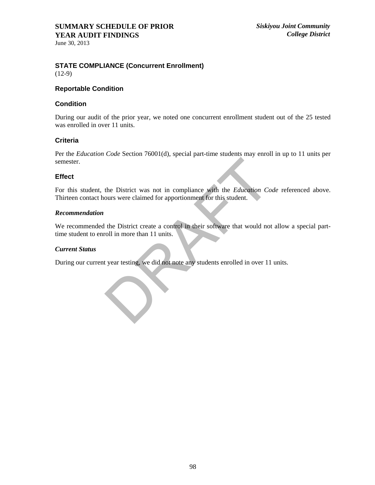# **STATE COMPLIANCE (Concurrent Enrollment)**  (12-9)

# **Reportable Condition**

#### **Condition**

During our audit of the prior year, we noted one concurrent enrollment student out of the 25 tested was enrolled in over 11 units.

# **Criteria**

Per the *Education Code* Section 76001(d), special part-time students may enroll in up to 11 units per semester.

# **Effect**

For this student, the District was not in compliance with the *Education Code* referenced above. Thirteen contact hours were claimed for apportionment for this student.

#### *Recommendation*

We recommended the District create a control in their software that would not allow a special parttime student to enroll in more than 11 units. the District was not in compliance with the *Education Co*<br>ours were claimed for apportionment for this student.<br>the District create a control in their software that would not<br>oll in more than 11 units.<br>tyear testing, we d

#### *Current Status*

During our current year testing, we did not note any students enrolled in over 11 units.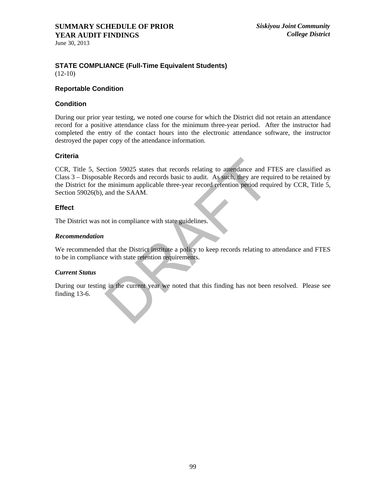# **STATE COMPLIANCE (Full-Time Equivalent Students)**  (12-10)

# **Reportable Condition**

#### **Condition**

During our prior year testing, we noted one course for which the District did not retain an attendance record for a positive attendance class for the minimum three-year period. After the instructor had completed the entry of the contact hours into the electronic attendance software, the instructor destroyed the paper copy of the attendance information.

#### **Criteria**

CCR, Title 5, Section 59025 states that records relating to attendance and FTES are classified as Class 3 – Disposable Records and records basic to audit. As such, they are required to be retained by the District for the minimum applicable three-year record retention period required by CCR, Title 5, Section 59026(b), and the SAAM. composed in the S4AM.<br>
The Records and records basic to audit. As such, they are required in the SAAM.<br>
The main applicable three-year record retention period required and the SAAM.<br>
That the District institute a policy to

#### **Effect**

The District was not in compliance with state guidelines.

#### *Recommendation*

We recommended that the District institute a policy to keep records relating to attendance and FTES to be in compliance with state retention requirements.

#### *Current Status*

During our testing in the current year we noted that this finding has not been resolved. Please see finding 13-6.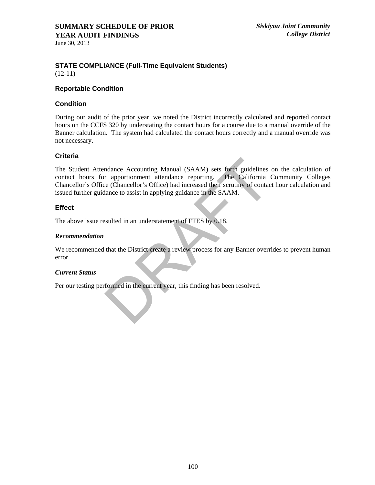# **STATE COMPLIANCE (Full-Time Equivalent Students)**  (12-11)

# **Reportable Condition**

#### **Condition**

During our audit of the prior year, we noted the District incorrectly calculated and reported contact hours on the CCFS 320 by understating the contact hours for a course due to a manual override of the Banner calculation. The system had calculated the contact hours correctly and a manual override was not necessary.

# **Criteria**

The Student Attendance Accounting Manual (SAAM) sets forth guidelines on the calculation of contact hours for apportionment attendance reporting. The California Community Colleges Chancellor's Office (Chancellor's Office) had increased their scrutiny of contact hour calculation and issued further guidance to assist in applying guidance in the SAAM. ndance Accounting Manual (SAAM) sets forth guidelines<br>
r apportionment attendance reporting. The California (<br>
e (Chancellor's Office) had increased their scrutiny of contact<br>
lance to assist in applying guidance in the SA

# **Effect**

The above issue resulted in an understatement of FTES by 0.18.

# *Recommendation*

We recommended that the District create a review process for any Banner overrides to prevent human error.

#### *Current Status*

Per our testing performed in the current year, this finding has been resolved.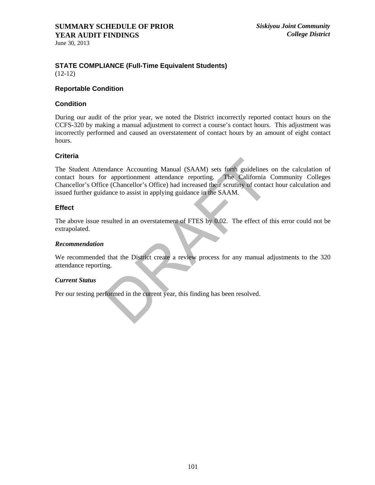# **STATE COMPLIANCE (Full-Time Equivalent Students)**  (12-12)

#### **Reportable Condition**

#### **Condition**

During our audit of the prior year, we noted the District incorrectly reported contact hours on the CCFS-320 by making a manual adjustment to correct a course's contact hours. This adjustment was incorrectly performed and caused an overstatement of contact hours by an amount of eight contact hours.

# **Criteria**

The Student Attendance Accounting Manual (SAAM) sets forth guidelines on the calculation of contact hours for apportionment attendance reporting. The California Community Colleges Chancellor's Office (Chancellor's Office) had increased their scrutiny of contact hour calculation and issued further guidance to assist in applying guidance in the SAAM. ndance Accounting Manual (SAAM) sets forth guidelines<br>
r apportionment attendance reporting. The California (<br>
e (Chancellor's Office) had increased their scrutiny of contact<br>
lance to assist in applying guidance in the SA

#### **Effect**

The above issue resulted in an overstatement of FTES by 0.02. The effect of this error could not be extrapolated.

#### *Recommendation*

We recommended that the District create a review process for any manual adjustments to the 320 attendance reporting.

#### *Current Status*

Per our testing performed in the current year, this finding has been resolved.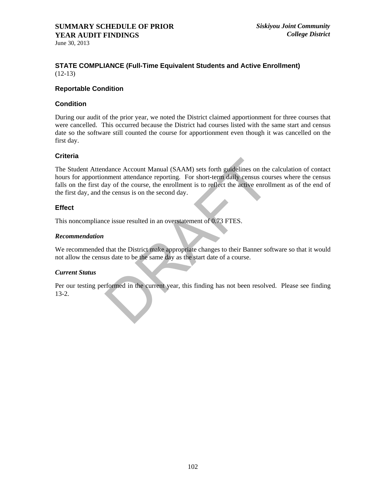# **STATE COMPLIANCE (Full-Time Equivalent Students and Active Enrollment)**  (12-13)

# **Reportable Condition**

# **Condition**

During our audit of the prior year, we noted the District claimed apportionment for three courses that were cancelled. This occurred because the District had courses listed with the same start and census date so the software still counted the course for apportionment even though it was cancelled on the first day.

# **Criteria**

The Student Attendance Account Manual (SAAM) sets forth guidelines on the calculation of contact hours for apportionment attendance reporting. For short-term daily census courses where the census falls on the first day of the course, the enrollment is to reflect the active enrollment as of the end of the first day, and the census is on the second day. dance Account Manual (SAAM) sets forth guidelines on the<br>nment attendance reporting. For short-term daily census cou<br>ay of the course, the enrollment is to reflect the active enroll<br>he census is on the second day.<br>ce issue

# **Effect**

This noncompliance issue resulted in an overstatement of 0.73 FTES.

#### *Recommendation*

We recommended that the District make appropriate changes to their Banner software so that it would not allow the census date to be the same day as the start date of a course.

# *Current Status*

Per our testing performed in the current year, this finding has not been resolved. Please see finding 13-2.